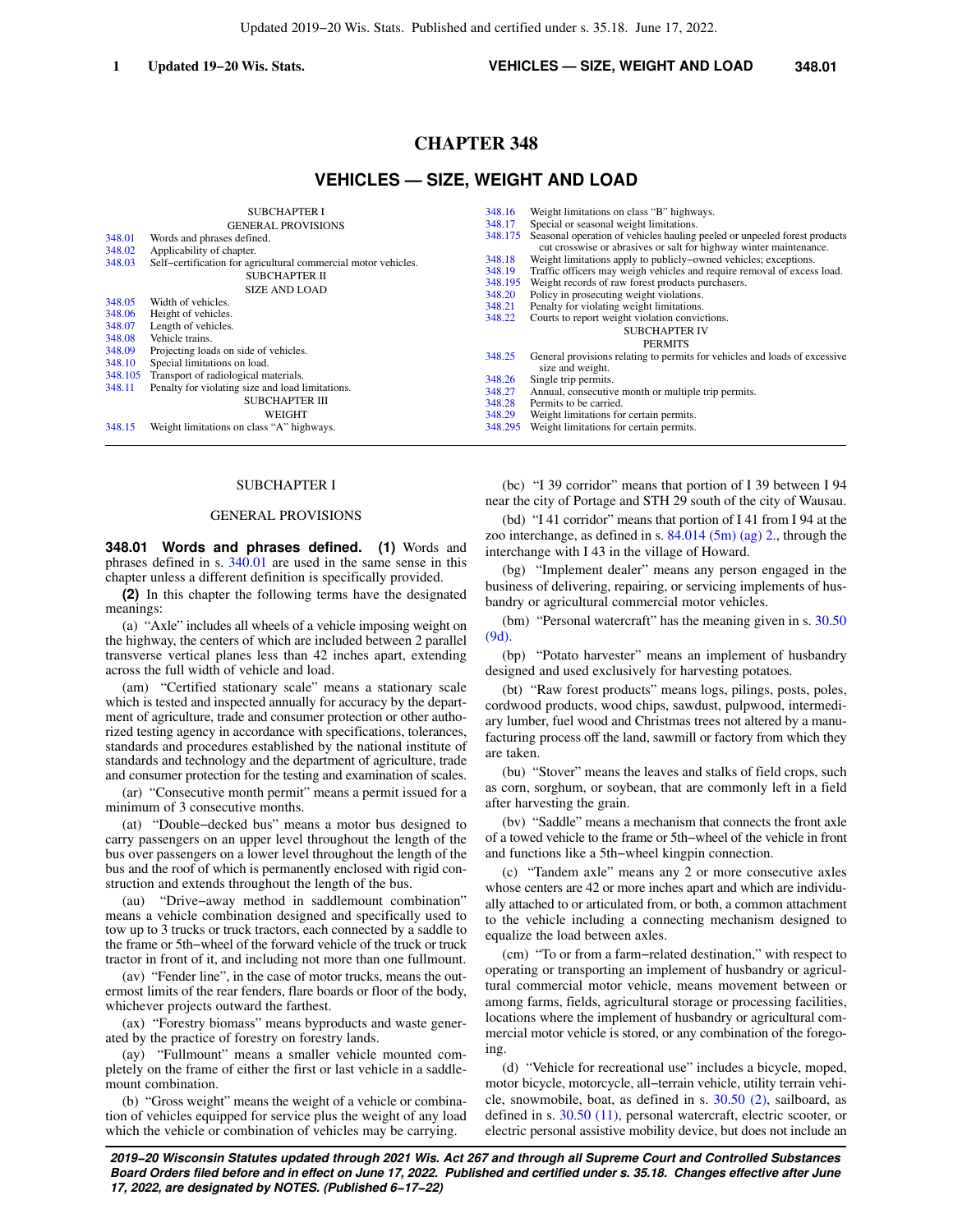# **CHAPTER 348**

## **VEHICLES — SIZE, WEIGHT AND LOAD**

|         | <b>SUBCHAPTER I</b>                                            | 348.16  | Weight limitations on class "B" highways.                                  |
|---------|----------------------------------------------------------------|---------|----------------------------------------------------------------------------|
|         | <b>GENERAL PROVISIONS</b>                                      | 348.17  | Special or seasonal weight limitations.                                    |
| 348.01  | Words and phrases defined.                                     | 348.175 | Seasonal operation of vehicles hauling peeled or unpeeled forest products  |
| 348.02  | Applicability of chapter.                                      |         | cut crosswise or abrasives or salt for highway winter maintenance.         |
| 348.03  | Self-certification for agricultural commercial motor vehicles. | 348.18  | Weight limitations apply to publicly-owned vehicles; exceptions.           |
|         | SUBCHAPTER II                                                  | 348.19  | Traffic officers may weigh vehicles and require removal of excess load.    |
|         | <b>SIZE AND LOAD</b>                                           | 348.195 | Weight records of raw forest products purchasers.                          |
| 348.05  | Width of vehicles.                                             | 348.20  | Policy in prosecuting weight violations.                                   |
| 348.06  |                                                                | 348.21  | Penalty for violating weight limitations.                                  |
|         | Height of vehicles.                                            | 348.22  | Courts to report weight violation convictions.                             |
| 348.07  | Length of vehicles.                                            |         | <b>SUBCHAPTER IV</b>                                                       |
| 348.08  | Vehicle trains.                                                |         | <b>PERMITS</b>                                                             |
| 348.09  | Projecting loads on side of vehicles.                          | 348.25  | General provisions relating to permits for vehicles and loads of excessive |
| 348.10  | Special limitations on load.                                   |         | size and weight.                                                           |
| 348.105 | Transport of radiological materials.                           | 348.26  | Single trip permits.                                                       |
| 348.11  | Penalty for violating size and load limitations.               | 348.27  | Annual, consecutive month or multiple trip permits.                        |
|         | <b>SUBCHAPTER III</b>                                          | 348.28  | Permits to be carried.                                                     |
|         | WEIGHT                                                         | 348.29  | Weight limitations for certain permits.                                    |
| 348.15  | Weight limitations on class "A" highways.                      | 348.295 | Weight limitations for certain permits.                                    |
|         |                                                                |         |                                                                            |

### SUBCHAPTER I

#### GENERAL PROVISIONS

**348.01 Words and phrases defined. (1)** Words and phrases defined in s. [340.01](https://docs.legis.wisconsin.gov/document/statutes/340.01) are used in the same sense in this chapter unless a different definition is specifically provided.

**(2)** In this chapter the following terms have the designated meanings:

(a) "Axle" includes all wheels of a vehicle imposing weight on the highway, the centers of which are included between 2 parallel transverse vertical planes less than 42 inches apart, extending across the full width of vehicle and load.

(am) "Certified stationary scale" means a stationary scale which is tested and inspected annually for accuracy by the department of agriculture, trade and consumer protection or other authorized testing agency in accordance with specifications, tolerances, standards and procedures established by the national institute of standards and technology and the department of agriculture, trade and consumer protection for the testing and examination of scales.

(ar) "Consecutive month permit" means a permit issued for a minimum of 3 consecutive months.

(at) "Double−decked bus" means a motor bus designed to carry passengers on an upper level throughout the length of the bus over passengers on a lower level throughout the length of the bus and the roof of which is permanently enclosed with rigid construction and extends throughout the length of the bus.

(au) "Drive−away method in saddlemount combination" means a vehicle combination designed and specifically used to tow up to 3 trucks or truck tractors, each connected by a saddle to the frame or 5th−wheel of the forward vehicle of the truck or truck tractor in front of it, and including not more than one fullmount.

(av) "Fender line", in the case of motor trucks, means the outermost limits of the rear fenders, flare boards or floor of the body, whichever projects outward the farthest.

(ax) "Forestry biomass" means byproducts and waste generated by the practice of forestry on forestry lands.

(ay) "Fullmount" means a smaller vehicle mounted completely on the frame of either the first or last vehicle in a saddlemount combination.

(b) "Gross weight" means the weight of a vehicle or combination of vehicles equipped for service plus the weight of any load which the vehicle or combination of vehicles may be carrying.

(bc) "I 39 corridor" means that portion of I 39 between I 94 near the city of Portage and STH 29 south of the city of Wausau.

(bd) "I 41 corridor" means that portion of I 41 from I 94 at the zoo interchange, as defined in s.  $84.014$  (5m) (ag) 2., through the interchange with I 43 in the village of Howard.

(bg) "Implement dealer" means any person engaged in the business of delivering, repairing, or servicing implements of husbandry or agricultural commercial motor vehicles.

(bm) "Personal watercraft" has the meaning given in s. [30.50](https://docs.legis.wisconsin.gov/document/statutes/30.50(9d)) [\(9d\)](https://docs.legis.wisconsin.gov/document/statutes/30.50(9d)).

(bp) "Potato harvester" means an implement of husbandry designed and used exclusively for harvesting potatoes.

(bt) "Raw forest products" means logs, pilings, posts, poles, cordwood products, wood chips, sawdust, pulpwood, intermediary lumber, fuel wood and Christmas trees not altered by a manufacturing process off the land, sawmill or factory from which they are taken.

(bu) "Stover" means the leaves and stalks of field crops, such as corn, sorghum, or soybean, that are commonly left in a field after harvesting the grain.

(bv) "Saddle" means a mechanism that connects the front axle of a towed vehicle to the frame or 5th−wheel of the vehicle in front and functions like a 5th−wheel kingpin connection.

(c) "Tandem axle" means any 2 or more consecutive axles whose centers are 42 or more inches apart and which are individually attached to or articulated from, or both, a common attachment to the vehicle including a connecting mechanism designed to equalize the load between axles.

(cm) "To or from a farm−related destination," with respect to operating or transporting an implement of husbandry or agricultural commercial motor vehicle, means movement between or among farms, fields, agricultural storage or processing facilities, locations where the implement of husbandry or agricultural commercial motor vehicle is stored, or any combination of the foregoing.

(d) "Vehicle for recreational use" includes a bicycle, moped, motor bicycle, motorcycle, all−terrain vehicle, utility terrain vehicle, snowmobile, boat, as defined in s. [30.50 \(2\),](https://docs.legis.wisconsin.gov/document/statutes/30.50(2)) sailboard, as defined in s. [30.50 \(11\)](https://docs.legis.wisconsin.gov/document/statutes/30.50(11)), personal watercraft, electric scooter, or electric personal assistive mobility device, but does not include an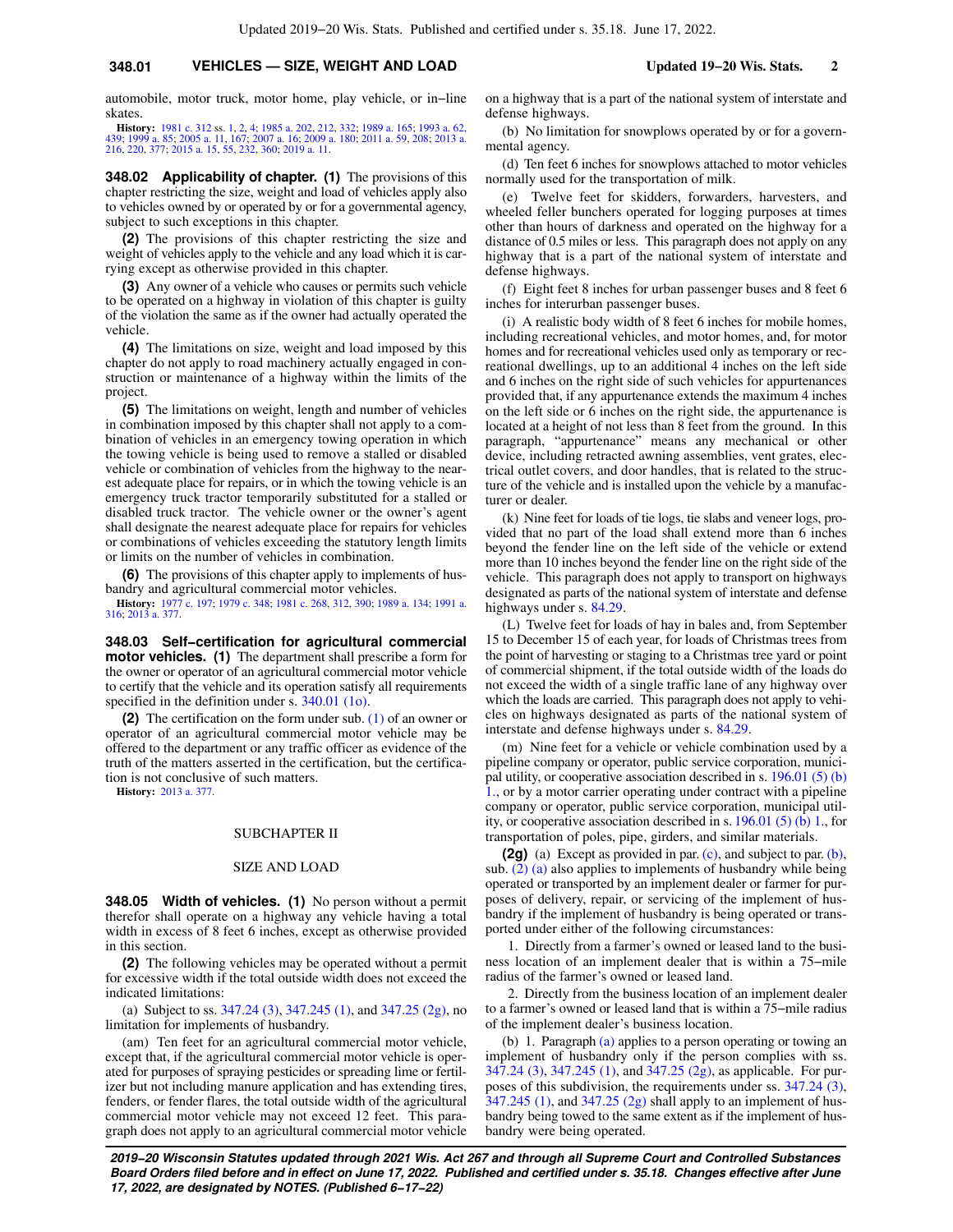automobile, motor truck, motor home, play vehicle, or in−line skates.

**History:** [1981 c. 312](https://docs.legis.wisconsin.gov/document/acts/1981/312) ss. [1](https://docs.legis.wisconsin.gov/document/acts/1981/312,%20s.%201), [2](https://docs.legis.wisconsin.gov/document/acts/1981/312,%20s.%202), [4](https://docs.legis.wisconsin.gov/document/acts/1981/312,%20s.%204); [1985 a. 202,](https://docs.legis.wisconsin.gov/document/acts/1985/202) [212,](https://docs.legis.wisconsin.gov/document/acts/1985/212) [332;](https://docs.legis.wisconsin.gov/document/acts/1985/332) [1989 a. 165](https://docs.legis.wisconsin.gov/document/acts/1989/165); [1993 a. 62](https://docs.legis.wisconsin.gov/document/acts/1993/62),<br>[439](https://docs.legis.wisconsin.gov/document/acts/1993/439); [1999 a. 85](https://docs.legis.wisconsin.gov/document/acts/1999/85); [2005 a. 11](https://docs.legis.wisconsin.gov/document/acts/2005/11), [167;](https://docs.legis.wisconsin.gov/document/acts/2005/167) [2007 a. 16;](https://docs.legis.wisconsin.gov/document/acts/2007/16) [2009 a. 180;](https://docs.legis.wisconsin.gov/document/acts/2009/180) [2011 a. 59,](https://docs.legis.wisconsin.gov/document/acts/2011/59) [208;](https://docs.legis.wisconsin.gov/document/acts/2011/208) [2013 a.](https://docs.legis.wisconsin.gov/document/acts/2013/216)<br>[216](https://docs.legis.wisconsin.gov/document/acts/2013/216), [220](https://docs.legis.wisconsin.gov/document/acts/2013/220), [377](https://docs.legis.wisconsin.gov/document/acts/2013/377); [2015 a. 15,](https://docs.legis.wisconsin.gov/document/acts/2015/15) [55](https://docs.legis.wisconsin.gov/document/acts/2015/55), [232](https://docs.legis.wisconsin.gov/document/acts/2015/232), [360](https://docs.legis.wisconsin.gov/document/acts/2015/360); [2019 a. 11](https://docs.legis.wisconsin.gov/document/acts/2019/11).

**348.02 Applicability of chapter. (1)** The provisions of this chapter restricting the size, weight and load of vehicles apply also to vehicles owned by or operated by or for a governmental agency, subject to such exceptions in this chapter.

**(2)** The provisions of this chapter restricting the size and weight of vehicles apply to the vehicle and any load which it is carrying except as otherwise provided in this chapter.

**(3)** Any owner of a vehicle who causes or permits such vehicle to be operated on a highway in violation of this chapter is guilty of the violation the same as if the owner had actually operated the vehicle.

**(4)** The limitations on size, weight and load imposed by this chapter do not apply to road machinery actually engaged in construction or maintenance of a highway within the limits of the project.

**(5)** The limitations on weight, length and number of vehicles in combination imposed by this chapter shall not apply to a combination of vehicles in an emergency towing operation in which the towing vehicle is being used to remove a stalled or disabled vehicle or combination of vehicles from the highway to the nearest adequate place for repairs, or in which the towing vehicle is an emergency truck tractor temporarily substituted for a stalled or disabled truck tractor. The vehicle owner or the owner's agent shall designate the nearest adequate place for repairs for vehicles or combinations of vehicles exceeding the statutory length limits or limits on the number of vehicles in combination.

**(6)** The provisions of this chapter apply to implements of husbandry and agricultural commercial motor vehicles.

**History:** [1977 c. 197;](https://docs.legis.wisconsin.gov/document/acts/1977/197) [1979 c. 348](https://docs.legis.wisconsin.gov/document/acts/1979/348); [1981 c. 268](https://docs.legis.wisconsin.gov/document/acts/1981/268), [312](https://docs.legis.wisconsin.gov/document/acts/1981/312), [390;](https://docs.legis.wisconsin.gov/document/acts/1981/390) [1989 a. 134](https://docs.legis.wisconsin.gov/document/acts/1989/134); [1991 a.](https://docs.legis.wisconsin.gov/document/acts/1991/316) [316](https://docs.legis.wisconsin.gov/document/acts/1991/316); [2013 a. 377.](https://docs.legis.wisconsin.gov/document/acts/2013/377)

**348.03 Self−certification for agricultural commercial motor vehicles. (1)** The department shall prescribe a form for the owner or operator of an agricultural commercial motor vehicle to certify that the vehicle and its operation satisfy all requirements specified in the definition under s. [340.01 \(1o\).](https://docs.legis.wisconsin.gov/document/statutes/340.01(1o))

**(2)** The certification on the form under sub. [\(1\)](https://docs.legis.wisconsin.gov/document/statutes/348.03(1)) of an owner or operator of an agricultural commercial motor vehicle may be offered to the department or any traffic officer as evidence of the truth of the matters asserted in the certification, but the certification is not conclusive of such matters.

**History:** [2013 a. 377](https://docs.legis.wisconsin.gov/document/acts/2013/377).

#### SUBCHAPTER II

#### SIZE AND LOAD

**348.05 Width of vehicles. (1)** No person without a permit therefor shall operate on a highway any vehicle having a total width in excess of 8 feet 6 inches, except as otherwise provided in this section.

**(2)** The following vehicles may be operated without a permit for excessive width if the total outside width does not exceed the indicated limitations:

(a) Subject to ss. [347.24 \(3\)](https://docs.legis.wisconsin.gov/document/statutes/347.24(3)), [347.245 \(1\)](https://docs.legis.wisconsin.gov/document/statutes/347.245(1)), and [347.25 \(2g\),](https://docs.legis.wisconsin.gov/document/statutes/347.25(2g)) no limitation for implements of husbandry.

(am) Ten feet for an agricultural commercial motor vehicle, except that, if the agricultural commercial motor vehicle is operated for purposes of spraying pesticides or spreading lime or fertilizer but not including manure application and has extending tires, fenders, or fender flares, the total outside width of the agricultural commercial motor vehicle may not exceed 12 feet. This paragraph does not apply to an agricultural commercial motor vehicle on a highway that is a part of the national system of interstate and defense highways.

(b) No limitation for snowplows operated by or for a governmental agency.

(d) Ten feet 6 inches for snowplows attached to motor vehicles normally used for the transportation of milk.

(e) Twelve feet for skidders, forwarders, harvesters, and wheeled feller bunchers operated for logging purposes at times other than hours of darkness and operated on the highway for a distance of 0.5 miles or less. This paragraph does not apply on any highway that is a part of the national system of interstate and defense highways.

(f) Eight feet 8 inches for urban passenger buses and 8 feet 6 inches for interurban passenger buses.

(i) A realistic body width of 8 feet 6 inches for mobile homes, including recreational vehicles, and motor homes, and, for motor homes and for recreational vehicles used only as temporary or recreational dwellings, up to an additional 4 inches on the left side and 6 inches on the right side of such vehicles for appurtenances provided that, if any appurtenance extends the maximum 4 inches on the left side or 6 inches on the right side, the appurtenance is located at a height of not less than 8 feet from the ground. In this paragraph, "appurtenance" means any mechanical or other device, including retracted awning assemblies, vent grates, electrical outlet covers, and door handles, that is related to the structure of the vehicle and is installed upon the vehicle by a manufacturer or dealer.

(k) Nine feet for loads of tie logs, tie slabs and veneer logs, provided that no part of the load shall extend more than 6 inches beyond the fender line on the left side of the vehicle or extend more than 10 inches beyond the fender line on the right side of the vehicle. This paragraph does not apply to transport on highways designated as parts of the national system of interstate and defense highways under s. [84.29](https://docs.legis.wisconsin.gov/document/statutes/84.29).

(L) Twelve feet for loads of hay in bales and, from September 15 to December 15 of each year, for loads of Christmas trees from the point of harvesting or staging to a Christmas tree yard or point of commercial shipment, if the total outside width of the loads do not exceed the width of a single traffic lane of any highway over which the loads are carried. This paragraph does not apply to vehicles on highways designated as parts of the national system of interstate and defense highways under s. [84.29.](https://docs.legis.wisconsin.gov/document/statutes/84.29)

(m) Nine feet for a vehicle or vehicle combination used by a pipeline company or operator, public service corporation, municipal utility, or cooperative association described in s. [196.01 \(5\) \(b\)](https://docs.legis.wisconsin.gov/document/statutes/196.01(5)(b)1.) [1.,](https://docs.legis.wisconsin.gov/document/statutes/196.01(5)(b)1.) or by a motor carrier operating under contract with a pipeline company or operator, public service corporation, municipal utility, or cooperative association described in s.  $196.01$  (5) (b) 1., for transportation of poles, pipe, girders, and similar materials.

**(2g)** (a) Except as provided in par. [\(c\)](https://docs.legis.wisconsin.gov/document/statutes/348.05(2g)(c)), and subject to par. [\(b\),](https://docs.legis.wisconsin.gov/document/statutes/348.05(2g)(b)) sub.  $(2)$  (a) also applies to implements of husbandry while being operated or transported by an implement dealer or farmer for purposes of delivery, repair, or servicing of the implement of husbandry if the implement of husbandry is being operated or transported under either of the following circumstances:

1. Directly from a farmer's owned or leased land to the business location of an implement dealer that is within a 75−mile radius of the farmer's owned or leased land.

2. Directly from the business location of an implement dealer to a farmer's owned or leased land that is within a 75−mile radius of the implement dealer's business location.

(b) 1. Paragraph [\(a\)](https://docs.legis.wisconsin.gov/document/statutes/348.05(2g)(a)) applies to a person operating or towing an implement of husbandry only if the person complies with ss. [347.24 \(3\),](https://docs.legis.wisconsin.gov/document/statutes/347.24(3)) [347.245 \(1\),](https://docs.legis.wisconsin.gov/document/statutes/347.245(1)) and [347.25 \(2g\)](https://docs.legis.wisconsin.gov/document/statutes/347.25(2g)), as applicable. For purposes of this subdivision, the requirements under ss. [347.24 \(3\),](https://docs.legis.wisconsin.gov/document/statutes/347.24(3)) [347.245 \(1\)](https://docs.legis.wisconsin.gov/document/statutes/347.245(1)), and [347.25 \(2g\)](https://docs.legis.wisconsin.gov/document/statutes/347.25(2g)) shall apply to an implement of husbandry being towed to the same extent as if the implement of husbandry were being operated.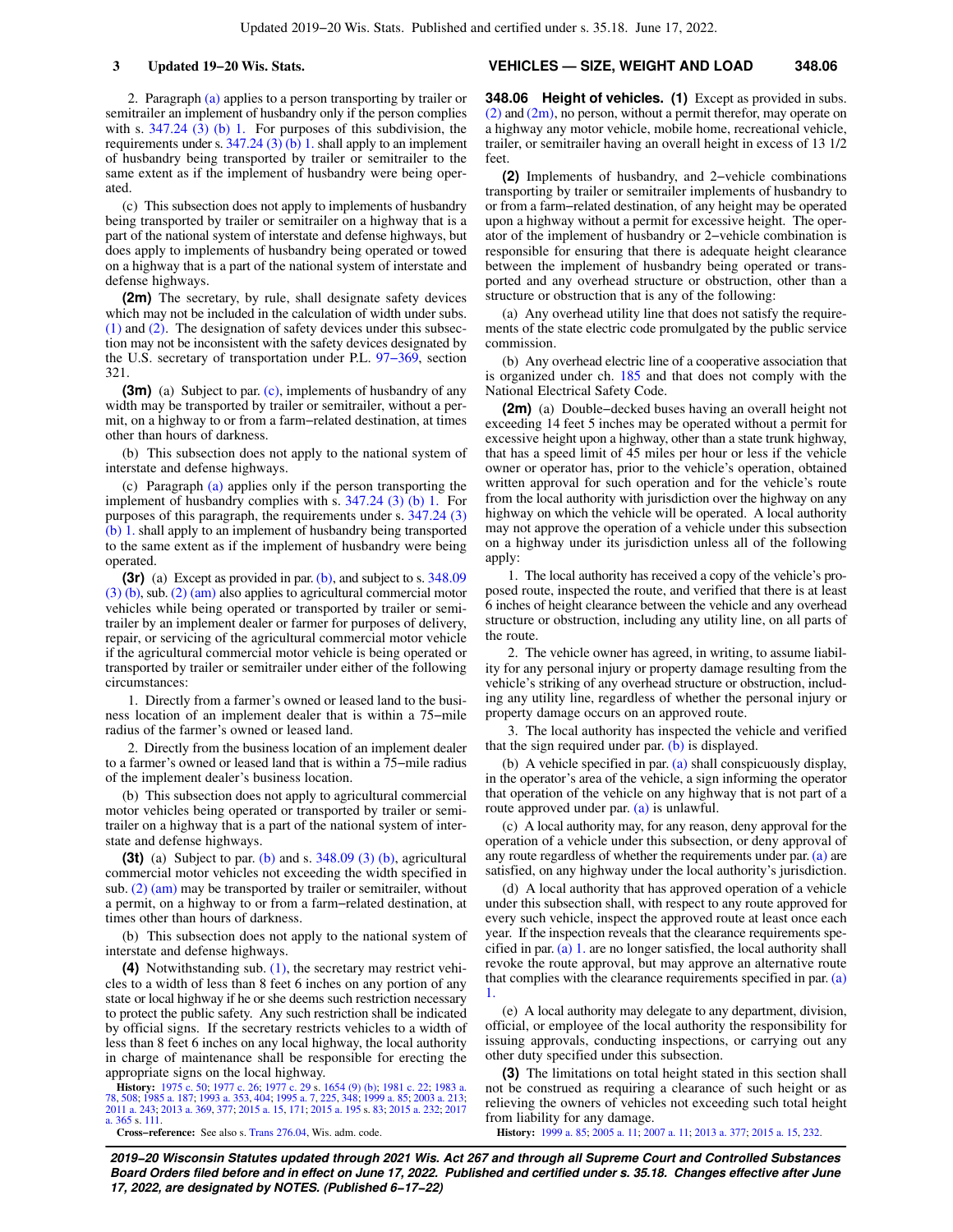2. Paragraph [\(a\)](https://docs.legis.wisconsin.gov/document/statutes/348.05(2g)(a)) applies to a person transporting by trailer or semitrailer an implement of husbandry only if the person complies with s.  $347.24$  ( $\overline{3}$ ) (b) 1. For purposes of this subdivision, the requirements under s.  $347.24$  (3) (b) 1. shall apply to an implement of husbandry being transported by trailer or semitrailer to the same extent as if the implement of husbandry were being operated.

(c) This subsection does not apply to implements of husbandry being transported by trailer or semitrailer on a highway that is a part of the national system of interstate and defense highways, but does apply to implements of husbandry being operated or towed on a highway that is a part of the national system of interstate and defense highways.

**(2m)** The secretary, by rule, shall designate safety devices which may not be included in the calculation of width under subs. [\(1\)](https://docs.legis.wisconsin.gov/document/statutes/348.05(1)) and [\(2\)](https://docs.legis.wisconsin.gov/document/statutes/348.05(2)). The designation of safety devices under this subsection may not be inconsistent with the safety devices designated by the U.S. secretary of transportation under P.L. [97−369](https://docs.legis.wisconsin.gov/document/publiclaw/97-369), section 321.

**(3m)** (a) Subject to par. [\(c\),](https://docs.legis.wisconsin.gov/document/statutes/348.05(3m)(c)) implements of husbandry of any width may be transported by trailer or semitrailer, without a permit, on a highway to or from a farm−related destination, at times other than hours of darkness.

(b) This subsection does not apply to the national system of interstate and defense highways.

(c) Paragraph [\(a\)](https://docs.legis.wisconsin.gov/document/statutes/348.05(3m)(a)) applies only if the person transporting the implement of husbandry complies with s. [347.24 \(3\) \(b\) 1.](https://docs.legis.wisconsin.gov/document/statutes/347.24(3)(b)1.) For purposes of this paragraph, the requirements under s. [347.24 \(3\)](https://docs.legis.wisconsin.gov/document/statutes/347.24(3)(b)1.) [\(b\) 1.](https://docs.legis.wisconsin.gov/document/statutes/347.24(3)(b)1.) shall apply to an implement of husbandry being transported to the same extent as if the implement of husbandry were being operated.

**(3r)** (a) Except as provided in par. [\(b\),](https://docs.legis.wisconsin.gov/document/statutes/348.05(3r)(b)) and subject to s. [348.09](https://docs.legis.wisconsin.gov/document/statutes/348.09(3)(b))  $(3)$  (b), sub.  $(2)$  (am) also applies to agricultural commercial motor vehicles while being operated or transported by trailer or semitrailer by an implement dealer or farmer for purposes of delivery, repair, or servicing of the agricultural commercial motor vehicle if the agricultural commercial motor vehicle is being operated or transported by trailer or semitrailer under either of the following circumstances:

1. Directly from a farmer's owned or leased land to the business location of an implement dealer that is within a 75−mile radius of the farmer's owned or leased land.

2. Directly from the business location of an implement dealer to a farmer's owned or leased land that is within a 75−mile radius of the implement dealer's business location.

(b) This subsection does not apply to agricultural commercial motor vehicles being operated or transported by trailer or semitrailer on a highway that is a part of the national system of interstate and defense highways.

**(3t)** (a) Subject to par. [\(b\)](https://docs.legis.wisconsin.gov/document/statutes/348.05(3t)(b)) and s. [348.09 \(3\) \(b\),](https://docs.legis.wisconsin.gov/document/statutes/348.09(3)(b)) agricultural commercial motor vehicles not exceeding the width specified in sub. [\(2\) \(am\)](https://docs.legis.wisconsin.gov/document/statutes/348.05(2)(am)) may be transported by trailer or semitrailer, without a permit, on a highway to or from a farm−related destination, at times other than hours of darkness.

(b) This subsection does not apply to the national system of interstate and defense highways.

**(4)** Notwithstanding sub. [\(1\)](https://docs.legis.wisconsin.gov/document/statutes/348.05(1)), the secretary may restrict vehicles to a width of less than 8 feet 6 inches on any portion of any state or local highway if he or she deems such restriction necessary to protect the public safety. Any such restriction shall be indicated by official signs. If the secretary restricts vehicles to a width of less than 8 feet 6 inches on any local highway, the local authority in charge of maintenance shall be responsible for erecting the appropriate signs on the local highway.

**History:** [1975 c. 50](https://docs.legis.wisconsin.gov/document/acts/1975/50); [1977 c. 26](https://docs.legis.wisconsin.gov/document/acts/1977/26); [1977 c. 29](https://docs.legis.wisconsin.gov/document/acts/1977/29) s. [1654 \(9\) \(b\)](https://docs.legis.wisconsin.gov/document/acts/1977/29,%20s.%201654); [1981 c. 22](https://docs.legis.wisconsin.gov/document/acts/1981/22); [1983 a.](https://docs.legis.wisconsin.gov/document/acts/1983/78) [78,](https://docs.legis.wisconsin.gov/document/acts/1983/78) [508;](https://docs.legis.wisconsin.gov/document/acts/1983/508) [1985 a. 187](https://docs.legis.wisconsin.gov/document/acts/1985/187); [1993 a. 353](https://docs.legis.wisconsin.gov/document/acts/1993/353), [404;](https://docs.legis.wisconsin.gov/document/acts/1993/404) [1995 a. 7,](https://docs.legis.wisconsin.gov/document/acts/1995/7) [225](https://docs.legis.wisconsin.gov/document/acts/1995/225), [348](https://docs.legis.wisconsin.gov/document/acts/1995/348); [1999 a. 85](https://docs.legis.wisconsin.gov/document/acts/1999/85); [2003 a. 213](https://docs.legis.wisconsin.gov/document/acts/2003/213); [2011 a. 243](https://docs.legis.wisconsin.gov/document/acts/2011/243); [2013 a. 369](https://docs.legis.wisconsin.gov/document/acts/2013/369), [377;](https://docs.legis.wisconsin.gov/document/acts/2013/377) [2015 a. 15](https://docs.legis.wisconsin.gov/document/acts/2015/15), [171](https://docs.legis.wisconsin.gov/document/acts/2015/171); [2015 a. 195](https://docs.legis.wisconsin.gov/document/acts/2015/195) s. [83;](https://docs.legis.wisconsin.gov/document/acts/2015/195,%20s.%2083) [2015 a. 232;](https://docs.legis.wisconsin.gov/document/acts/2015/232) [2017](https://docs.legis.wisconsin.gov/document/acts/2017/365) [a. 365](https://docs.legis.wisconsin.gov/document/acts/2017/365) s. [111.](https://docs.legis.wisconsin.gov/document/acts/2017/365,%20s.%20111)

**Cross−reference:** See also s. [Trans 276.04](https://docs.legis.wisconsin.gov/document/administrativecode/Trans%20276.04), Wis. adm. code.

#### **3 Updated 19−20 Wis. Stats. VEHICLES — SIZE, WEIGHT AND LOAD 348.06**

**348.06 Height of vehicles. (1)** Except as provided in subs.  $(2)$  and  $(2m)$ , no person, without a permit therefor, may operate on a highway any motor vehicle, mobile home, recreational vehicle, trailer, or semitrailer having an overall height in excess of 13 1/2 feet.

**(2)** Implements of husbandry, and 2−vehicle combinations transporting by trailer or semitrailer implements of husbandry to or from a farm−related destination, of any height may be operated upon a highway without a permit for excessive height. The operator of the implement of husbandry or 2−vehicle combination is responsible for ensuring that there is adequate height clearance between the implement of husbandry being operated or transported and any overhead structure or obstruction, other than a structure or obstruction that is any of the following:

(a) Any overhead utility line that does not satisfy the requirements of the state electric code promulgated by the public service commission.

(b) Any overhead electric line of a cooperative association that is organized under ch. [185](https://docs.legis.wisconsin.gov/document/statutes/ch.%20185) and that does not comply with the National Electrical Safety Code.

**(2m)** (a) Double−decked buses having an overall height not exceeding 14 feet 5 inches may be operated without a permit for excessive height upon a highway, other than a state trunk highway, that has a speed limit of 45 miles per hour or less if the vehicle owner or operator has, prior to the vehicle's operation, obtained written approval for such operation and for the vehicle's route from the local authority with jurisdiction over the highway on any highway on which the vehicle will be operated. A local authority may not approve the operation of a vehicle under this subsection on a highway under its jurisdiction unless all of the following apply:

1. The local authority has received a copy of the vehicle's proposed route, inspected the route, and verified that there is at least 6 inches of height clearance between the vehicle and any overhead structure or obstruction, including any utility line, on all parts of the route.

2. The vehicle owner has agreed, in writing, to assume liability for any personal injury or property damage resulting from the vehicle's striking of any overhead structure or obstruction, including any utility line, regardless of whether the personal injury or property damage occurs on an approved route.

3. The local authority has inspected the vehicle and verified that the sign required under par.  $(b)$  is displayed.

(b) A vehicle specified in par. [\(a\)](https://docs.legis.wisconsin.gov/document/statutes/348.06(2m)(a)) shall conspicuously display, in the operator's area of the vehicle, a sign informing the operator that operation of the vehicle on any highway that is not part of a route approved under par. [\(a\)](https://docs.legis.wisconsin.gov/document/statutes/348.06(2m)(a)) is unlawful.

(c) A local authority may, for any reason, deny approval for the operation of a vehicle under this subsection, or deny approval of any route regardless of whether the requirements under par. [\(a\)](https://docs.legis.wisconsin.gov/document/statutes/348.06(2m)(a)) are satisfied, on any highway under the local authority's jurisdiction.

(d) A local authority that has approved operation of a vehicle under this subsection shall, with respect to any route approved for every such vehicle, inspect the approved route at least once each year. If the inspection reveals that the clearance requirements specified in par.  $(a)$  1. are no longer satisfied, the local authority shall revoke the route approval, but may approve an alternative route that complies with the clearance requirements specified in par. [\(a\)](https://docs.legis.wisconsin.gov/document/statutes/348.06(2m)(a)1.) [1.](https://docs.legis.wisconsin.gov/document/statutes/348.06(2m)(a)1.)

(e) A local authority may delegate to any department, division, official, or employee of the local authority the responsibility for issuing approvals, conducting inspections, or carrying out any other duty specified under this subsection.

**(3)** The limitations on total height stated in this section shall not be construed as requiring a clearance of such height or as relieving the owners of vehicles not exceeding such total height from liability for any damage.

**History:** [1999 a. 85](https://docs.legis.wisconsin.gov/document/acts/1999/85); [2005 a. 11;](https://docs.legis.wisconsin.gov/document/acts/2005/11) [2007 a. 11;](https://docs.legis.wisconsin.gov/document/acts/2007/11) [2013 a. 377;](https://docs.legis.wisconsin.gov/document/acts/2013/377) [2015 a. 15,](https://docs.legis.wisconsin.gov/document/acts/2015/15) [232.](https://docs.legis.wisconsin.gov/document/acts/2015/232)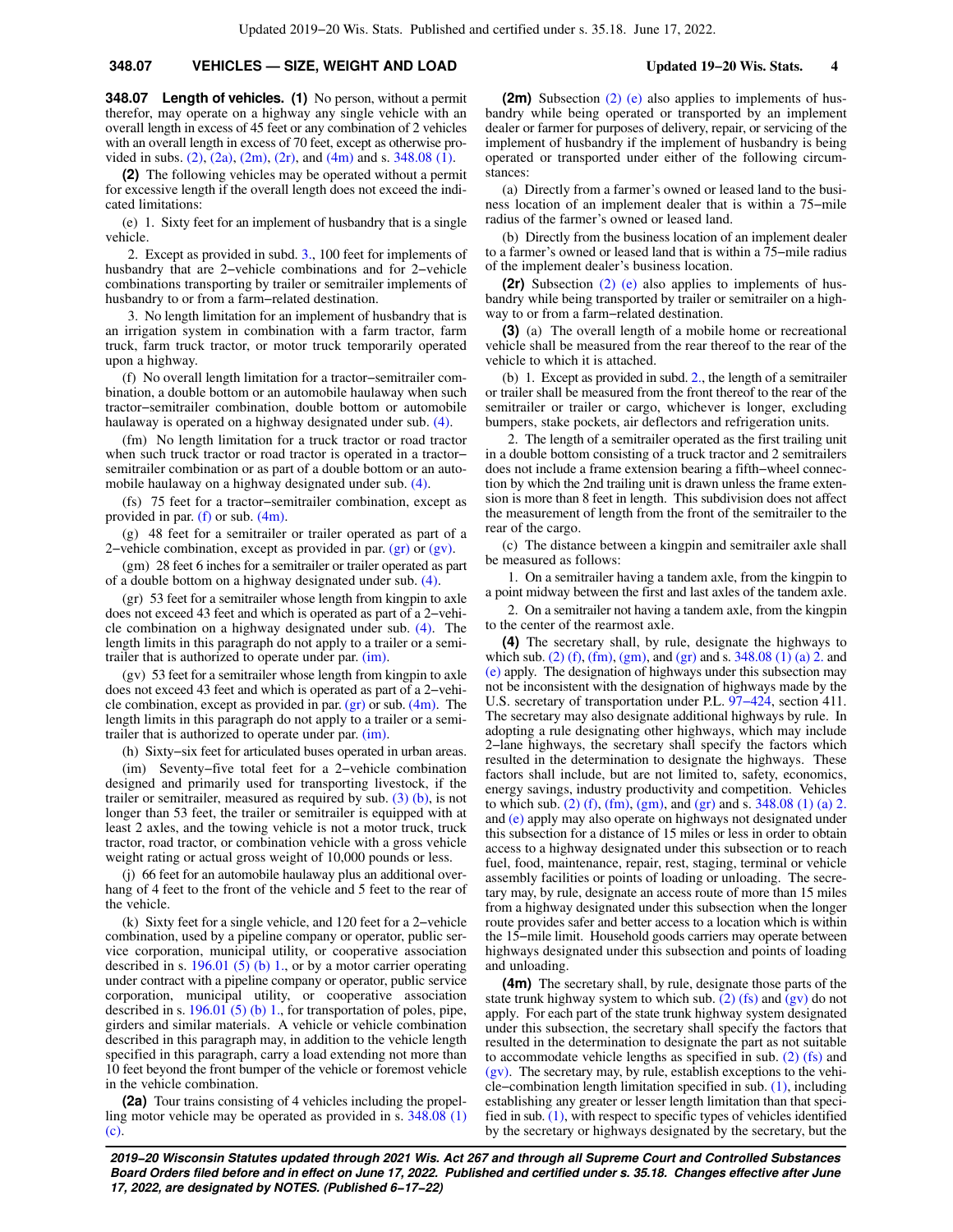### **348.07 VEHICLES — SIZE, WEIGHT AND LOAD Updated 19−20 Wis. Stats. 4**

**348.07 Length of vehicles. (1)** No person, without a permit therefor, may operate on a highway any single vehicle with an overall length in excess of 45 feet or any combination of 2 vehicles with an overall length in excess of 70 feet, except as otherwise provided in subs.  $(2)$ ,  $(2a)$ ,  $(2m)$ ,  $(2r)$ , and  $(4m)$  and s. 348.08  $(1)$ .

**(2)** The following vehicles may be operated without a permit for excessive length if the overall length does not exceed the indicated limitations:

(e) 1. Sixty feet for an implement of husbandry that is a single vehicle.

2. Except as provided in subd. [3.,](https://docs.legis.wisconsin.gov/document/statutes/348.07(2)(e)3.) 100 feet for implements of husbandry that are 2−vehicle combinations and for 2−vehicle combinations transporting by trailer or semitrailer implements of husbandry to or from a farm−related destination.

3. No length limitation for an implement of husbandry that is an irrigation system in combination with a farm tractor, farm truck, farm truck tractor, or motor truck temporarily operated upon a highway.

(f) No overall length limitation for a tractor−semitrailer combination, a double bottom or an automobile haulaway when such tractor−semitrailer combination, double bottom or automobile haulaway is operated on a highway designated under sub. [\(4\)](https://docs.legis.wisconsin.gov/document/statutes/348.07(4)).

(fm) No length limitation for a truck tractor or road tractor when such truck tractor or road tractor is operated in a tractor− semitrailer combination or as part of a double bottom or an automobile haulaway on a highway designated under sub. [\(4\).](https://docs.legis.wisconsin.gov/document/statutes/348.07(4))

(fs) 75 feet for a tractor−semitrailer combination, except as provided in par. [\(f\)](https://docs.legis.wisconsin.gov/document/statutes/348.07(2)(f)) or sub. [\(4m\).](https://docs.legis.wisconsin.gov/document/statutes/348.07(4m))

(g) 48 feet for a semitrailer or trailer operated as part of a 2−vehicle combination, except as provided in par. [\(gr\)](https://docs.legis.wisconsin.gov/document/statutes/348.07(2)(gr)) or [\(gv\).](https://docs.legis.wisconsin.gov/document/statutes/348.07(2)(gv))

(gm) 28 feet 6 inches for a semitrailer or trailer operated as part of a double bottom on a highway designated under sub. [\(4\)](https://docs.legis.wisconsin.gov/document/statutes/348.07(4)).

(gr) 53 feet for a semitrailer whose length from kingpin to axle does not exceed 43 feet and which is operated as part of a 2−vehicle combination on a highway designated under sub. [\(4\).](https://docs.legis.wisconsin.gov/document/statutes/348.07(4)) The length limits in this paragraph do not apply to a trailer or a semitrailer that is authorized to operate under par. [\(im\)](https://docs.legis.wisconsin.gov/document/statutes/348.07(2)(im)).

(gv) 53 feet for a semitrailer whose length from kingpin to axle does not exceed 43 feet and which is operated as part of a 2−vehicle combination, except as provided in par.  $(gr)$  or sub.  $(4m)$ . The length limits in this paragraph do not apply to a trailer or a semitrailer that is authorized to operate under par. [\(im\)](https://docs.legis.wisconsin.gov/document/statutes/348.07(2)(im)).

(h) Sixty−six feet for articulated buses operated in urban areas.

(im) Seventy−five total feet for a 2−vehicle combination designed and primarily used for transporting livestock, if the trailer or semitrailer, measured as required by sub.  $(3)$  (b), is not longer than 53 feet, the trailer or semitrailer is equipped with at least 2 axles, and the towing vehicle is not a motor truck, truck tractor, road tractor, or combination vehicle with a gross vehicle weight rating or actual gross weight of 10,000 pounds or less.

(j) 66 feet for an automobile haulaway plus an additional overhang of 4 feet to the front of the vehicle and 5 feet to the rear of the vehicle.

(k) Sixty feet for a single vehicle, and 120 feet for a 2−vehicle combination, used by a pipeline company or operator, public service corporation, municipal utility, or cooperative association described in s. [196.01 \(5\) \(b\) 1.,](https://docs.legis.wisconsin.gov/document/statutes/196.01(5)(b)1.) or by a motor carrier operating under contract with a pipeline company or operator, public service corporation, municipal utility, or cooperative association described in s. [196.01 \(5\) \(b\) 1.](https://docs.legis.wisconsin.gov/document/statutes/196.01(5)(b)1.), for transportation of poles, pipe, girders and similar materials. A vehicle or vehicle combination described in this paragraph may, in addition to the vehicle length specified in this paragraph, carry a load extending not more than 10 feet beyond the front bumper of the vehicle or foremost vehicle in the vehicle combination.

**(2a)** Tour trains consisting of 4 vehicles including the propelling motor vehicle may be operated as provided in s. [348.08 \(1\)](https://docs.legis.wisconsin.gov/document/statutes/348.08(1)(c)) [\(c\).](https://docs.legis.wisconsin.gov/document/statutes/348.08(1)(c))

**(2m)** Subsection [\(2\) \(e\)](https://docs.legis.wisconsin.gov/document/statutes/348.07(2)(e)) also applies to implements of husbandry while being operated or transported by an implement dealer or farmer for purposes of delivery, repair, or servicing of the implement of husbandry if the implement of husbandry is being operated or transported under either of the following circumstances:

(a) Directly from a farmer's owned or leased land to the business location of an implement dealer that is within a 75−mile radius of the farmer's owned or leased land.

(b) Directly from the business location of an implement dealer to a farmer's owned or leased land that is within a 75−mile radius of the implement dealer's business location.

**(2r)** Subsection [\(2\) \(e\)](https://docs.legis.wisconsin.gov/document/statutes/348.07(2)(e)) also applies to implements of husbandry while being transported by trailer or semitrailer on a highway to or from a farm−related destination.

**(3)** (a) The overall length of a mobile home or recreational vehicle shall be measured from the rear thereof to the rear of the vehicle to which it is attached.

(b) 1. Except as provided in subd. [2.,](https://docs.legis.wisconsin.gov/document/statutes/348.07(3)(b)2.) the length of a semitrailer or trailer shall be measured from the front thereof to the rear of the semitrailer or trailer or cargo, whichever is longer, excluding bumpers, stake pockets, air deflectors and refrigeration units.

2. The length of a semitrailer operated as the first trailing unit in a double bottom consisting of a truck tractor and 2 semitrailers does not include a frame extension bearing a fifth−wheel connection by which the 2nd trailing unit is drawn unless the frame extension is more than 8 feet in length. This subdivision does not affect the measurement of length from the front of the semitrailer to the rear of the cargo.

(c) The distance between a kingpin and semitrailer axle shall be measured as follows:

1. On a semitrailer having a tandem axle, from the kingpin to a point midway between the first and last axles of the tandem axle.

2. On a semitrailer not having a tandem axle, from the kingpin to the center of the rearmost axle.

**(4)** The secretary shall, by rule, designate the highways to which sub. [\(2\) \(f\),](https://docs.legis.wisconsin.gov/document/statutes/348.07(2)(f)) [\(fm\),](https://docs.legis.wisconsin.gov/document/statutes/348.07(2)(fm)) [\(gm\)](https://docs.legis.wisconsin.gov/document/statutes/348.07(2)(gm)), and [\(gr\)](https://docs.legis.wisconsin.gov/document/statutes/348.07(2)(gr)) and s.  $348.08$  (1) (a) 2. and [\(e\)](https://docs.legis.wisconsin.gov/document/statutes/348.08(1)(e)) apply. The designation of highways under this subsection may not be inconsistent with the designation of highways made by the U.S. secretary of transportation under P.L. [97−424,](https://docs.legis.wisconsin.gov/document/publiclaw/97-424) section 411. The secretary may also designate additional highways by rule. In adopting a rule designating other highways, which may include 2−lane highways, the secretary shall specify the factors which resulted in the determination to designate the highways. These factors shall include, but are not limited to, safety, economics, energy savings, industry productivity and competition. Vehicles to which sub. [\(2\) \(f\)](https://docs.legis.wisconsin.gov/document/statutes/348.07(2)(f)), [\(fm\),](https://docs.legis.wisconsin.gov/document/statutes/348.07(2)(fm)) [\(gm\),](https://docs.legis.wisconsin.gov/document/statutes/348.07(2)(gm)) and [\(gr\)](https://docs.legis.wisconsin.gov/document/statutes/348.07(2)(gr)) and s.  $348.08$  (1) (a) 2. and [\(e\)](https://docs.legis.wisconsin.gov/document/statutes/348.08(1)(e)) apply may also operate on highways not designated under this subsection for a distance of 15 miles or less in order to obtain access to a highway designated under this subsection or to reach fuel, food, maintenance, repair, rest, staging, terminal or vehicle assembly facilities or points of loading or unloading. The secretary may, by rule, designate an access route of more than 15 miles from a highway designated under this subsection when the longer route provides safer and better access to a location which is within the 15−mile limit. Household goods carriers may operate between highways designated under this subsection and points of loading and unloading.

**(4m)** The secretary shall, by rule, designate those parts of the state trunk highway system to which sub.  $(2)$  (fs) and  $(gv)$  do not apply. For each part of the state trunk highway system designated under this subsection, the secretary shall specify the factors that resulted in the determination to designate the part as not suitable to accommodate vehicle lengths as specified in sub. [\(2\) \(fs\)](https://docs.legis.wisconsin.gov/document/statutes/348.07(2)(fs)) and  $(gv)$ . The secretary may, by rule, establish exceptions to the vehicle−combination length limitation specified in sub. [\(1\),](https://docs.legis.wisconsin.gov/document/statutes/348.07(1)) including establishing any greater or lesser length limitation than that specified in sub. [\(1\),](https://docs.legis.wisconsin.gov/document/statutes/348.07(1)) with respect to specific types of vehicles identified by the secretary or highways designated by the secretary, but the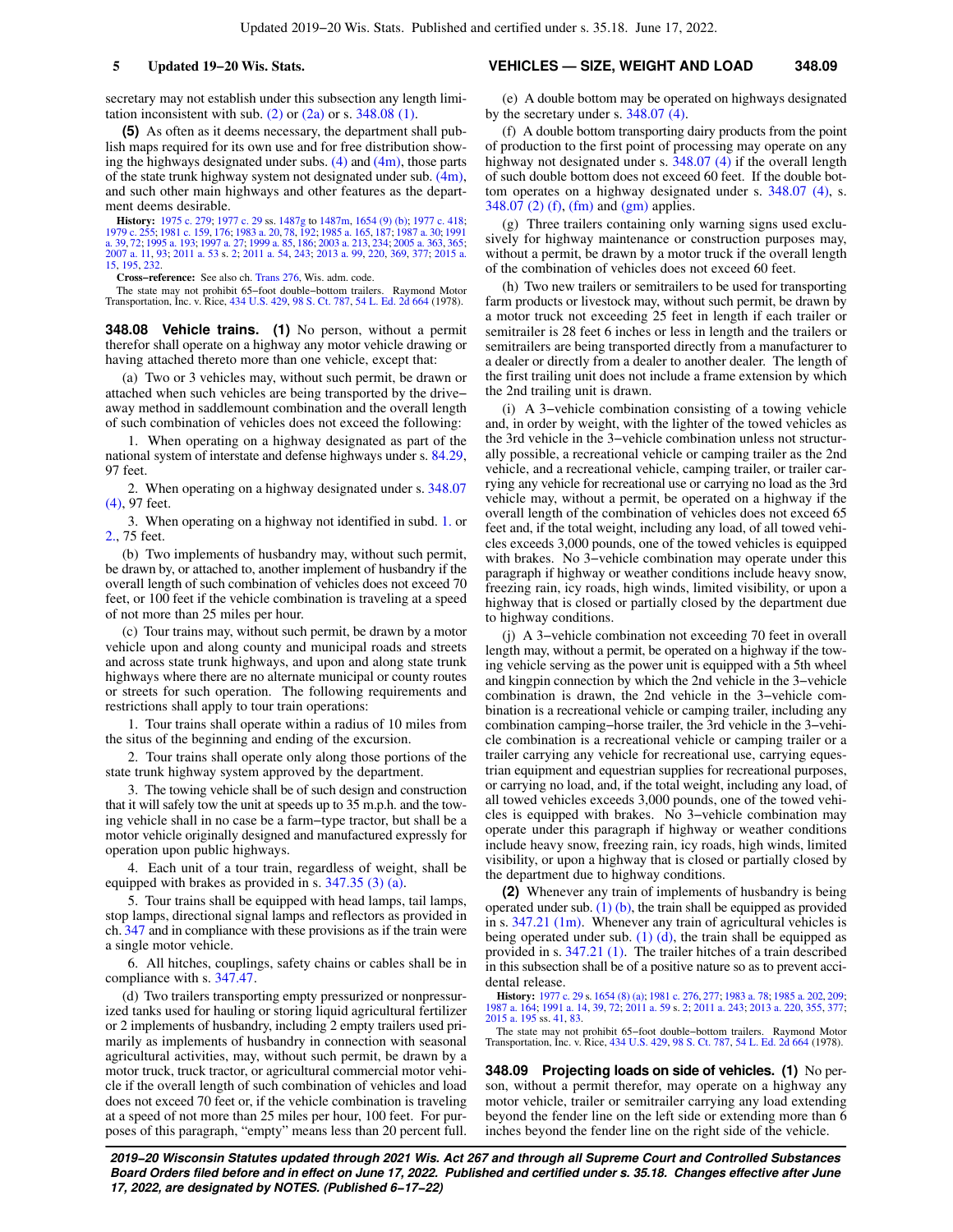secretary may not establish under this subsection any length limitation inconsistent with sub.  $(2)$  or  $(2a)$  or s. [348.08 \(1\).](https://docs.legis.wisconsin.gov/document/statutes/348.08(1))

**(5)** As often as it deems necessary, the department shall publish maps required for its own use and for free distribution showing the highways designated under subs. [\(4\)](https://docs.legis.wisconsin.gov/document/statutes/348.07(4)) and [\(4m\),](https://docs.legis.wisconsin.gov/document/statutes/348.07(4m)) those parts of the state trunk highway system not designated under sub.  $(4m)$ , and such other main highways and other features as the department deems desirable.

**History:** [1975 c. 279;](https://docs.legis.wisconsin.gov/document/acts/1975/279) [1977 c. 29](https://docs.legis.wisconsin.gov/document/acts/1977/29) ss. [1487g](https://docs.legis.wisconsin.gov/document/acts/1977/29,%20s.%201487g) to [1487m,](https://docs.legis.wisconsin.gov/document/acts/1977/29,%20s.%201487m) [1654 \(9\) \(b\);](https://docs.legis.wisconsin.gov/document/acts/1977/29,%20s.%201654) [1977 c. 418](https://docs.legis.wisconsin.gov/document/acts/1977/418); [1979 c. 255;](https://docs.legis.wisconsin.gov/document/acts/1979/255) [1981 c. 159,](https://docs.legis.wisconsin.gov/document/acts/1981/159) [176](https://docs.legis.wisconsin.gov/document/acts/1981/176); [1983 a. 20,](https://docs.legis.wisconsin.gov/document/acts/1983/20) [78,](https://docs.legis.wisconsin.gov/document/acts/1983/78) [192](https://docs.legis.wisconsin.gov/document/acts/1983/192); [1985 a. 165,](https://docs.legis.wisconsin.gov/document/acts/1985/165) [187](https://docs.legis.wisconsin.gov/document/acts/1985/187); [1987 a. 30;](https://docs.legis.wisconsin.gov/document/acts/1987/30) [1991](https://docs.legis.wisconsin.gov/document/acts/1991/39)<br>[a. 39,](https://docs.legis.wisconsin.gov/document/acts/1991/39) [72;](https://docs.legis.wisconsin.gov/document/acts/1991/72) [1995 a. 193;](https://docs.legis.wisconsin.gov/document/acts/1995/193) [1997 a. 27;](https://docs.legis.wisconsin.gov/document/acts/1997/27) [1999 a. 85](https://docs.legis.wisconsin.gov/document/acts/1999/85), [186;](https://docs.legis.wisconsin.gov/document/acts/1999/186) [2007 a. 11](https://docs.legis.wisconsin.gov/document/acts/2007/11), [93;](https://docs.legis.wisconsin.gov/document/acts/2007/93) [2011 a. 53](https://docs.legis.wisconsin.gov/document/acts/2011/53) s. [2](https://docs.legis.wisconsin.gov/document/acts/2011/53,%20s.%202); [2011 a. 54](https://docs.legis.wisconsin.gov/document/acts/2011/54), [243;](https://docs.legis.wisconsin.gov/document/acts/2011/243) [2013 a. 99](https://docs.legis.wisconsin.gov/document/acts/2013/99), [220](https://docs.legis.wisconsin.gov/document/acts/2013/220), [369](https://docs.legis.wisconsin.gov/document/acts/2013/369), [377](https://docs.legis.wisconsin.gov/document/acts/2013/377); [2015 a.](https://docs.legis.wisconsin.gov/document/acts/2015/15) [15,](https://docs.legis.wisconsin.gov/document/acts/2015/15) [195,](https://docs.legis.wisconsin.gov/document/acts/2015/195) [232.](https://docs.legis.wisconsin.gov/document/acts/2015/232)

**Cross−reference:** See also ch. [Trans 276](https://docs.legis.wisconsin.gov/document/administrativecode/ch.%20Trans%20276), Wis. adm. code.

The state may not prohibit 65−foot double−bottom trailers. Raymond Motor Transportation, Inc. v. Rice, [434 U.S. 429,](https://docs.legis.wisconsin.gov/document/courts/434%20U.S.%20429) [98 S. Ct. 787,](https://docs.legis.wisconsin.gov/document/courts/98%20S.%20Ct.%20787) [54 L. Ed. 2d 664](https://docs.legis.wisconsin.gov/document/courts/54%20L.%20Ed.%202d%20664) (1978).

**348.08 Vehicle trains. (1)** No person, without a permit therefor shall operate on a highway any motor vehicle drawing or having attached thereto more than one vehicle, except that:

(a) Two or 3 vehicles may, without such permit, be drawn or attached when such vehicles are being transported by the drive− away method in saddlemount combination and the overall length of such combination of vehicles does not exceed the following:

1. When operating on a highway designated as part of the national system of interstate and defense highways under s. [84.29,](https://docs.legis.wisconsin.gov/document/statutes/84.29) 97 feet.

2. When operating on a highway designated under s. [348.07](https://docs.legis.wisconsin.gov/document/statutes/348.07(4)) [\(4\)](https://docs.legis.wisconsin.gov/document/statutes/348.07(4)), 97 feet.

3. When operating on a highway not identified in subd. [1.](https://docs.legis.wisconsin.gov/document/statutes/348.08(1)(a)1.) or [2.,](https://docs.legis.wisconsin.gov/document/statutes/348.08(1)(a)2.) 75 feet.

(b) Two implements of husbandry may, without such permit, be drawn by, or attached to, another implement of husbandry if the overall length of such combination of vehicles does not exceed 70 feet, or 100 feet if the vehicle combination is traveling at a speed of not more than 25 miles per hour.

(c) Tour trains may, without such permit, be drawn by a motor vehicle upon and along county and municipal roads and streets and across state trunk highways, and upon and along state trunk highways where there are no alternate municipal or county routes or streets for such operation. The following requirements and restrictions shall apply to tour train operations:

1. Tour trains shall operate within a radius of 10 miles from the situs of the beginning and ending of the excursion.

2. Tour trains shall operate only along those portions of the state trunk highway system approved by the department.

3. The towing vehicle shall be of such design and construction that it will safely tow the unit at speeds up to 35 m.p.h. and the towing vehicle shall in no case be a farm−type tractor, but shall be a motor vehicle originally designed and manufactured expressly for operation upon public highways.

4. Each unit of a tour train, regardless of weight, shall be equipped with brakes as provided in s. [347.35 \(3\) \(a\)](https://docs.legis.wisconsin.gov/document/statutes/347.35(3)(a)).

5. Tour trains shall be equipped with head lamps, tail lamps, stop lamps, directional signal lamps and reflectors as provided in ch. [347](https://docs.legis.wisconsin.gov/document/statutes/ch.%20347) and in compliance with these provisions as if the train were a single motor vehicle.

6. All hitches, couplings, safety chains or cables shall be in compliance with s. [347.47](https://docs.legis.wisconsin.gov/document/statutes/347.47).

(d) Two trailers transporting empty pressurized or nonpressurized tanks used for hauling or storing liquid agricultural fertilizer or 2 implements of husbandry, including 2 empty trailers used primarily as implements of husbandry in connection with seasonal agricultural activities, may, without such permit, be drawn by a motor truck, truck tractor, or agricultural commercial motor vehicle if the overall length of such combination of vehicles and load does not exceed 70 feet or, if the vehicle combination is traveling at a speed of not more than 25 miles per hour, 100 feet. For purposes of this paragraph, "empty" means less than 20 percent full.

#### **5 Updated 19−20 Wis. Stats. VEHICLES — SIZE, WEIGHT AND LOAD 348.09**

(e) A double bottom may be operated on highways designated by the secretary under s. [348.07 \(4\)](https://docs.legis.wisconsin.gov/document/statutes/348.07(4)).

(f) A double bottom transporting dairy products from the point of production to the first point of processing may operate on any highway not designated under s. [348.07 \(4\)](https://docs.legis.wisconsin.gov/document/statutes/348.07(4)) if the overall length of such double bottom does not exceed 60 feet. If the double bottom operates on a highway designated under s. [348.07 \(4\),](https://docs.legis.wisconsin.gov/document/statutes/348.07(4)) s. [348.07 \(2\) \(f\)](https://docs.legis.wisconsin.gov/document/statutes/348.07(2)(f)), [\(fm\)](https://docs.legis.wisconsin.gov/document/statutes/348.07(2)(fm)) and [\(gm\)](https://docs.legis.wisconsin.gov/document/statutes/348.07(2)(gm)) applies.

(g) Three trailers containing only warning signs used exclusively for highway maintenance or construction purposes may, without a permit, be drawn by a motor truck if the overall length of the combination of vehicles does not exceed 60 feet.

(h) Two new trailers or semitrailers to be used for transporting farm products or livestock may, without such permit, be drawn by a motor truck not exceeding 25 feet in length if each trailer or semitrailer is 28 feet 6 inches or less in length and the trailers or semitrailers are being transported directly from a manufacturer to a dealer or directly from a dealer to another dealer. The length of the first trailing unit does not include a frame extension by which the 2nd trailing unit is drawn.

(i) A 3−vehicle combination consisting of a towing vehicle and, in order by weight, with the lighter of the towed vehicles as the 3rd vehicle in the 3−vehicle combination unless not structurally possible, a recreational vehicle or camping trailer as the 2nd vehicle, and a recreational vehicle, camping trailer, or trailer carrying any vehicle for recreational use or carrying no load as the 3rd vehicle may, without a permit, be operated on a highway if the overall length of the combination of vehicles does not exceed 65 feet and, if the total weight, including any load, of all towed vehicles exceeds 3,000 pounds, one of the towed vehicles is equipped with brakes. No 3−vehicle combination may operate under this paragraph if highway or weather conditions include heavy snow, freezing rain, icy roads, high winds, limited visibility, or upon a highway that is closed or partially closed by the department due to highway conditions.

(j) A 3−vehicle combination not exceeding 70 feet in overall length may, without a permit, be operated on a highway if the towing vehicle serving as the power unit is equipped with a 5th wheel and kingpin connection by which the 2nd vehicle in the 3−vehicle combination is drawn, the 2nd vehicle in the 3−vehicle combination is a recreational vehicle or camping trailer, including any combination camping−horse trailer, the 3rd vehicle in the 3−vehicle combination is a recreational vehicle or camping trailer or a trailer carrying any vehicle for recreational use, carrying equestrian equipment and equestrian supplies for recreational purposes, or carrying no load, and, if the total weight, including any load, of all towed vehicles exceeds 3,000 pounds, one of the towed vehicles is equipped with brakes. No 3−vehicle combination may operate under this paragraph if highway or weather conditions include heavy snow, freezing rain, icy roads, high winds, limited visibility, or upon a highway that is closed or partially closed by the department due to highway conditions.

**(2)** Whenever any train of implements of husbandry is being operated under sub.  $(1)$  (b), the train shall be equipped as provided in s. [347.21 \(1m\).](https://docs.legis.wisconsin.gov/document/statutes/347.21(1m)) Whenever any train of agricultural vehicles is being operated under sub.  $(1)$   $(d)$ , the train shall be equipped as provided in s. [347.21 \(1\).](https://docs.legis.wisconsin.gov/document/statutes/347.21(1)) The trailer hitches of a train described in this subsection shall be of a positive nature so as to prevent accidental release.

**History:** [1977 c. 29](https://docs.legis.wisconsin.gov/document/acts/1977/29) s. [1654 \(8\) \(a\)](https://docs.legis.wisconsin.gov/document/acts/1977/29,%20s.%201654); [1981 c. 276](https://docs.legis.wisconsin.gov/document/acts/1981/276), [277;](https://docs.legis.wisconsin.gov/document/acts/1981/277) [1983 a. 78;](https://docs.legis.wisconsin.gov/document/acts/1983/78) [1985 a. 202,](https://docs.legis.wisconsin.gov/document/acts/1985/202) [209](https://docs.legis.wisconsin.gov/document/acts/1985/209); [1987 a. 164;](https://docs.legis.wisconsin.gov/document/acts/1987/164) [1991 a. 14,](https://docs.legis.wisconsin.gov/document/acts/1991/14) [39](https://docs.legis.wisconsin.gov/document/acts/1991/39), [72](https://docs.legis.wisconsin.gov/document/acts/1991/72); [2011 a. 59](https://docs.legis.wisconsin.gov/document/acts/2011/59) s. [2](https://docs.legis.wisconsin.gov/document/acts/2011/59,%20s.%202); [2011 a. 243](https://docs.legis.wisconsin.gov/document/acts/2011/243); [2013 a. 220](https://docs.legis.wisconsin.gov/document/acts/2013/220), [355](https://docs.legis.wisconsin.gov/document/acts/2013/355), [377](https://docs.legis.wisconsin.gov/document/acts/2013/377); [2015 a. 195](https://docs.legis.wisconsin.gov/document/acts/2015/195) ss. [41,](https://docs.legis.wisconsin.gov/document/acts/2015/195,%20s.%2041) [83](https://docs.legis.wisconsin.gov/document/acts/2015/195,%20s.%2083).

The state may not prohibit 65−foot double−bottom trailers. Raymond Motor Transportation, Inc. v. Rice, [434 U.S. 429,](https://docs.legis.wisconsin.gov/document/courts/434%20U.S.%20429) [98 S. Ct. 787](https://docs.legis.wisconsin.gov/document/courts/98%20S.%20Ct.%20787), [54 L. Ed. 2d 664](https://docs.legis.wisconsin.gov/document/courts/54%20L.%20Ed.%202d%20664) (1978).

**348.09 Projecting loads on side of vehicles. (1)** No person, without a permit therefor, may operate on a highway any motor vehicle, trailer or semitrailer carrying any load extending beyond the fender line on the left side or extending more than 6 inches beyond the fender line on the right side of the vehicle.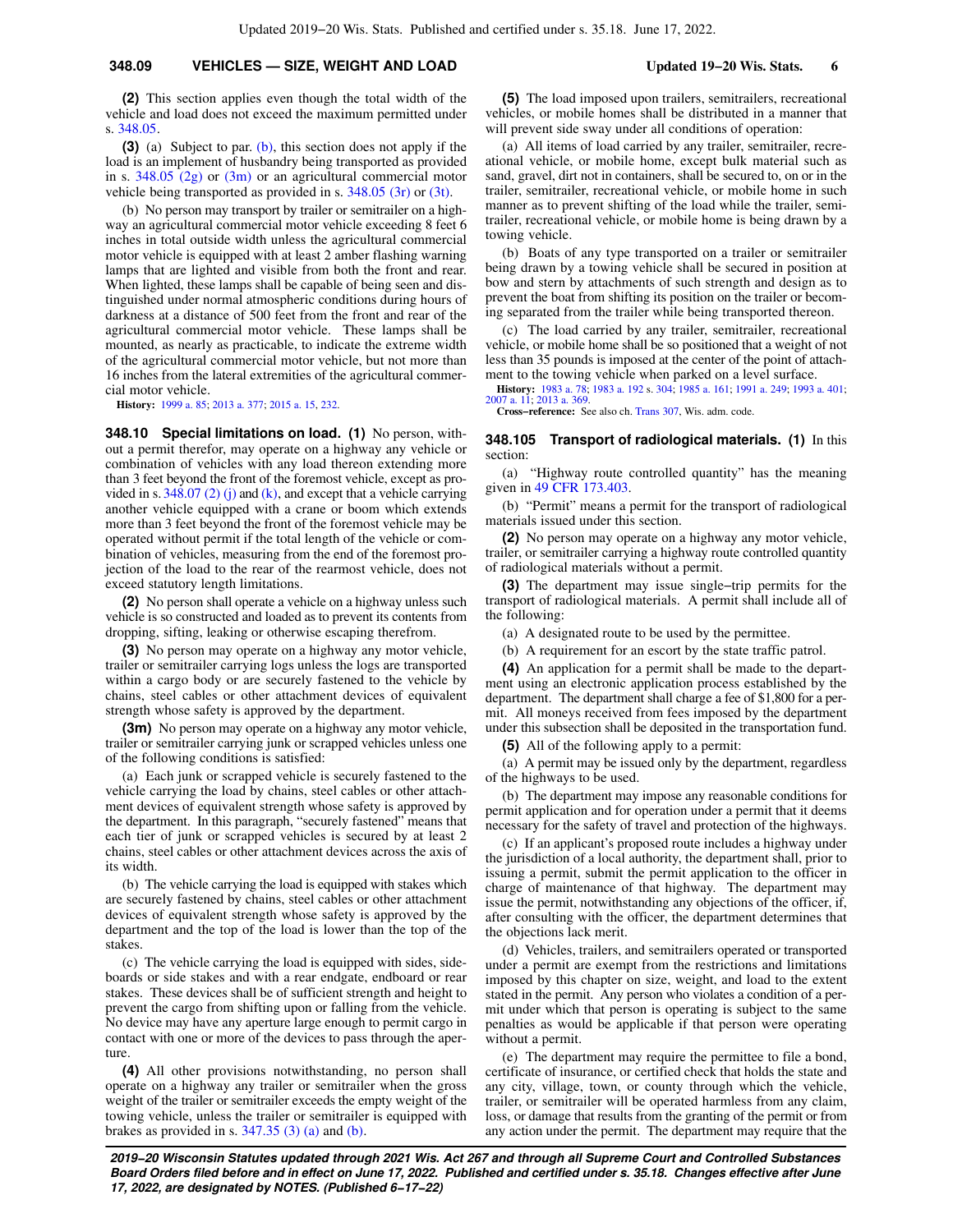#### **348.09 VEHICLES — SIZE, WEIGHT AND LOAD Updated 19−20 Wis. Stats. 6**

**(2)** This section applies even though the total width of the vehicle and load does not exceed the maximum permitted under s. [348.05.](https://docs.legis.wisconsin.gov/document/statutes/348.05)

**(3)** (a) Subject to par. [\(b\)](https://docs.legis.wisconsin.gov/document/statutes/348.09(3)(b)), this section does not apply if the load is an implement of husbandry being transported as provided in s. [348.05 \(2g\)](https://docs.legis.wisconsin.gov/document/statutes/348.05(2g)) or [\(3m\)](https://docs.legis.wisconsin.gov/document/statutes/348.05(3m)) or an agricultural commercial motor vehicle being transported as provided in s. [348.05 \(3r\)](https://docs.legis.wisconsin.gov/document/statutes/348.05(3r)) or [\(3t\)](https://docs.legis.wisconsin.gov/document/statutes/348.05(3t)).

(b) No person may transport by trailer or semitrailer on a highway an agricultural commercial motor vehicle exceeding 8 feet 6 inches in total outside width unless the agricultural commercial motor vehicle is equipped with at least 2 amber flashing warning lamps that are lighted and visible from both the front and rear. When lighted, these lamps shall be capable of being seen and distinguished under normal atmospheric conditions during hours of darkness at a distance of 500 feet from the front and rear of the agricultural commercial motor vehicle. These lamps shall be mounted, as nearly as practicable, to indicate the extreme width of the agricultural commercial motor vehicle, but not more than 16 inches from the lateral extremities of the agricultural commercial motor vehicle.

**History:** [1999 a. 85;](https://docs.legis.wisconsin.gov/document/acts/1999/85) [2013 a. 377;](https://docs.legis.wisconsin.gov/document/acts/2013/377) [2015 a. 15,](https://docs.legis.wisconsin.gov/document/acts/2015/15) [232.](https://docs.legis.wisconsin.gov/document/acts/2015/232)

**348.10 Special limitations on load. (1)** No person, without a permit therefor, may operate on a highway any vehicle or combination of vehicles with any load thereon extending more than 3 feet beyond the front of the foremost vehicle, except as provided in s.  $348.07$  (2) (j) and [\(k\)](https://docs.legis.wisconsin.gov/document/statutes/348.07(2)(k)), and except that a vehicle carrying another vehicle equipped with a crane or boom which extends more than 3 feet beyond the front of the foremost vehicle may be operated without permit if the total length of the vehicle or combination of vehicles, measuring from the end of the foremost projection of the load to the rear of the rearmost vehicle, does not exceed statutory length limitations.

**(2)** No person shall operate a vehicle on a highway unless such vehicle is so constructed and loaded as to prevent its contents from dropping, sifting, leaking or otherwise escaping therefrom.

**(3)** No person may operate on a highway any motor vehicle, trailer or semitrailer carrying logs unless the logs are transported within a cargo body or are securely fastened to the vehicle by chains, steel cables or other attachment devices of equivalent strength whose safety is approved by the department.

**(3m)** No person may operate on a highway any motor vehicle, trailer or semitrailer carrying junk or scrapped vehicles unless one of the following conditions is satisfied:

(a) Each junk or scrapped vehicle is securely fastened to the vehicle carrying the load by chains, steel cables or other attachment devices of equivalent strength whose safety is approved by the department. In this paragraph, "securely fastened" means that each tier of junk or scrapped vehicles is secured by at least 2 chains, steel cables or other attachment devices across the axis of its width.

(b) The vehicle carrying the load is equipped with stakes which are securely fastened by chains, steel cables or other attachment devices of equivalent strength whose safety is approved by the department and the top of the load is lower than the top of the stakes.

(c) The vehicle carrying the load is equipped with sides, sideboards or side stakes and with a rear endgate, endboard or rear stakes. These devices shall be of sufficient strength and height to prevent the cargo from shifting upon or falling from the vehicle. No device may have any aperture large enough to permit cargo in contact with one or more of the devices to pass through the aperture.

**(4)** All other provisions notwithstanding, no person shall operate on a highway any trailer or semitrailer when the gross weight of the trailer or semitrailer exceeds the empty weight of the towing vehicle, unless the trailer or semitrailer is equipped with brakes as provided in s.  $347.35$  (3) (a) and [\(b\).](https://docs.legis.wisconsin.gov/document/statutes/347.35(3)(b))

**(5)** The load imposed upon trailers, semitrailers, recreational vehicles, or mobile homes shall be distributed in a manner that will prevent side sway under all conditions of operation:

(a) All items of load carried by any trailer, semitrailer, recreational vehicle, or mobile home, except bulk material such as sand, gravel, dirt not in containers, shall be secured to, on or in the trailer, semitrailer, recreational vehicle, or mobile home in such manner as to prevent shifting of the load while the trailer, semitrailer, recreational vehicle, or mobile home is being drawn by a towing vehicle.

(b) Boats of any type transported on a trailer or semitrailer being drawn by a towing vehicle shall be secured in position at bow and stern by attachments of such strength and design as to prevent the boat from shifting its position on the trailer or becoming separated from the trailer while being transported thereon.

(c) The load carried by any trailer, semitrailer, recreational vehicle, or mobile home shall be so positioned that a weight of not less than 35 pounds is imposed at the center of the point of attachment to the towing vehicle when parked on a level surface.

**History:** [1983 a. 78](https://docs.legis.wisconsin.gov/document/acts/1983/78); [1983 a. 192](https://docs.legis.wisconsin.gov/document/acts/1983/192) s. [304](https://docs.legis.wisconsin.gov/document/acts/1983/192,%20s.%20304); [1985 a. 161;](https://docs.legis.wisconsin.gov/document/acts/1985/161) [1991 a. 249;](https://docs.legis.wisconsin.gov/document/acts/1991/249) [1993 a. 401](https://docs.legis.wisconsin.gov/document/acts/1993/401); [2007 a. 11](https://docs.legis.wisconsin.gov/document/acts/2007/11); [2013 a. 369.](https://docs.legis.wisconsin.gov/document/acts/2013/369) **Cross−reference:** See also ch. [Trans 307](https://docs.legis.wisconsin.gov/document/administrativecode/ch.%20Trans%20307), Wis. adm. code.

**348.105 Transport of radiological materials. (1)** In this

section:

(a) "Highway route controlled quantity" has the meaning given in [49 CFR 173.403.](https://docs.legis.wisconsin.gov/document/cfr/49%20CFR%20173.403)

(b) "Permit" means a permit for the transport of radiological materials issued under this section.

**(2)** No person may operate on a highway any motor vehicle, trailer, or semitrailer carrying a highway route controlled quantity of radiological materials without a permit.

**(3)** The department may issue single−trip permits for the transport of radiological materials. A permit shall include all of the following:

(a) A designated route to be used by the permittee.

(b) A requirement for an escort by the state traffic patrol.

**(4)** An application for a permit shall be made to the department using an electronic application process established by the department. The department shall charge a fee of \$1,800 for a permit. All moneys received from fees imposed by the department under this subsection shall be deposited in the transportation fund.

**(5)** All of the following apply to a permit:

(a) A permit may be issued only by the department, regardless of the highways to be used.

(b) The department may impose any reasonable conditions for permit application and for operation under a permit that it deems necessary for the safety of travel and protection of the highways.

(c) If an applicant's proposed route includes a highway under the jurisdiction of a local authority, the department shall, prior to issuing a permit, submit the permit application to the officer in charge of maintenance of that highway. The department may issue the permit, notwithstanding any objections of the officer, if, after consulting with the officer, the department determines that the objections lack merit.

(d) Vehicles, trailers, and semitrailers operated or transported under a permit are exempt from the restrictions and limitations imposed by this chapter on size, weight, and load to the extent stated in the permit. Any person who violates a condition of a permit under which that person is operating is subject to the same penalties as would be applicable if that person were operating without a permit.

(e) The department may require the permittee to file a bond, certificate of insurance, or certified check that holds the state and any city, village, town, or county through which the vehicle, trailer, or semitrailer will be operated harmless from any claim, loss, or damage that results from the granting of the permit or from any action under the permit. The department may require that the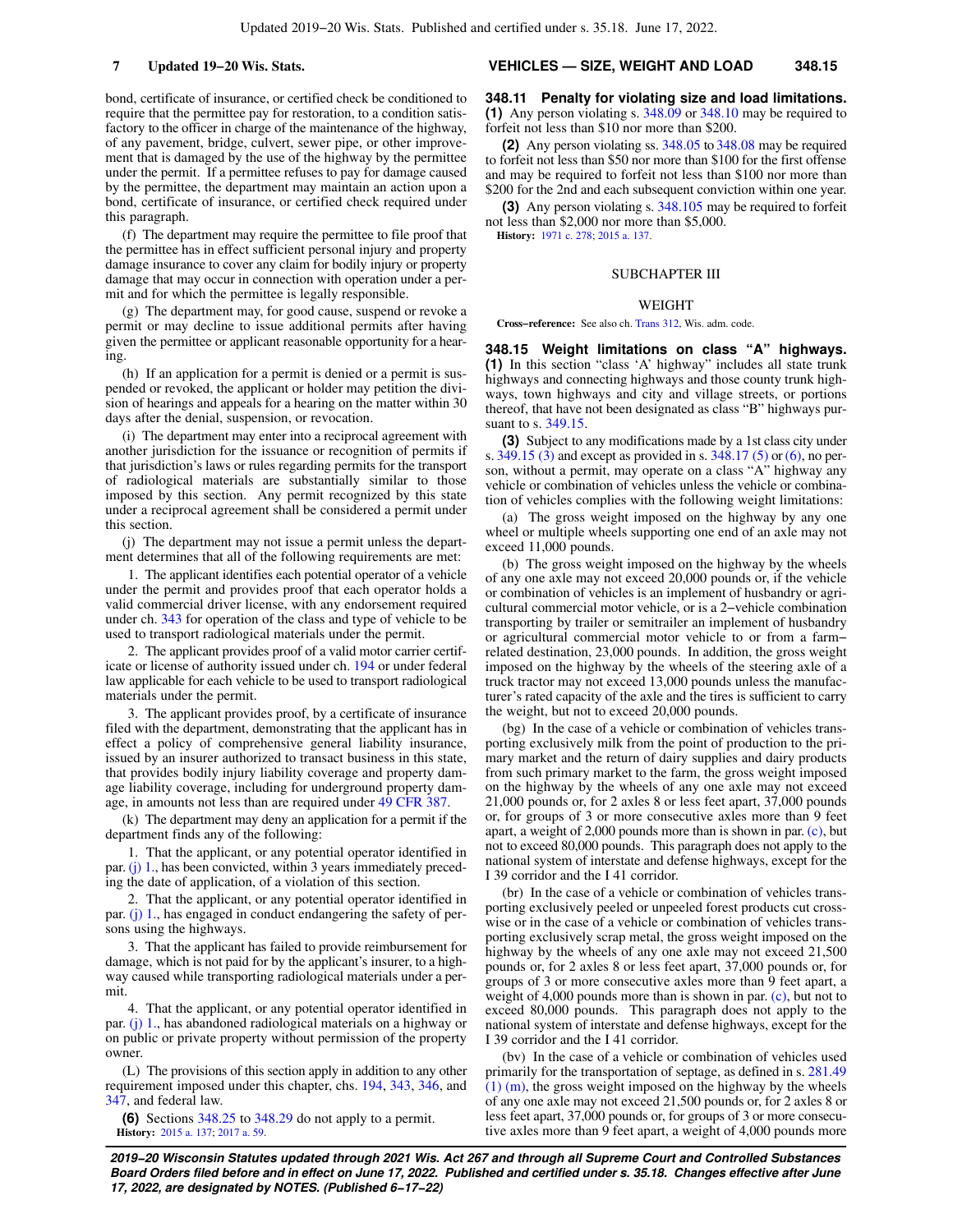bond, certificate of insurance, or certified check be conditioned to require that the permittee pay for restoration, to a condition satisfactory to the officer in charge of the maintenance of the highway, of any pavement, bridge, culvert, sewer pipe, or other improvement that is damaged by the use of the highway by the permittee under the permit. If a permittee refuses to pay for damage caused by the permittee, the department may maintain an action upon a bond, certificate of insurance, or certified check required under this paragraph.

(f) The department may require the permittee to file proof that the permittee has in effect sufficient personal injury and property damage insurance to cover any claim for bodily injury or property damage that may occur in connection with operation under a permit and for which the permittee is legally responsible.

(g) The department may, for good cause, suspend or revoke a permit or may decline to issue additional permits after having given the permittee or applicant reasonable opportunity for a hearing.

(h) If an application for a permit is denied or a permit is suspended or revoked, the applicant or holder may petition the division of hearings and appeals for a hearing on the matter within 30 days after the denial, suspension, or revocation.

(i) The department may enter into a reciprocal agreement with another jurisdiction for the issuance or recognition of permits if that jurisdiction's laws or rules regarding permits for the transport of radiological materials are substantially similar to those imposed by this section. Any permit recognized by this state under a reciprocal agreement shall be considered a permit under this section.

(j) The department may not issue a permit unless the department determines that all of the following requirements are met:

1. The applicant identifies each potential operator of a vehicle under the permit and provides proof that each operator holds a valid commercial driver license, with any endorsement required under ch. [343](https://docs.legis.wisconsin.gov/document/statutes/ch.%20343) for operation of the class and type of vehicle to be used to transport radiological materials under the permit.

2. The applicant provides proof of a valid motor carrier certificate or license of authority issued under ch. [194](https://docs.legis.wisconsin.gov/document/statutes/ch.%20194) or under federal law applicable for each vehicle to be used to transport radiological materials under the permit.

3. The applicant provides proof, by a certificate of insurance filed with the department, demonstrating that the applicant has in effect a policy of comprehensive general liability insurance, issued by an insurer authorized to transact business in this state, that provides bodily injury liability coverage and property damage liability coverage, including for underground property damage, in amounts not less than are required under [49 CFR 387](https://docs.legis.wisconsin.gov/document/cfr/49%20CFR%20387).

(k) The department may deny an application for a permit if the department finds any of the following:

1. That the applicant, or any potential operator identified in par. [\(j\) 1.,](https://docs.legis.wisconsin.gov/document/statutes/348.105(5)(j)1.) has been convicted, within 3 years immediately preceding the date of application, of a violation of this section.

2. That the applicant, or any potential operator identified in par. [\(j\) 1.,](https://docs.legis.wisconsin.gov/document/statutes/348.105(5)(j)1.) has engaged in conduct endangering the safety of persons using the highways.

3. That the applicant has failed to provide reimbursement for damage, which is not paid for by the applicant's insurer, to a highway caused while transporting radiological materials under a permit.

4. That the applicant, or any potential operator identified in par. [\(j\) 1.,](https://docs.legis.wisconsin.gov/document/statutes/348.105(5)(j)1.) has abandoned radiological materials on a highway or on public or private property without permission of the property owner.

(L) The provisions of this section apply in addition to any other requirement imposed under this chapter, chs. [194](https://docs.legis.wisconsin.gov/document/statutes/ch.%20194), [343](https://docs.legis.wisconsin.gov/document/statutes/ch.%20343), [346](https://docs.legis.wisconsin.gov/document/statutes/ch.%20346), and [347](https://docs.legis.wisconsin.gov/document/statutes/ch.%20347), and federal law.

**(6)** Sections [348.25](https://docs.legis.wisconsin.gov/document/statutes/348.25) to [348.29](https://docs.legis.wisconsin.gov/document/statutes/348.29) do not apply to a permit. **History:** [2015 a. 137](https://docs.legis.wisconsin.gov/document/acts/2015/137); [2017 a. 59.](https://docs.legis.wisconsin.gov/document/acts/2017/59)

#### **7 Updated 19−20 Wis. Stats. VEHICLES — SIZE, WEIGHT AND LOAD 348.15**

**348.11 Penalty for violating size and load limitations. (1)** Any person violating s. [348.09](https://docs.legis.wisconsin.gov/document/statutes/348.09) or [348.10](https://docs.legis.wisconsin.gov/document/statutes/348.10) may be required to forfeit not less than \$10 nor more than \$200.

**(2)** Any person violating ss. [348.05](https://docs.legis.wisconsin.gov/document/statutes/348.05) to [348.08](https://docs.legis.wisconsin.gov/document/statutes/348.08) may be required to forfeit not less than \$50 nor more than \$100 for the first offense and may be required to forfeit not less than \$100 nor more than \$200 for the 2nd and each subsequent conviction within one year.

**(3)** Any person violating s. [348.105](https://docs.legis.wisconsin.gov/document/statutes/348.105) may be required to forfeit not less than \$2,000 nor more than \$5,000. **History:** [1971 c. 278;](https://docs.legis.wisconsin.gov/document/acts/1971/278) [2015 a. 137](https://docs.legis.wisconsin.gov/document/acts/2015/137).

# SUBCHAPTER III

### WEIGHT

**Cross−reference:** See also ch. [Trans 312](https://docs.legis.wisconsin.gov/document/administrativecode/ch.%20Trans%20312), Wis. adm. code.

**348.15 Weight limitations on class "A" highways. (1)** In this section "class 'A' highway" includes all state trunk highways and connecting highways and those county trunk highways, town highways and city and village streets, or portions thereof, that have not been designated as class "B" highways pursuant to s. [349.15.](https://docs.legis.wisconsin.gov/document/statutes/349.15)

**(3)** Subject to any modifications made by a 1st class city under s. [349.15 \(3\)](https://docs.legis.wisconsin.gov/document/statutes/349.15(3)) and except as provided in s. [348.17 \(5\)](https://docs.legis.wisconsin.gov/document/statutes/348.17(5)) or [\(6\)](https://docs.legis.wisconsin.gov/document/statutes/348.17(6)), no person, without a permit, may operate on a class "A" highway any vehicle or combination of vehicles unless the vehicle or combination of vehicles complies with the following weight limitations:

(a) The gross weight imposed on the highway by any one wheel or multiple wheels supporting one end of an axle may not exceed 11,000 pounds.

(b) The gross weight imposed on the highway by the wheels of any one axle may not exceed 20,000 pounds or, if the vehicle or combination of vehicles is an implement of husbandry or agricultural commercial motor vehicle, or is a 2−vehicle combination transporting by trailer or semitrailer an implement of husbandry or agricultural commercial motor vehicle to or from a farm− related destination, 23,000 pounds. In addition, the gross weight imposed on the highway by the wheels of the steering axle of a truck tractor may not exceed 13,000 pounds unless the manufacturer's rated capacity of the axle and the tires is sufficient to carry the weight, but not to exceed 20,000 pounds.

(bg) In the case of a vehicle or combination of vehicles transporting exclusively milk from the point of production to the primary market and the return of dairy supplies and dairy products from such primary market to the farm, the gross weight imposed on the highway by the wheels of any one axle may not exceed 21,000 pounds or, for 2 axles 8 or less feet apart, 37,000 pounds or, for groups of 3 or more consecutive axles more than 9 feet apart, a weight of 2,000 pounds more than is shown in par. [\(c\),](https://docs.legis.wisconsin.gov/document/statutes/348.15(3)(c)) but not to exceed 80,000 pounds. This paragraph does not apply to the national system of interstate and defense highways, except for the I 39 corridor and the I 41 corridor.

(br) In the case of a vehicle or combination of vehicles transporting exclusively peeled or unpeeled forest products cut crosswise or in the case of a vehicle or combination of vehicles transporting exclusively scrap metal, the gross weight imposed on the highway by the wheels of any one axle may not exceed 21,500 pounds or, for 2 axles 8 or less feet apart, 37,000 pounds or, for groups of 3 or more consecutive axles more than 9 feet apart, a weight of 4,000 pounds more than is shown in par. [\(c\),](https://docs.legis.wisconsin.gov/document/statutes/348.15(3)(c)) but not to exceed 80,000 pounds. This paragraph does not apply to the national system of interstate and defense highways, except for the I 39 corridor and the I 41 corridor.

(bv) In the case of a vehicle or combination of vehicles used primarily for the transportation of septage, as defined in s. [281.49](https://docs.legis.wisconsin.gov/document/statutes/281.49(1)(m)) [\(1\) \(m\),](https://docs.legis.wisconsin.gov/document/statutes/281.49(1)(m)) the gross weight imposed on the highway by the wheels of any one axle may not exceed 21,500 pounds or, for 2 axles 8 or less feet apart, 37,000 pounds or, for groups of 3 or more consecutive axles more than 9 feet apart, a weight of 4,000 pounds more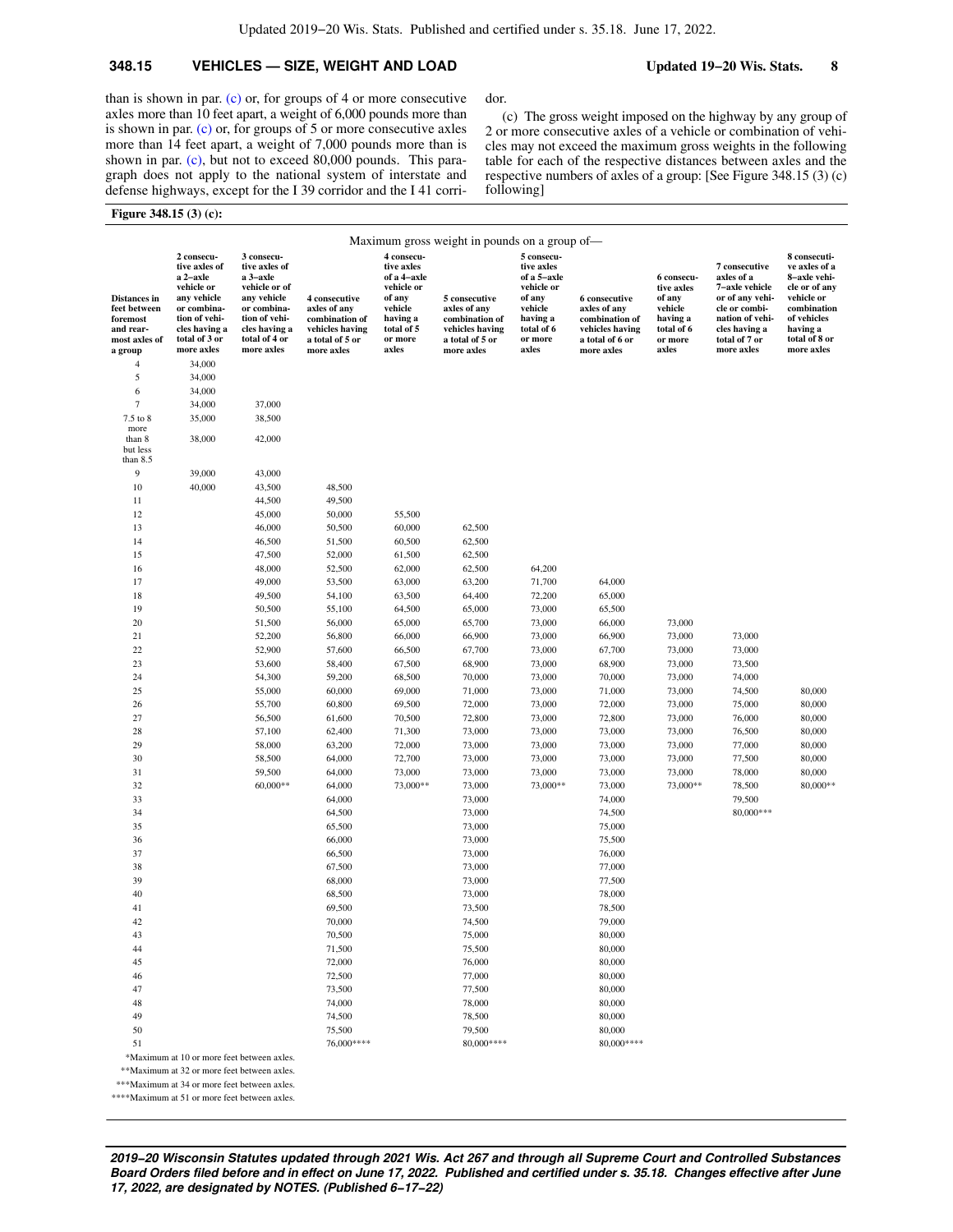dor.

following]

### **348.15 VEHICLES — SIZE, WEIGHT AND LOAD Updated 19−20 Wis. Stats. 8**

(c) The gross weight imposed on the highway by any group of 2 or more consecutive axles of a vehicle or combination of vehicles may not exceed the maximum gross weights in the following table for each of the respective distances between axles and the respective numbers of axles of a group: [See Figure 348.15 (3) (c)

than is shown in par. [\(c\)](https://docs.legis.wisconsin.gov/document/statutes/348.15(3)(c)) or, for groups of 4 or more consecutive axles more than 10 feet apart, a weight of 6,000 pounds more than is shown in par. [\(c\)](https://docs.legis.wisconsin.gov/document/statutes/348.15(3)(c)) or, for groups of 5 or more consecutive axles more than 14 feet apart, a weight of 7,000 pounds more than is shown in par. [\(c\),](https://docs.legis.wisconsin.gov/document/statutes/348.15(3)(c)) but not to exceed 80,000 pounds. This paragraph does not apply to the national system of interstate and defense highways, except for the I 39 corridor and the I 41 corri-

#### **Figure 348.15 (3) (c):**

|                                                                        |                                                                                                                                        |                                                                                                                                           |                                                                                       |                                                                                                                 | Maximum gross weight in pounds on a group of—                                         |                                                                                                                 |                                                                                       |                                                                                    |                                                                                                                                        |                                                                                                                                         |
|------------------------------------------------------------------------|----------------------------------------------------------------------------------------------------------------------------------------|-------------------------------------------------------------------------------------------------------------------------------------------|---------------------------------------------------------------------------------------|-----------------------------------------------------------------------------------------------------------------|---------------------------------------------------------------------------------------|-----------------------------------------------------------------------------------------------------------------|---------------------------------------------------------------------------------------|------------------------------------------------------------------------------------|----------------------------------------------------------------------------------------------------------------------------------------|-----------------------------------------------------------------------------------------------------------------------------------------|
| Distances in<br>feet between<br>foremost<br>and rear-<br>most axles of | 2 consecu-<br>tive axles of<br>a 2-axle<br>vehicle or<br>any vehicle<br>or combina-<br>tion of vehi-<br>cles having a<br>total of 3 or | 3 consecu-<br>tive axles of<br>a 3-axle<br>vehicle or of<br>any vehicle<br>or combina-<br>tion of vehi-<br>cles having a<br>total of 4 or | 4 consecutive<br>axles of any<br>combination of<br>vehicles having<br>a total of 5 or | 4 consecu-<br>tive axles<br>of a 4-axle<br>vehicle or<br>of any<br>vehicle<br>having a<br>total of 5<br>or more | 5 consecutive<br>axles of any<br>combination of<br>vehicles having<br>a total of 5 or | 5 consecu-<br>tive axles<br>of a 5-axle<br>vehicle or<br>of any<br>vehicle<br>having a<br>total of 6<br>or more | 6 consecutive<br>axles of any<br>combination of<br>vehicles having<br>a total of 6 or | 6 consecu-<br>tive axles<br>of any<br>vehicle<br>having a<br>total of 6<br>or more | 7 consecutive<br>axles of a<br>7-axle vehicle<br>or of any vehi-<br>cle or combi-<br>nation of vehi-<br>cles having a<br>total of 7 or | 8 consecuti-<br>ve axles of a<br>8-axle vehi-<br>cle or of any<br>vehicle or<br>combination<br>of vehicles<br>having a<br>total of 8 or |
| a group                                                                | more axles                                                                                                                             | more axles                                                                                                                                | more axles                                                                            | axles                                                                                                           | more axles                                                                            | axles                                                                                                           | more axles                                                                            | axles                                                                              | more axles                                                                                                                             | more axles                                                                                                                              |
| $\overline{4}$<br>5                                                    | 34,000<br>34,000                                                                                                                       |                                                                                                                                           |                                                                                       |                                                                                                                 |                                                                                       |                                                                                                                 |                                                                                       |                                                                                    |                                                                                                                                        |                                                                                                                                         |
| 6                                                                      | 34,000                                                                                                                                 |                                                                                                                                           |                                                                                       |                                                                                                                 |                                                                                       |                                                                                                                 |                                                                                       |                                                                                    |                                                                                                                                        |                                                                                                                                         |
| 7                                                                      | 34,000                                                                                                                                 | 37,000                                                                                                                                    |                                                                                       |                                                                                                                 |                                                                                       |                                                                                                                 |                                                                                       |                                                                                    |                                                                                                                                        |                                                                                                                                         |
| 7.5 to 8                                                               | 35,000                                                                                                                                 | 38,500                                                                                                                                    |                                                                                       |                                                                                                                 |                                                                                       |                                                                                                                 |                                                                                       |                                                                                    |                                                                                                                                        |                                                                                                                                         |
| more<br>than 8<br>but less<br>than $8.5$                               | 38,000                                                                                                                                 | 42,000                                                                                                                                    |                                                                                       |                                                                                                                 |                                                                                       |                                                                                                                 |                                                                                       |                                                                                    |                                                                                                                                        |                                                                                                                                         |
| 9                                                                      | 39,000                                                                                                                                 | 43,000                                                                                                                                    |                                                                                       |                                                                                                                 |                                                                                       |                                                                                                                 |                                                                                       |                                                                                    |                                                                                                                                        |                                                                                                                                         |
| 10                                                                     | 40,000                                                                                                                                 | 43,500                                                                                                                                    | 48,500                                                                                |                                                                                                                 |                                                                                       |                                                                                                                 |                                                                                       |                                                                                    |                                                                                                                                        |                                                                                                                                         |
| 11                                                                     |                                                                                                                                        | 44,500                                                                                                                                    | 49,500                                                                                |                                                                                                                 |                                                                                       |                                                                                                                 |                                                                                       |                                                                                    |                                                                                                                                        |                                                                                                                                         |
| 12                                                                     |                                                                                                                                        | 45,000                                                                                                                                    | 50,000                                                                                | 55,500                                                                                                          |                                                                                       |                                                                                                                 |                                                                                       |                                                                                    |                                                                                                                                        |                                                                                                                                         |
| 13                                                                     |                                                                                                                                        | 46,000                                                                                                                                    | 50,500                                                                                | 60,000                                                                                                          | 62,500                                                                                |                                                                                                                 |                                                                                       |                                                                                    |                                                                                                                                        |                                                                                                                                         |
| 14                                                                     |                                                                                                                                        | 46,500                                                                                                                                    | 51,500                                                                                | 60,500                                                                                                          | 62,500                                                                                |                                                                                                                 |                                                                                       |                                                                                    |                                                                                                                                        |                                                                                                                                         |
| 15                                                                     |                                                                                                                                        | 47,500                                                                                                                                    | 52,000                                                                                | 61,500                                                                                                          | 62,500                                                                                |                                                                                                                 |                                                                                       |                                                                                    |                                                                                                                                        |                                                                                                                                         |
| 16                                                                     |                                                                                                                                        | 48,000                                                                                                                                    | 52,500                                                                                | 62,000                                                                                                          | 62,500                                                                                | 64,200                                                                                                          |                                                                                       |                                                                                    |                                                                                                                                        |                                                                                                                                         |
| 17                                                                     |                                                                                                                                        | 49,000                                                                                                                                    | 53,500                                                                                | 63,000                                                                                                          | 63,200                                                                                | 71,700                                                                                                          | 64,000                                                                                |                                                                                    |                                                                                                                                        |                                                                                                                                         |
| 18                                                                     |                                                                                                                                        | 49,500                                                                                                                                    | 54,100                                                                                | 63,500                                                                                                          | 64,400                                                                                | 72,200                                                                                                          | 65,000                                                                                |                                                                                    |                                                                                                                                        |                                                                                                                                         |
| 19                                                                     |                                                                                                                                        | 50,500                                                                                                                                    | 55,100                                                                                | 64,500                                                                                                          | 65,000                                                                                | 73,000                                                                                                          | 65,500                                                                                |                                                                                    |                                                                                                                                        |                                                                                                                                         |
| 20<br>21                                                               |                                                                                                                                        | 51,500<br>52,200                                                                                                                          | 56,000<br>56,800                                                                      | 65,000<br>66,000                                                                                                | 65,700<br>66,900                                                                      | 73,000<br>73,000                                                                                                | 66,000<br>66,900                                                                      | 73,000<br>73,000                                                                   | 73,000                                                                                                                                 |                                                                                                                                         |
| 22                                                                     |                                                                                                                                        | 52,900                                                                                                                                    | 57,600                                                                                | 66,500                                                                                                          | 67,700                                                                                | 73,000                                                                                                          | 67,700                                                                                | 73,000                                                                             | 73,000                                                                                                                                 |                                                                                                                                         |
| 23                                                                     |                                                                                                                                        | 53,600                                                                                                                                    | 58,400                                                                                | 67,500                                                                                                          | 68,900                                                                                | 73,000                                                                                                          | 68,900                                                                                | 73,000                                                                             | 73,500                                                                                                                                 |                                                                                                                                         |
| 24                                                                     |                                                                                                                                        | 54,300                                                                                                                                    | 59,200                                                                                | 68,500                                                                                                          | 70,000                                                                                | 73,000                                                                                                          | 70,000                                                                                | 73,000                                                                             | 74,000                                                                                                                                 |                                                                                                                                         |
| 25                                                                     |                                                                                                                                        | 55,000                                                                                                                                    | 60,000                                                                                | 69,000                                                                                                          | 71,000                                                                                | 73,000                                                                                                          | 71,000                                                                                | 73,000                                                                             | 74,500                                                                                                                                 | 80,000                                                                                                                                  |
| 26                                                                     |                                                                                                                                        | 55,700                                                                                                                                    | 60,800                                                                                | 69,500                                                                                                          | 72,000                                                                                | 73,000                                                                                                          | 72,000                                                                                | 73,000                                                                             | 75,000                                                                                                                                 | 80,000                                                                                                                                  |
| 27                                                                     |                                                                                                                                        | 56,500                                                                                                                                    | 61,600                                                                                | 70,500                                                                                                          | 72,800                                                                                | 73,000                                                                                                          | 72,800                                                                                | 73,000                                                                             | 76,000                                                                                                                                 | 80,000                                                                                                                                  |
| 28                                                                     |                                                                                                                                        | 57,100                                                                                                                                    | 62,400                                                                                | 71,300                                                                                                          | 73,000                                                                                | 73,000                                                                                                          | 73,000                                                                                | 73,000                                                                             | 76,500                                                                                                                                 | 80,000                                                                                                                                  |
| 29                                                                     |                                                                                                                                        | 58,000                                                                                                                                    | 63,200                                                                                | 72,000                                                                                                          | 73,000                                                                                | 73,000                                                                                                          | 73,000                                                                                | 73,000                                                                             | 77,000                                                                                                                                 | 80,000                                                                                                                                  |
| 30                                                                     |                                                                                                                                        | 58,500                                                                                                                                    | 64,000                                                                                | 72,700                                                                                                          | 73,000                                                                                | 73,000                                                                                                          | 73,000                                                                                | 73,000                                                                             | 77,500                                                                                                                                 | 80,000                                                                                                                                  |
| 31                                                                     |                                                                                                                                        | 59,500                                                                                                                                    | 64,000                                                                                | 73,000                                                                                                          | 73,000                                                                                | 73,000                                                                                                          | 73,000                                                                                | 73,000                                                                             | 78,000                                                                                                                                 | 80,000                                                                                                                                  |
| 32                                                                     |                                                                                                                                        | 60,000**                                                                                                                                  | 64,000                                                                                | 73,000**                                                                                                        | 73,000                                                                                | 73,000**                                                                                                        | 73,000                                                                                | 73,000**                                                                           | 78,500                                                                                                                                 | 80,000**                                                                                                                                |
| 33                                                                     |                                                                                                                                        |                                                                                                                                           | 64,000                                                                                |                                                                                                                 | 73,000                                                                                |                                                                                                                 | 74,000                                                                                |                                                                                    | 79,500                                                                                                                                 |                                                                                                                                         |
| 34                                                                     |                                                                                                                                        |                                                                                                                                           | 64,500                                                                                |                                                                                                                 | 73,000                                                                                |                                                                                                                 | 74,500                                                                                |                                                                                    | 80,000***                                                                                                                              |                                                                                                                                         |
| 35                                                                     |                                                                                                                                        |                                                                                                                                           | 65,500                                                                                |                                                                                                                 | 73,000                                                                                |                                                                                                                 | 75,000                                                                                |                                                                                    |                                                                                                                                        |                                                                                                                                         |
| 36<br>37                                                               |                                                                                                                                        |                                                                                                                                           | 66,000<br>66,500                                                                      |                                                                                                                 | 73,000<br>73,000                                                                      |                                                                                                                 | 75,500<br>76,000                                                                      |                                                                                    |                                                                                                                                        |                                                                                                                                         |
| 38                                                                     |                                                                                                                                        |                                                                                                                                           | 67,500                                                                                |                                                                                                                 | 73,000                                                                                |                                                                                                                 | 77,000                                                                                |                                                                                    |                                                                                                                                        |                                                                                                                                         |
| 39                                                                     |                                                                                                                                        |                                                                                                                                           | 68,000                                                                                |                                                                                                                 | 73,000                                                                                |                                                                                                                 | 77,500                                                                                |                                                                                    |                                                                                                                                        |                                                                                                                                         |
| 40                                                                     |                                                                                                                                        |                                                                                                                                           | 68,500                                                                                |                                                                                                                 | 73,000                                                                                |                                                                                                                 | 78,000                                                                                |                                                                                    |                                                                                                                                        |                                                                                                                                         |
| 41                                                                     |                                                                                                                                        |                                                                                                                                           | 69,500                                                                                |                                                                                                                 | 73,500                                                                                |                                                                                                                 | 78,500                                                                                |                                                                                    |                                                                                                                                        |                                                                                                                                         |
| 42                                                                     |                                                                                                                                        |                                                                                                                                           | 70,000                                                                                |                                                                                                                 | 74,500                                                                                |                                                                                                                 | 79,000                                                                                |                                                                                    |                                                                                                                                        |                                                                                                                                         |
| 43                                                                     |                                                                                                                                        |                                                                                                                                           | 70,500                                                                                |                                                                                                                 | 75,000                                                                                |                                                                                                                 | 80,000                                                                                |                                                                                    |                                                                                                                                        |                                                                                                                                         |
| 44                                                                     |                                                                                                                                        |                                                                                                                                           | 71,500                                                                                |                                                                                                                 | 75,500                                                                                |                                                                                                                 | 80,000                                                                                |                                                                                    |                                                                                                                                        |                                                                                                                                         |
| 45                                                                     |                                                                                                                                        |                                                                                                                                           | 72,000                                                                                |                                                                                                                 | 76,000                                                                                |                                                                                                                 | 80,000                                                                                |                                                                                    |                                                                                                                                        |                                                                                                                                         |
| 46                                                                     |                                                                                                                                        |                                                                                                                                           | 72,500                                                                                |                                                                                                                 | 77,000                                                                                |                                                                                                                 | 80,000                                                                                |                                                                                    |                                                                                                                                        |                                                                                                                                         |
| 47                                                                     |                                                                                                                                        |                                                                                                                                           | 73,500                                                                                |                                                                                                                 | 77,500                                                                                |                                                                                                                 | 80,000                                                                                |                                                                                    |                                                                                                                                        |                                                                                                                                         |
| 48                                                                     |                                                                                                                                        |                                                                                                                                           | 74,000                                                                                |                                                                                                                 | 78,000                                                                                |                                                                                                                 | 80,000                                                                                |                                                                                    |                                                                                                                                        |                                                                                                                                         |
| 49                                                                     |                                                                                                                                        |                                                                                                                                           | 74,500                                                                                |                                                                                                                 | 78,500                                                                                |                                                                                                                 | 80,000                                                                                |                                                                                    |                                                                                                                                        |                                                                                                                                         |
| 50                                                                     |                                                                                                                                        |                                                                                                                                           | 75,500                                                                                |                                                                                                                 | 79,500                                                                                |                                                                                                                 | 80,000                                                                                |                                                                                    |                                                                                                                                        |                                                                                                                                         |
| 51                                                                     |                                                                                                                                        |                                                                                                                                           | 76,000 ****                                                                           |                                                                                                                 | 80,000 ****                                                                           |                                                                                                                 | 80,000 ****                                                                           |                                                                                    |                                                                                                                                        |                                                                                                                                         |
|                                                                        | *Maximum at 10 or more feet between axles.<br>**Maximum at 32 or more feet between axles.                                              |                                                                                                                                           |                                                                                       |                                                                                                                 |                                                                                       |                                                                                                                 |                                                                                       |                                                                                    |                                                                                                                                        |                                                                                                                                         |

\*\*\*Maximum at 34 or more feet between axles.

\*\*\*\*Maximum at 51 or more feet between axles.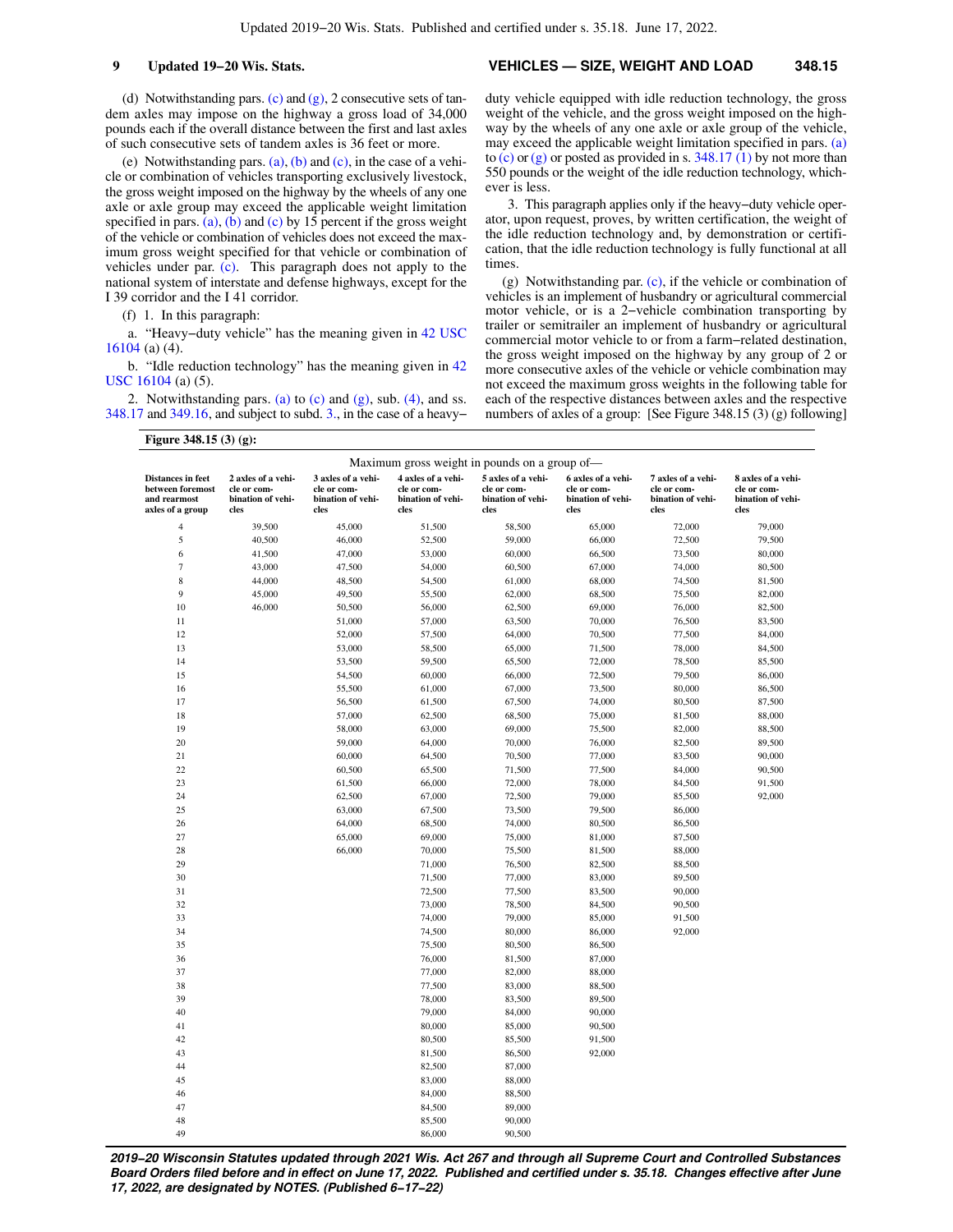#### **9 Updated 19−20 Wis. Stats. VEHICLES — SIZE, WEIGHT AND LOAD 348.15**

(d) Notwithstanding pars. [\(c\)](https://docs.legis.wisconsin.gov/document/statutes/348.15(3)(c)) and [\(g\),](https://docs.legis.wisconsin.gov/document/statutes/348.15(3)(g)) 2 consecutive sets of tandem axles may impose on the highway a gross load of 34,000 pounds each if the overall distance between the first and last axles of such consecutive sets of tandem axles is 36 feet or more.

(e) Notwithstanding pars. [\(a\),](https://docs.legis.wisconsin.gov/document/statutes/348.15(3)(a)) [\(b\)](https://docs.legis.wisconsin.gov/document/statutes/348.15(3)(b)) and [\(c\),](https://docs.legis.wisconsin.gov/document/statutes/348.15(3)(c)) in the case of a vehicle or combination of vehicles transporting exclusively livestock, the gross weight imposed on the highway by the wheels of any one axle or axle group may exceed the applicable weight limitation specified in pars. [\(a\)](https://docs.legis.wisconsin.gov/document/statutes/348.15(3)(a)), [\(b\)](https://docs.legis.wisconsin.gov/document/statutes/348.15(3)(b)) and [\(c\)](https://docs.legis.wisconsin.gov/document/statutes/348.15(3)(c)) by  $15$  percent if the gross weight of the vehicle or combination of vehicles does not exceed the maximum gross weight specified for that vehicle or combination of vehicles under par. [\(c\).](https://docs.legis.wisconsin.gov/document/statutes/348.15(3)(c)) This paragraph does not apply to the national system of interstate and defense highways, except for the I 39 corridor and the I 41 corridor.

(f) 1. In this paragraph:

a. "Heavy−duty vehicle" has the meaning given in [42 USC](https://docs.legis.wisconsin.gov/document/usc/42%20USC%2016104) [16104](https://docs.legis.wisconsin.gov/document/usc/42%20USC%2016104) (a) (4).

b. "Idle reduction technology" has the meaning given in [42](https://docs.legis.wisconsin.gov/document/usc/42%20USC%2016104) [USC 16104](https://docs.legis.wisconsin.gov/document/usc/42%20USC%2016104) (a) (5).

2. Notwithstanding pars. [\(a\)](https://docs.legis.wisconsin.gov/document/statutes/348.15(3)(a)) to  $(c)$  and  $(g)$ , sub. [\(4\)](https://docs.legis.wisconsin.gov/document/statutes/348.15(4)), and ss. [348.17](https://docs.legis.wisconsin.gov/document/statutes/348.17) and [349.16](https://docs.legis.wisconsin.gov/document/statutes/349.16), and subject to subd. [3.](https://docs.legis.wisconsin.gov/document/statutes/348.15(3)(f)3.), in the case of a heavy−

**Figure 348.15 (3) (g):**

duty vehicle equipped with idle reduction technology, the gross weight of the vehicle, and the gross weight imposed on the highway by the wheels of any one axle or axle group of the vehicle, may exceed the applicable weight limitation specified in pars. [\(a\)](https://docs.legis.wisconsin.gov/document/statutes/348.15(3)(a)) to  $(c)$  or  $(g)$  or posted as provided in s. [348.17 \(1\)](https://docs.legis.wisconsin.gov/document/statutes/348.17(1)) by not more than 550 pounds or the weight of the idle reduction technology, whichever is less.

3. This paragraph applies only if the heavy−duty vehicle operator, upon request, proves, by written certification, the weight of the idle reduction technology and, by demonstration or certification, that the idle reduction technology is fully functional at all times.

(g) Notwithstanding par. [\(c\),](https://docs.legis.wisconsin.gov/document/statutes/348.15(3)(c)) if the vehicle or combination of vehicles is an implement of husbandry or agricultural commercial motor vehicle, or is a 2−vehicle combination transporting by trailer or semitrailer an implement of husbandry or agricultural commercial motor vehicle to or from a farm−related destination, the gross weight imposed on the highway by any group of 2 or more consecutive axles of the vehicle or vehicle combination may not exceed the maximum gross weights in the following table for each of the respective distances between axles and the respective numbers of axles of a group: [See Figure 348.15 (3) (g) following]

| Maximum gross weight in pounds on a group of-                                    |                                                                |                                                                |                                                                |                                                                |                                                                |                                                                |                                                                |
|----------------------------------------------------------------------------------|----------------------------------------------------------------|----------------------------------------------------------------|----------------------------------------------------------------|----------------------------------------------------------------|----------------------------------------------------------------|----------------------------------------------------------------|----------------------------------------------------------------|
| <b>Distances in feet</b><br>between foremost<br>and rearmost<br>axles of a group | 2 axles of a vehi-<br>cle or com-<br>bination of vehi-<br>cles | 3 axles of a vehi-<br>cle or com-<br>bination of vehi-<br>cles | 4 axles of a vehi-<br>cle or com-<br>bination of vehi-<br>cles | 5 axles of a vehi-<br>cle or com-<br>bination of vehi-<br>cles | 6 axles of a vehi-<br>cle or com-<br>bination of vehi-<br>cles | 7 axles of a vehi-<br>cle or com-<br>bination of vehi-<br>cles | 8 axles of a vehi-<br>cle or com-<br>bination of vehi-<br>cles |
| $\overline{4}$                                                                   | 39,500                                                         | 45,000                                                         | 51,500                                                         | 58,500                                                         | 65,000                                                         | 72,000                                                         | 79,000                                                         |
| 5                                                                                | 40,500                                                         | 46,000                                                         | 52,500                                                         | 59,000                                                         | 66,000                                                         | 72,500                                                         | 79,500                                                         |
| 6                                                                                | 41,500                                                         | 47,000                                                         | 53,000                                                         | 60,000                                                         | 66,500                                                         | 73,500                                                         | 80,000                                                         |
| 7                                                                                | 43,000                                                         | 47,500                                                         | 54,000                                                         | 60,500                                                         | 67,000                                                         | 74,000                                                         | 80,500                                                         |
| 8                                                                                | 44,000                                                         | 48,500                                                         | 54,500                                                         | 61,000                                                         | 68,000                                                         | 74,500                                                         | 81,500                                                         |
| 9                                                                                | 45,000                                                         | 49,500                                                         | 55,500                                                         | 62,000                                                         | 68,500                                                         | 75,500                                                         | 82,000                                                         |
| 10                                                                               | 46,000                                                         | 50,500                                                         | 56,000                                                         | 62,500                                                         | 69,000                                                         | 76,000                                                         | 82,500                                                         |
| 11                                                                               |                                                                | 51,000                                                         | 57,000                                                         | 63,500                                                         | 70,000                                                         | 76,500                                                         | 83,500                                                         |
| 12                                                                               |                                                                | 52,000                                                         | 57,500                                                         | 64,000                                                         | 70,500                                                         | 77,500                                                         | 84,000                                                         |
| 13                                                                               |                                                                | 53,000                                                         | 58,500                                                         | 65,000                                                         | 71,500                                                         | 78,000                                                         | 84,500                                                         |
| 14                                                                               |                                                                | 53,500                                                         | 59,500                                                         | 65,500                                                         | 72,000                                                         | 78,500                                                         | 85,500                                                         |
| 15                                                                               |                                                                | 54,500                                                         | 60,000                                                         | 66,000                                                         | 72,500                                                         | 79,500                                                         | 86,000                                                         |
| 16                                                                               |                                                                | 55,500                                                         | 61,000                                                         | 67,000                                                         | 73,500                                                         | 80,000                                                         | 86,500                                                         |
| 17                                                                               |                                                                | 56,500                                                         | 61,500                                                         | 67,500                                                         | 74,000                                                         | 80,500                                                         | 87,500                                                         |
| 18                                                                               |                                                                | 57,000                                                         | 62,500                                                         | 68,500                                                         | 75,000                                                         | 81,500                                                         | 88,000                                                         |
| 19                                                                               |                                                                | 58,000                                                         | 63,000                                                         | 69,000                                                         | 75,500                                                         | 82,000                                                         | 88,500                                                         |
| 20                                                                               |                                                                | 59,000                                                         | 64,000                                                         | 70,000                                                         | 76,000                                                         | 82,500                                                         | 89,500                                                         |
| 21                                                                               |                                                                | 60,000                                                         | 64,500                                                         | 70,500                                                         | 77,000                                                         | 83,500                                                         | 90,000                                                         |
| 22                                                                               |                                                                | 60,500                                                         | 65,500                                                         | 71,500                                                         | 77,500                                                         | 84,000                                                         | 90,500                                                         |
| 23                                                                               |                                                                | 61,500                                                         | 66,000                                                         | 72,000                                                         | 78,000                                                         | 84,500                                                         | 91,500                                                         |
| 24                                                                               |                                                                | 62,500                                                         | 67,000                                                         | 72,500                                                         | 79,000                                                         | 85,500                                                         | 92,000                                                         |
| 25                                                                               |                                                                | 63,000                                                         | 67,500                                                         | 73,500                                                         | 79,500                                                         | 86,000                                                         |                                                                |
| 26                                                                               |                                                                | 64,000                                                         | 68,500                                                         | 74,000                                                         | 80,500                                                         | 86,500                                                         |                                                                |
| 27                                                                               |                                                                | 65,000                                                         | 69,000                                                         | 75,000                                                         | 81,000                                                         | 87,500                                                         |                                                                |
| 28                                                                               |                                                                | 66,000                                                         | 70,000                                                         | 75,500                                                         | 81,500                                                         | 88,000                                                         |                                                                |
| 29                                                                               |                                                                |                                                                | 71,000                                                         | 76,500                                                         | 82,500                                                         | 88,500                                                         |                                                                |
| 30                                                                               |                                                                |                                                                | 71,500                                                         | 77,000                                                         | 83,000                                                         | 89,500                                                         |                                                                |
| 31                                                                               |                                                                |                                                                | 72,500                                                         | 77,500                                                         | 83,500                                                         | 90,000                                                         |                                                                |
| 32                                                                               |                                                                |                                                                | 73,000                                                         | 78,500                                                         | 84,500                                                         | 90,500                                                         |                                                                |
| 33                                                                               |                                                                |                                                                | 74,000                                                         | 79,000                                                         | 85,000                                                         | 91,500                                                         |                                                                |
| 34                                                                               |                                                                |                                                                | 74,500                                                         | 80,000                                                         | 86,000                                                         | 92,000                                                         |                                                                |
| 35                                                                               |                                                                |                                                                | 75,500                                                         | 80,500                                                         | 86,500                                                         |                                                                |                                                                |
| 36                                                                               |                                                                |                                                                | 76,000                                                         | 81,500                                                         | 87,000                                                         |                                                                |                                                                |
| 37                                                                               |                                                                |                                                                | 77,000                                                         | 82,000                                                         | 88,000                                                         |                                                                |                                                                |
| 38                                                                               |                                                                |                                                                | 77,500                                                         | 83,000                                                         | 88,500                                                         |                                                                |                                                                |
| 39                                                                               |                                                                |                                                                | 78,000                                                         | 83,500                                                         | 89,500                                                         |                                                                |                                                                |
| 40                                                                               |                                                                |                                                                | 79,000                                                         | 84,000                                                         | 90,000                                                         |                                                                |                                                                |
| 41                                                                               |                                                                |                                                                | 80,000                                                         | 85,000                                                         | 90,500                                                         |                                                                |                                                                |
| 42                                                                               |                                                                |                                                                | 80,500                                                         | 85,500                                                         | 91,500                                                         |                                                                |                                                                |
| 43                                                                               |                                                                |                                                                | 81,500                                                         | 86,500                                                         | 92,000                                                         |                                                                |                                                                |
| 44                                                                               |                                                                |                                                                | 82,500                                                         | 87,000                                                         |                                                                |                                                                |                                                                |
| 45                                                                               |                                                                |                                                                | 83,000                                                         | 88,000                                                         |                                                                |                                                                |                                                                |
| 46                                                                               |                                                                |                                                                | 84,000                                                         | 88,500                                                         |                                                                |                                                                |                                                                |
| 47                                                                               |                                                                |                                                                | 84,500                                                         | 89,000                                                         |                                                                |                                                                |                                                                |
| 48                                                                               |                                                                |                                                                | 85,500                                                         | 90,000                                                         |                                                                |                                                                |                                                                |
| 49                                                                               |                                                                |                                                                | 86,000                                                         | 90,500                                                         |                                                                |                                                                |                                                                |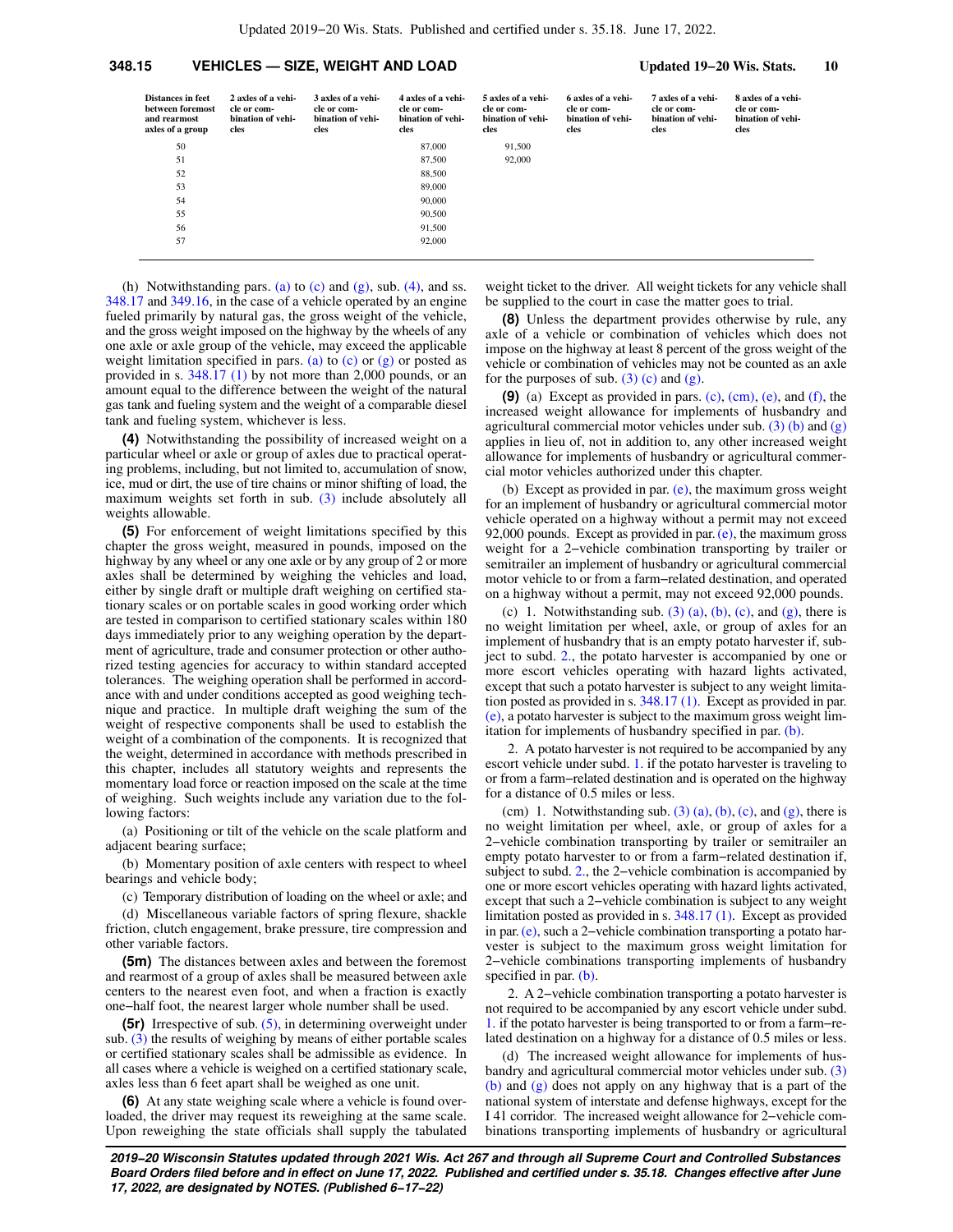| Distances in feet<br>between foremost<br>and rearmost<br>axles of a group | 2 axles of a vehi-<br>cle or com-<br>bination of vehi-<br>cles | 3 axles of a vehi-<br>cle or com-<br>bination of vehi-<br>cles | 4 axles of a vehi-<br>cle or com-<br>bination of vehi-<br>cles | 5 axles of a vehi-<br>cle or com-<br>bination of vehi-<br>cles | 6 axles of a vehi-<br>cle or com-<br>bination of vehi-<br>cles | 7 axles of a vehi-<br>cle or com-<br>bination of vehi-<br>cles | 8 axles of a vehi-<br>cle or com-<br>bination of vehi-<br>cles |
|---------------------------------------------------------------------------|----------------------------------------------------------------|----------------------------------------------------------------|----------------------------------------------------------------|----------------------------------------------------------------|----------------------------------------------------------------|----------------------------------------------------------------|----------------------------------------------------------------|
| 50                                                                        |                                                                |                                                                | 87,000                                                         | 91,500                                                         |                                                                |                                                                |                                                                |
| 51                                                                        |                                                                |                                                                | 87,500                                                         | 92,000                                                         |                                                                |                                                                |                                                                |
| 52                                                                        |                                                                |                                                                | 88,500                                                         |                                                                |                                                                |                                                                |                                                                |
| 53                                                                        |                                                                |                                                                | 89,000                                                         |                                                                |                                                                |                                                                |                                                                |
| 54                                                                        |                                                                |                                                                | 90,000                                                         |                                                                |                                                                |                                                                |                                                                |
| 55                                                                        |                                                                |                                                                | 90,500                                                         |                                                                |                                                                |                                                                |                                                                |
| 56                                                                        |                                                                |                                                                | 91.500                                                         |                                                                |                                                                |                                                                |                                                                |
| 57                                                                        |                                                                |                                                                | 92,000                                                         |                                                                |                                                                |                                                                |                                                                |

(h) Notwithstanding pars. [\(a\)](https://docs.legis.wisconsin.gov/document/statutes/348.15(3)(a)) to  $(c)$  and  $(g)$ , sub. [\(4\)](https://docs.legis.wisconsin.gov/document/statutes/348.15(4)), and ss. [348.17](https://docs.legis.wisconsin.gov/document/statutes/348.17) and [349.16](https://docs.legis.wisconsin.gov/document/statutes/349.16), in the case of a vehicle operated by an engine fueled primarily by natural gas, the gross weight of the vehicle, and the gross weight imposed on the highway by the wheels of any one axle or axle group of the vehicle, may exceed the applicable weight limitation specified in pars. [\(a\)](https://docs.legis.wisconsin.gov/document/statutes/348.15(3)(a)) to  $(c)$  or  $(g)$  or posted as provided in s. [348.17 \(1\)](https://docs.legis.wisconsin.gov/document/statutes/348.17(1)) by not more than 2,000 pounds, or an amount equal to the difference between the weight of the natural gas tank and fueling system and the weight of a comparable diesel tank and fueling system, whichever is less.

**(4)** Notwithstanding the possibility of increased weight on a particular wheel or axle or group of axles due to practical operating problems, including, but not limited to, accumulation of snow, ice, mud or dirt, the use of tire chains or minor shifting of load, the maximum weights set forth in sub. [\(3\)](https://docs.legis.wisconsin.gov/document/statutes/348.15(3)) include absolutely all weights allowable.

**(5)** For enforcement of weight limitations specified by this chapter the gross weight, measured in pounds, imposed on the highway by any wheel or any one axle or by any group of 2 or more axles shall be determined by weighing the vehicles and load, either by single draft or multiple draft weighing on certified stationary scales or on portable scales in good working order which are tested in comparison to certified stationary scales within 180 days immediately prior to any weighing operation by the department of agriculture, trade and consumer protection or other authorized testing agencies for accuracy to within standard accepted tolerances. The weighing operation shall be performed in accordance with and under conditions accepted as good weighing technique and practice. In multiple draft weighing the sum of the weight of respective components shall be used to establish the weight of a combination of the components. It is recognized that the weight, determined in accordance with methods prescribed in this chapter, includes all statutory weights and represents the momentary load force or reaction imposed on the scale at the time of weighing. Such weights include any variation due to the following factors:

(a) Positioning or tilt of the vehicle on the scale platform and adjacent bearing surface;

(b) Momentary position of axle centers with respect to wheel bearings and vehicle body;

(c) Temporary distribution of loading on the wheel or axle; and

(d) Miscellaneous variable factors of spring flexure, shackle friction, clutch engagement, brake pressure, tire compression and other variable factors.

**(5m)** The distances between axles and between the foremost and rearmost of a group of axles shall be measured between axle centers to the nearest even foot, and when a fraction is exactly one−half foot, the nearest larger whole number shall be used.

**(5r)** Irrespective of sub. [\(5\),](https://docs.legis.wisconsin.gov/document/statutes/348.15(5)) in determining overweight under sub. [\(3\)](https://docs.legis.wisconsin.gov/document/statutes/348.15(3)) the results of weighing by means of either portable scales or certified stationary scales shall be admissible as evidence. In all cases where a vehicle is weighed on a certified stationary scale, axles less than 6 feet apart shall be weighed as one unit.

**(6)** At any state weighing scale where a vehicle is found overloaded, the driver may request its reweighing at the same scale. Upon reweighing the state officials shall supply the tabulated

weight ticket to the driver. All weight tickets for any vehicle shall be supplied to the court in case the matter goes to trial.

**(8)** Unless the department provides otherwise by rule, any axle of a vehicle or combination of vehicles which does not impose on the highway at least 8 percent of the gross weight of the vehicle or combination of vehicles may not be counted as an axle for the purposes of sub.  $(3)$  (c) and  $(g)$ .

**(9)** (a) Except as provided in pars. [\(c\),](https://docs.legis.wisconsin.gov/document/statutes/348.15(9)(c)) [\(cm\)](https://docs.legis.wisconsin.gov/document/statutes/348.15(9)(cm)), [\(e\),](https://docs.legis.wisconsin.gov/document/statutes/348.15(9)(e)) and [\(f\),](https://docs.legis.wisconsin.gov/document/statutes/348.15(9)(f)) the increased weight allowance for implements of husbandry and agricultural commercial motor vehicles under sub.  $(3)$  (b) and  $(g)$ applies in lieu of, not in addition to, any other increased weight allowance for implements of husbandry or agricultural commercial motor vehicles authorized under this chapter.

(b) Except as provided in par. [\(e\)](https://docs.legis.wisconsin.gov/document/statutes/348.15(9)(e)), the maximum gross weight for an implement of husbandry or agricultural commercial motor vehicle operated on a highway without a permit may not exceed 92,000 pounds. Except as provided in par.  $(e)$ , the maximum gross weight for a 2−vehicle combination transporting by trailer or semitrailer an implement of husbandry or agricultural commercial motor vehicle to or from a farm−related destination, and operated on a highway without a permit, may not exceed 92,000 pounds.

[\(c\)](https://docs.legis.wisconsin.gov/document/statutes/348.15(3)(c)) 1. Notwithstanding sub.  $(3)$  (a), [\(b\),](https://docs.legis.wisconsin.gov/document/statutes/348.15(3)(b)) (c), and  $(g)$ , there is no weight limitation per wheel, axle, or group of axles for an implement of husbandry that is an empty potato harvester if, subject to subd. [2.](https://docs.legis.wisconsin.gov/document/statutes/348.15(9)(c)2.), the potato harvester is accompanied by one or more escort vehicles operating with hazard lights activated, except that such a potato harvester is subject to any weight limitation posted as provided in s. [348.17 \(1\)](https://docs.legis.wisconsin.gov/document/statutes/348.17(1)). Except as provided in par. [\(e\)](https://docs.legis.wisconsin.gov/document/statutes/348.15(9)(e)), a potato harvester is subject to the maximum gross weight limitation for implements of husbandry specified in par. [\(b\).](https://docs.legis.wisconsin.gov/document/statutes/348.15(9)(b))

2. A potato harvester is not required to be accompanied by any escort vehicle under subd. [1.](https://docs.legis.wisconsin.gov/document/statutes/348.15(9)(c)1.) if the potato harvester is traveling to or from a farm−related destination and is operated on the highway for a distance of 0.5 miles or less.

(cm) 1. Notwithstanding sub.  $(3)$  (a), [\(b\)](https://docs.legis.wisconsin.gov/document/statutes/348.15(3)(b)), [\(c\)](https://docs.legis.wisconsin.gov/document/statutes/348.15(3)(c)), and [\(g\)](https://docs.legis.wisconsin.gov/document/statutes/348.15(3)(g)), there is no weight limitation per wheel, axle, or group of axles for a 2−vehicle combination transporting by trailer or semitrailer an empty potato harvester to or from a farm−related destination if, subject to subd. [2.](https://docs.legis.wisconsin.gov/document/statutes/348.15(9)(cm)2.), the 2−vehicle combination is accompanied by one or more escort vehicles operating with hazard lights activated, except that such a 2−vehicle combination is subject to any weight limitation posted as provided in s. [348.17 \(1\)](https://docs.legis.wisconsin.gov/document/statutes/348.17(1)). Except as provided in par. [\(e\)](https://docs.legis.wisconsin.gov/document/statutes/348.15(9)(e)), such a 2−vehicle combination transporting a potato harvester is subject to the maximum gross weight limitation for 2−vehicle combinations transporting implements of husbandry specified in par. [\(b\)](https://docs.legis.wisconsin.gov/document/statutes/348.15(9)(b)).

2. A 2−vehicle combination transporting a potato harvester is not required to be accompanied by any escort vehicle under subd. [1.](https://docs.legis.wisconsin.gov/document/statutes/348.15(9)(cm)1.) if the potato harvester is being transported to or from a farm−related destination on a highway for a distance of 0.5 miles or less.

(d) The increased weight allowance for implements of husbandry and agricultural commercial motor vehicles under sub. [\(3\)](https://docs.legis.wisconsin.gov/document/statutes/348.15(3)(b)) [\(b\)](https://docs.legis.wisconsin.gov/document/statutes/348.15(3)(b)) and [\(g\)](https://docs.legis.wisconsin.gov/document/statutes/348.15(3)(g)) does not apply on any highway that is a part of the national system of interstate and defense highways, except for the I 41 corridor. The increased weight allowance for 2−vehicle combinations transporting implements of husbandry or agricultural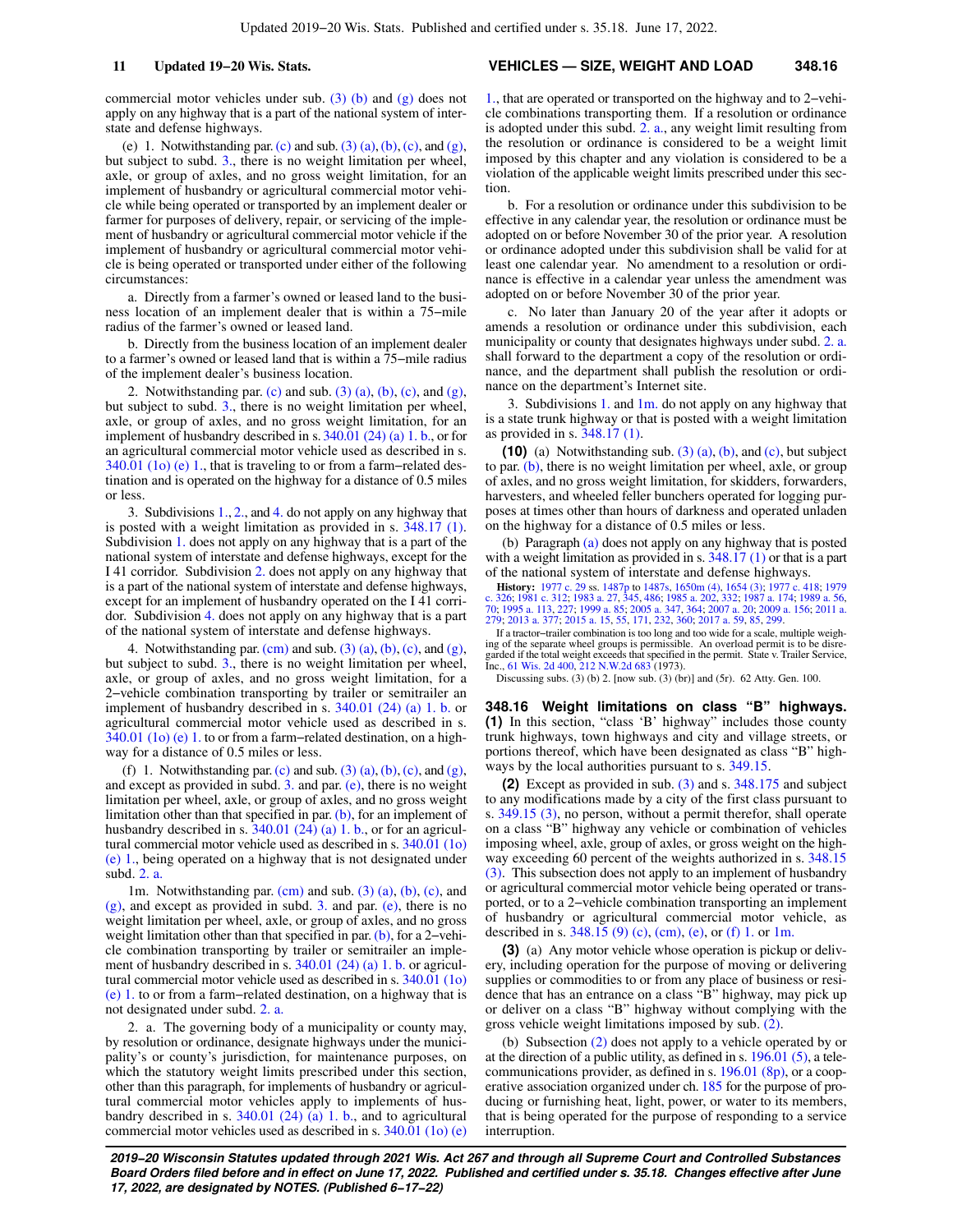commercial motor vehicles under sub. [\(3\) \(b\)](https://docs.legis.wisconsin.gov/document/statutes/348.15(3)(b)) and [\(g\)](https://docs.legis.wisconsin.gov/document/statutes/348.15(3)(g)) does not apply on any highway that is a part of the national system of interstate and defense highways.

(e) 1. Notwithstanding par. [\(c\)](https://docs.legis.wisconsin.gov/document/statutes/348.15(3)(c)) and sub.  $(3)$   $(a)$ ,  $(b)$ ,  $(c)$ , and  $(g)$ , but subject to subd. [3.](https://docs.legis.wisconsin.gov/document/statutes/348.15(9)(e)3.), there is no weight limitation per wheel, axle, or group of axles, and no gross weight limitation, for an implement of husbandry or agricultural commercial motor vehicle while being operated or transported by an implement dealer or farmer for purposes of delivery, repair, or servicing of the implement of husbandry or agricultural commercial motor vehicle if the implement of husbandry or agricultural commercial motor vehicle is being operated or transported under either of the following circumstances:

a. Directly from a farmer's owned or leased land to the business location of an implement dealer that is within a 75−mile radius of the farmer's owned or leased land.

b. Directly from the business location of an implement dealer to a farmer's owned or leased land that is within a 75−mile radius of the implement dealer's business location.

2. Notwithstanding par. [\(c\)](https://docs.legis.wisconsin.gov/document/statutes/348.15(9)(c)) and sub.  $(3)$   $(a)$ ,  $(b)$ ,  $(c)$ , and  $(g)$ , but subject to subd. [3.](https://docs.legis.wisconsin.gov/document/statutes/348.15(9)(e)3.), there is no weight limitation per wheel, axle, or group of axles, and no gross weight limitation, for an implement of husbandry described in s. [340.01 \(24\) \(a\) 1. b.,](https://docs.legis.wisconsin.gov/document/statutes/340.01(24)(a)1.b.) or for an agricultural commercial motor vehicle used as described in s. [340.01 \(1o\) \(e\) 1.,](https://docs.legis.wisconsin.gov/document/statutes/340.01(1o)(e)1.) that is traveling to or from a farm−related destination and is operated on the highway for a distance of 0.5 miles or less.

3. Subdivisions [1.,](https://docs.legis.wisconsin.gov/document/statutes/348.15(9)(e)1.) [2.](https://docs.legis.wisconsin.gov/document/statutes/348.15(9)(e)2.), and [4.](https://docs.legis.wisconsin.gov/document/statutes/348.15(9)(e)4.) do not apply on any highway that is posted with a weight limitation as provided in s. [348.17 \(1\).](https://docs.legis.wisconsin.gov/document/statutes/348.17(1)) Subdivision [1.](https://docs.legis.wisconsin.gov/document/statutes/348.15(9)(e)1.) does not apply on any highway that is a part of the national system of interstate and defense highways, except for the I 41 corridor. Subdivision [2.](https://docs.legis.wisconsin.gov/document/statutes/348.15(9)(e)2.) does not apply on any highway that is a part of the national system of interstate and defense highways, except for an implement of husbandry operated on the I 41 corridor. Subdivision [4.](https://docs.legis.wisconsin.gov/document/statutes/348.15(9)(e)4.) does not apply on any highway that is a part of the national system of interstate and defense highways.

4. Notwithstanding par.  $(cm)$  and sub.  $(3)$   $(a)$ ,  $(b)$ ,  $(c)$ , and  $(g)$ , but subject to subd. [3.](https://docs.legis.wisconsin.gov/document/statutes/348.15(9)(e)3.), there is no weight limitation per wheel, axle, or group of axles, and no gross weight limitation, for a 2−vehicle combination transporting by trailer or semitrailer an implement of husbandry described in s. [340.01 \(24\) \(a\) 1. b.](https://docs.legis.wisconsin.gov/document/statutes/340.01(24)(a)1.b.) or agricultural commercial motor vehicle used as described in s. [340.01 \(1o\) \(e\) 1.](https://docs.legis.wisconsin.gov/document/statutes/340.01(1o)(e)1.) to or from a farm−related destination, on a highway for a distance of 0.5 miles or less.

(f) 1. Notwithstanding par. [\(c\)](https://docs.legis.wisconsin.gov/document/statutes/348.15(9)(c)) and sub.  $(3)$   $(a)$ ,  $(b)$ ,  $(c)$ , and  $(g)$ , and except as provided in subd. [3.](https://docs.legis.wisconsin.gov/document/statutes/348.15(9)(f)3.) and par. [\(e\),](https://docs.legis.wisconsin.gov/document/statutes/348.15(9)(e)) there is no weight limitation per wheel, axle, or group of axles, and no gross weight limitation other than that specified in par.  $(b)$ , for an implement of husbandry described in s. [340.01 \(24\) \(a\) 1. b.](https://docs.legis.wisconsin.gov/document/statutes/340.01(24)(a)1.b.), or for an agricultural commercial motor vehicle used as described in s. [340.01 \(1o\)](https://docs.legis.wisconsin.gov/document/statutes/340.01(1o)(e)1.) [\(e\) 1.](https://docs.legis.wisconsin.gov/document/statutes/340.01(1o)(e)1.), being operated on a highway that is not designated under subd. [2. a.](https://docs.legis.wisconsin.gov/document/statutes/348.15(9)(f)2.a.)

1m. Notwithstanding par. [\(cm\)](https://docs.legis.wisconsin.gov/document/statutes/348.15(9)(cm)) and sub. [\(3\) \(a\),](https://docs.legis.wisconsin.gov/document/statutes/348.15(3)(a)) [\(b\),](https://docs.legis.wisconsin.gov/document/statutes/348.15(3)(b)) [\(c\)](https://docs.legis.wisconsin.gov/document/statutes/348.15(3)(c)), and [\(g\)](https://docs.legis.wisconsin.gov/document/statutes/348.15(3)(g)), and except as provided in subd. [3.](https://docs.legis.wisconsin.gov/document/statutes/348.15(9)(f)3.) and par. [\(e\),](https://docs.legis.wisconsin.gov/document/statutes/348.15(9)(e)) there is no weight limitation per wheel, axle, or group of axles, and no gross weight limitation other than that specified in par. [\(b\),](https://docs.legis.wisconsin.gov/document/statutes/348.15(9)(b)) for a 2−vehicle combination transporting by trailer or semitrailer an implement of husbandry described in s. [340.01 \(24\) \(a\) 1. b.](https://docs.legis.wisconsin.gov/document/statutes/340.01(24)(a)1.b.) or agricultural commercial motor vehicle used as described in s. [340.01 \(1o\)](https://docs.legis.wisconsin.gov/document/statutes/340.01(1o)(e)1.) [\(e\) 1.](https://docs.legis.wisconsin.gov/document/statutes/340.01(1o)(e)1.) to or from a farm−related destination, on a highway that is not designated under subd. [2. a.](https://docs.legis.wisconsin.gov/document/statutes/348.15(9)(f)2.a.)

2. a. The governing body of a municipality or county may, by resolution or ordinance, designate highways under the municipality's or county's jurisdiction, for maintenance purposes, on which the statutory weight limits prescribed under this section, other than this paragraph, for implements of husbandry or agricultural commercial motor vehicles apply to implements of husbandry described in s. [340.01 \(24\) \(a\) 1. b.](https://docs.legis.wisconsin.gov/document/statutes/340.01(24)(a)1.b.), and to agricultural commercial motor vehicles used as described in s. [340.01 \(1o\) \(e\)](https://docs.legis.wisconsin.gov/document/statutes/340.01(1o)(e)1.)

#### **11 Updated 19−20 Wis. Stats. VEHICLES — SIZE, WEIGHT AND LOAD 348.16**

[1.,](https://docs.legis.wisconsin.gov/document/statutes/340.01(1o)(e)1.) that are operated or transported on the highway and to 2−vehicle combinations transporting them. If a resolution or ordinance is adopted under this subd. [2. a.,](https://docs.legis.wisconsin.gov/document/statutes/348.15(9)(f)2.a.) any weight limit resulting from the resolution or ordinance is considered to be a weight limit imposed by this chapter and any violation is considered to be a violation of the applicable weight limits prescribed under this section.

b. For a resolution or ordinance under this subdivision to be effective in any calendar year, the resolution or ordinance must be adopted on or before November 30 of the prior year. A resolution or ordinance adopted under this subdivision shall be valid for at least one calendar year. No amendment to a resolution or ordinance is effective in a calendar year unless the amendment was adopted on or before November 30 of the prior year.

c. No later than January 20 of the year after it adopts or amends a resolution or ordinance under this subdivision, each municipality or county that designates highways under subd. [2. a.](https://docs.legis.wisconsin.gov/document/statutes/348.15(9)(f)2.a.) shall forward to the department a copy of the resolution or ordinance, and the department shall publish the resolution or ordinance on the department's Internet site.

3. Subdivisions [1.](https://docs.legis.wisconsin.gov/document/statutes/348.15(9)(f)1.) and  $1m$ . do not apply on any highway that is a state trunk highway or that is posted with a weight limitation as provided in s. [348.17 \(1\)](https://docs.legis.wisconsin.gov/document/statutes/348.17(1)).

**(10)** (a) Notwithstanding sub.  $(3)$   $(a)$ ,  $(b)$ , and  $(c)$ , but subject to par. [\(b\),](https://docs.legis.wisconsin.gov/document/statutes/348.15(10)(b)) there is no weight limitation per wheel, axle, or group of axles, and no gross weight limitation, for skidders, forwarders, harvesters, and wheeled feller bunchers operated for logging purposes at times other than hours of darkness and operated unladen on the highway for a distance of 0.5 miles or less.

(b) Paragraph [\(a\)](https://docs.legis.wisconsin.gov/document/statutes/348.15(10)(a)) does not apply on any highway that is posted with a weight limitation as provided in s. [348.17 \(1\)](https://docs.legis.wisconsin.gov/document/statutes/348.17(1)) or that is a part of the national system of interstate and defense highways.

**History:** [1977 c. 29](https://docs.legis.wisconsin.gov/document/acts/1977/29) ss. [1487p](https://docs.legis.wisconsin.gov/document/acts/1977/29,%20s.%201487p) to [1487s](https://docs.legis.wisconsin.gov/document/acts/1977/29,%20s.%201487s), [1650m \(4\),](https://docs.legis.wisconsin.gov/document/acts/1977/29,%20s.%201650m) [1654 \(3\)](https://docs.legis.wisconsin.gov/document/acts/1977/29,%20s.%201654); [1977 c. 418;](https://docs.legis.wisconsin.gov/document/acts/1977/418) [1979](https://docs.legis.wisconsin.gov/document/acts/1979/326) [c. 326;](https://docs.legis.wisconsin.gov/document/acts/1979/326) [1981 c. 312;](https://docs.legis.wisconsin.gov/document/acts/1981/312) [1983 a. 27](https://docs.legis.wisconsin.gov/document/acts/1983/27), [345,](https://docs.legis.wisconsin.gov/document/acts/1983/345) [486;](https://docs.legis.wisconsin.gov/document/acts/1983/486) [1985 a. 202](https://docs.legis.wisconsin.gov/document/acts/1985/202), [332](https://docs.legis.wisconsin.gov/document/acts/1985/332); [1987 a. 174](https://docs.legis.wisconsin.gov/document/acts/1987/174); [1989 a. 56](https://docs.legis.wisconsin.gov/document/acts/1989/56),<br>[70](https://docs.legis.wisconsin.gov/document/acts/1989/70); [1995 a. 113,](https://docs.legis.wisconsin.gov/document/acts/1995/113) [227;](https://docs.legis.wisconsin.gov/document/acts/1995/227) [1999 a. 85](https://docs.legis.wisconsin.gov/document/acts/1999/85); [2005 a. 347,](https://docs.legis.wisconsin.gov/document/acts/2005/347) [364;](https://docs.legis.wisconsin.gov/document/acts/2005/364) [2007 a. 20](https://docs.legis.wisconsin.gov/document/acts/2007/20); [2009 a. 156](https://docs.legis.wisconsin.gov/document/acts/2009/156); [2011 a.](https://docs.legis.wisconsin.gov/document/acts/2011/279)<br>[279;](https://docs.legis.wisconsin.gov/document/acts/2011/279) [2013 a. 377](https://docs.legis.wisconsin.gov/document/acts/2013/377); [2015 a. 15](https://docs.legis.wisconsin.gov/document/acts/2015/15), [55,](https://docs.legis.wisconsin.gov/document/acts/2015/55) [171,](https://docs.legis.wisconsin.gov/document/acts/2015/171) [232](https://docs.legis.wisconsin.gov/document/acts/2015/232), [360](https://docs.legis.wisconsin.gov/document/acts/2015/360); 20

If a tractor−trailer combination is too long and too wide for a scale, multiple weighing of the separate wheel groups is permissible. An overload permit is to be disre-garded if the total weight exceeds that specified in the permit. State v. Trailer Service, Inc., [61 Wis. 2d 400,](https://docs.legis.wisconsin.gov/document/courts/61%20Wis.%202d%20400) [212 N.W.2d 683](https://docs.legis.wisconsin.gov/document/courts/212%20N.W.2d%20683) (1973).

Discussing subs. (3) (b) 2. [now sub. (3) (br)] and (5r). 62 Atty. Gen. 100.

**348.16 Weight limitations on class "B" highways. (1)** In this section, "class 'B' highway" includes those county trunk highways, town highways and city and village streets, or portions thereof, which have been designated as class "B" highways by the local authorities pursuant to s. [349.15.](https://docs.legis.wisconsin.gov/document/statutes/349.15)

**(2)** Except as provided in sub. [\(3\)](https://docs.legis.wisconsin.gov/document/statutes/348.16(3)) and s. [348.175](https://docs.legis.wisconsin.gov/document/statutes/348.175) and subject to any modifications made by a city of the first class pursuant to s. [349.15 \(3\)](https://docs.legis.wisconsin.gov/document/statutes/349.15(3)), no person, without a permit therefor, shall operate on a class "B" highway any vehicle or combination of vehicles imposing wheel, axle, group of axles, or gross weight on the highway exceeding 60 percent of the weights authorized in s. [348.15](https://docs.legis.wisconsin.gov/document/statutes/348.15(3)) [\(3\).](https://docs.legis.wisconsin.gov/document/statutes/348.15(3)) This subsection does not apply to an implement of husbandry or agricultural commercial motor vehicle being operated or transported, or to a 2−vehicle combination transporting an implement of husbandry or agricultural commercial motor vehicle, as described in s. [348.15 \(9\) \(c\)](https://docs.legis.wisconsin.gov/document/statutes/348.15(9)(c)), [\(cm\),](https://docs.legis.wisconsin.gov/document/statutes/348.15(9)(cm)) [\(e\),](https://docs.legis.wisconsin.gov/document/statutes/348.15(9)(e)) or [\(f\) 1.](https://docs.legis.wisconsin.gov/document/statutes/348.15(9)(f)1.) or [1m.](https://docs.legis.wisconsin.gov/document/statutes/348.15(9)(f)1m.)

**(3)** (a) Any motor vehicle whose operation is pickup or delivery, including operation for the purpose of moving or delivering supplies or commodities to or from any place of business or residence that has an entrance on a class "B" highway, may pick up or deliver on a class "B" highway without complying with the gross vehicle weight limitations imposed by sub. [\(2\)](https://docs.legis.wisconsin.gov/document/statutes/348.16(2)).

(b) Subsection [\(2\)](https://docs.legis.wisconsin.gov/document/statutes/348.16(2)) does not apply to a vehicle operated by or at the direction of a public utility, as defined in s. [196.01 \(5\)](https://docs.legis.wisconsin.gov/document/statutes/196.01(5)), a telecommunications provider, as defined in s. [196.01 \(8p\)](https://docs.legis.wisconsin.gov/document/statutes/196.01(8p)), or a cooperative association organized under ch. [185](https://docs.legis.wisconsin.gov/document/statutes/ch.%20185) for the purpose of producing or furnishing heat, light, power, or water to its members, that is being operated for the purpose of responding to a service interruption.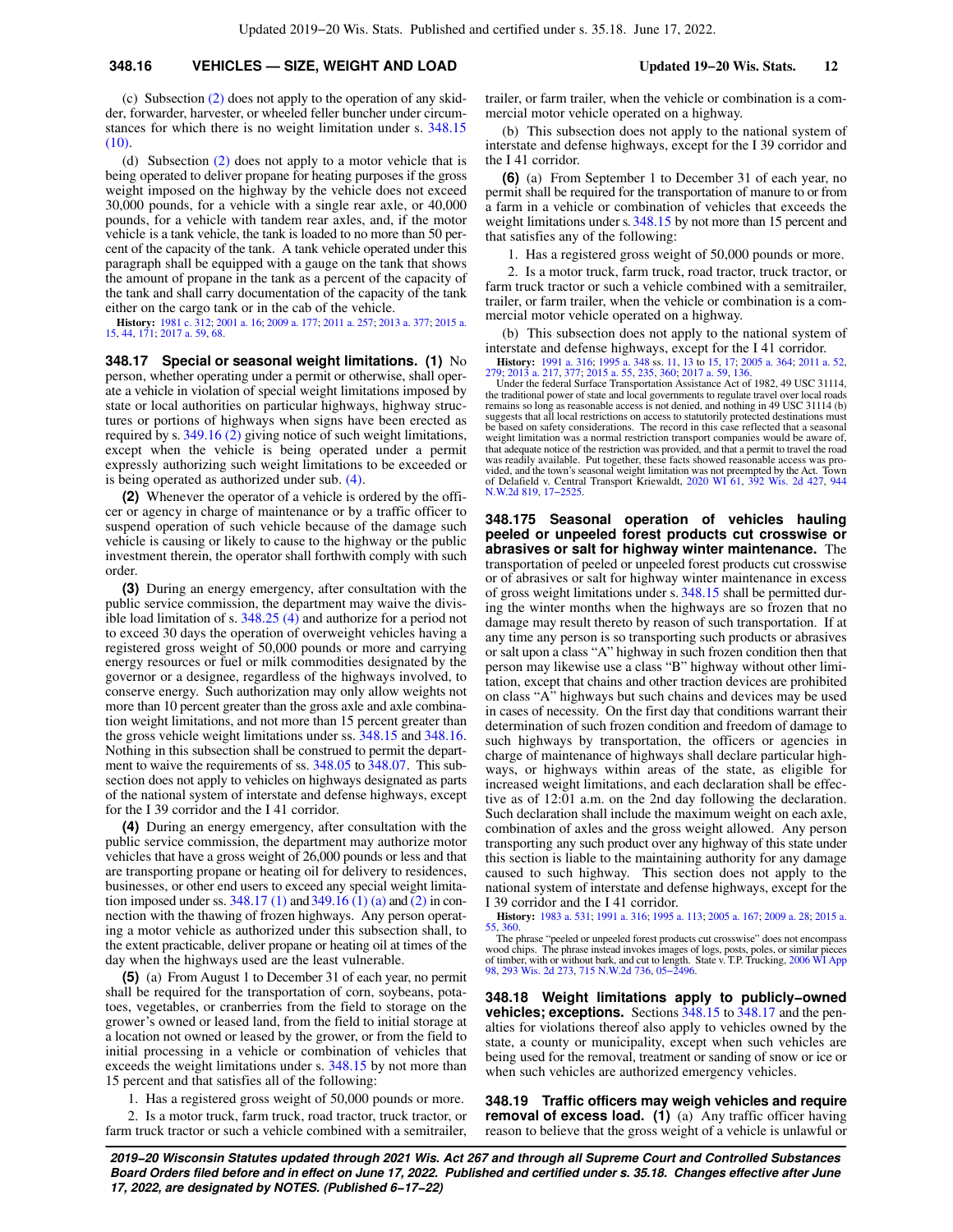#### **348.16 VEHICLES — SIZE, WEIGHT AND LOAD Updated 19−20 Wis. Stats. 12**

(c) Subsection [\(2\)](https://docs.legis.wisconsin.gov/document/statutes/348.16(2)) does not apply to the operation of any skidder, forwarder, harvester, or wheeled feller buncher under circumstances for which there is no weight limitation under s. [348.15](https://docs.legis.wisconsin.gov/document/statutes/348.15(10)) [\(10\).](https://docs.legis.wisconsin.gov/document/statutes/348.15(10))

(d) Subsection [\(2\)](https://docs.legis.wisconsin.gov/document/statutes/348.16(2)) does not apply to a motor vehicle that is being operated to deliver propane for heating purposes if the gross weight imposed on the highway by the vehicle does not exceed 30,000 pounds, for a vehicle with a single rear axle, or 40,000 pounds, for a vehicle with tandem rear axles, and, if the motor vehicle is a tank vehicle, the tank is loaded to no more than 50 percent of the capacity of the tank. A tank vehicle operated under this paragraph shall be equipped with a gauge on the tank that shows the amount of propane in the tank as a percent of the capacity of the tank and shall carry documentation of the capacity of the tank either on the cargo tank or in the cab of the vehicle.

**History:** [1981 c. 312](https://docs.legis.wisconsin.gov/document/acts/1981/312); [2001 a. 16](https://docs.legis.wisconsin.gov/document/acts/2001/16); [2009 a. 177](https://docs.legis.wisconsin.gov/document/acts/2009/177); [2011 a. 257;](https://docs.legis.wisconsin.gov/document/acts/2011/257) [2013 a. 377](https://docs.legis.wisconsin.gov/document/acts/2013/377); [2015 a.](https://docs.legis.wisconsin.gov/document/acts/2015/15) [15,](https://docs.legis.wisconsin.gov/document/acts/2015/15) [44](https://docs.legis.wisconsin.gov/document/acts/2015/44), [171](https://docs.legis.wisconsin.gov/document/acts/2015/171); [2017 a. 59,](https://docs.legis.wisconsin.gov/document/acts/2017/59) [68](https://docs.legis.wisconsin.gov/document/acts/2017/68).

**348.17 Special or seasonal weight limitations. (1)** No person, whether operating under a permit or otherwise, shall operate a vehicle in violation of special weight limitations imposed by state or local authorities on particular highways, highway structures or portions of highways when signs have been erected as required by s. [349.16 \(2\)](https://docs.legis.wisconsin.gov/document/statutes/349.16(2)) giving notice of such weight limitations, except when the vehicle is being operated under a permit expressly authorizing such weight limitations to be exceeded or is being operated as authorized under sub. [\(4\).](https://docs.legis.wisconsin.gov/document/statutes/348.17(4))

**(2)** Whenever the operator of a vehicle is ordered by the officer or agency in charge of maintenance or by a traffic officer to suspend operation of such vehicle because of the damage such vehicle is causing or likely to cause to the highway or the public investment therein, the operator shall forthwith comply with such order.

**(3)** During an energy emergency, after consultation with the public service commission, the department may waive the divisible load limitation of s. [348.25 \(4\)](https://docs.legis.wisconsin.gov/document/statutes/348.25(4)) and authorize for a period not to exceed 30 days the operation of overweight vehicles having a registered gross weight of 50,000 pounds or more and carrying energy resources or fuel or milk commodities designated by the governor or a designee, regardless of the highways involved, to conserve energy. Such authorization may only allow weights not more than 10 percent greater than the gross axle and axle combination weight limitations, and not more than 15 percent greater than the gross vehicle weight limitations under ss. [348.15](https://docs.legis.wisconsin.gov/document/statutes/348.15) and [348.16.](https://docs.legis.wisconsin.gov/document/statutes/348.16) Nothing in this subsection shall be construed to permit the department to waive the requirements of ss. [348.05](https://docs.legis.wisconsin.gov/document/statutes/348.05) to [348.07](https://docs.legis.wisconsin.gov/document/statutes/348.07). This subsection does not apply to vehicles on highways designated as parts of the national system of interstate and defense highways, except for the I 39 corridor and the I 41 corridor.

**(4)** During an energy emergency, after consultation with the public service commission, the department may authorize motor vehicles that have a gross weight of 26,000 pounds or less and that are transporting propane or heating oil for delivery to residences, businesses, or other end users to exceed any special weight limitation imposed under ss.  $348.17(1)$  and  $349.16(1)(a)$  and  $(2)$  in connection with the thawing of frozen highways. Any person operating a motor vehicle as authorized under this subsection shall, to the extent practicable, deliver propane or heating oil at times of the day when the highways used are the least vulnerable.

**(5)** (a) From August 1 to December 31 of each year, no permit shall be required for the transportation of corn, soybeans, potatoes, vegetables, or cranberries from the field to storage on the grower's owned or leased land, from the field to initial storage at a location not owned or leased by the grower, or from the field to initial processing in a vehicle or combination of vehicles that exceeds the weight limitations under s. [348.15](https://docs.legis.wisconsin.gov/document/statutes/348.15) by not more than 15 percent and that satisfies all of the following:

1. Has a registered gross weight of 50,000 pounds or more.

2. Is a motor truck, farm truck, road tractor, truck tractor, or farm truck tractor or such a vehicle combined with a semitrailer, trailer, or farm trailer, when the vehicle or combination is a commercial motor vehicle operated on a highway.

(b) This subsection does not apply to the national system of interstate and defense highways, except for the I 39 corridor and the I 41 corridor.

**(6)** (a) From September 1 to December 31 of each year, no permit shall be required for the transportation of manure to or from a farm in a vehicle or combination of vehicles that exceeds the weight limitations under s. [348.15](https://docs.legis.wisconsin.gov/document/statutes/348.15) by not more than 15 percent and that satisfies any of the following:

1. Has a registered gross weight of 50,000 pounds or more.

2. Is a motor truck, farm truck, road tractor, truck tractor, or farm truck tractor or such a vehicle combined with a semitrailer, trailer, or farm trailer, when the vehicle or combination is a commercial motor vehicle operated on a highway.

(b) This subsection does not apply to the national system of interstate and defense highways, except for the I 41 corridor.

**History:** [1991 a. 316;](https://docs.legis.wisconsin.gov/document/acts/1991/316) [1995 a. 348](https://docs.legis.wisconsin.gov/document/acts/1995/348) ss. [11](https://docs.legis.wisconsin.gov/document/acts/1995/348,%20s.%2011), [13](https://docs.legis.wisconsin.gov/document/acts/1995/348,%20s.%2013) to [15,](https://docs.legis.wisconsin.gov/document/acts/1995/348,%20s.%2015) [17;](https://docs.legis.wisconsin.gov/document/acts/1995/348,%20s.%2017) [2005 a. 364](https://docs.legis.wisconsin.gov/document/acts/2005/364); [2011 a. 52](https://docs.legis.wisconsin.gov/document/acts/2011/52), [279;](https://docs.legis.wisconsin.gov/document/acts/2011/279) [2013 a. 217](https://docs.legis.wisconsin.gov/document/acts/2013/217), [377](https://docs.legis.wisconsin.gov/document/acts/2013/377); [2015 a. 55](https://docs.legis.wisconsin.gov/document/acts/2015/55), [235](https://docs.legis.wisconsin.gov/document/acts/2015/235), [360;](https://docs.legis.wisconsin.gov/document/acts/2015/360) [2017 a. 59,](https://docs.legis.wisconsin.gov/document/acts/2017/59) [136.](https://docs.legis.wisconsin.gov/document/acts/2017/136)

Under the federal Surface Transportation Assistance Act of 1982, 49 USC 31114, the traditional power of state and local governments to regulate travel over local roads remains so long as reasonable access is not denied, and nothing in 49 USC 31114 (b)<br>suggests that all local restrictions on access to statutorily protected destinations must<br>be based on safety considerations. The record in weight limitation was a normal restriction transport companies would be aware of, that adequate notice of the restriction was provided, and that a permit to travel the road was readily available. Put together, these facts showed reasonable access was provided, and the town's seasonal weight limitation was not preempted by the Act. Town of Delafield v. Central Transport Kriewaldt, [2020 WI 61,](https://docs.legis.wisconsin.gov/document/courts/2020%20WI%2061) [392 Wis. 2d 427](https://docs.legis.wisconsin.gov/document/courts/392%20Wis.%202d%20427), [944](https://docs.legis.wisconsin.gov/document/courts/944%20N.W.2d%20819) [N.W.2d 819,](https://docs.legis.wisconsin.gov/document/courts/944%20N.W.2d%20819) [17−2525.](https://docs.legis.wisconsin.gov/document/wisupremecourt/17-2525)

**348.175 Seasonal operation of vehicles hauling peeled or unpeeled forest products cut crosswise or abrasives or salt for highway winter maintenance.** The transportation of peeled or unpeeled forest products cut crosswise or of abrasives or salt for highway winter maintenance in excess of gross weight limitations under s. [348.15](https://docs.legis.wisconsin.gov/document/statutes/348.15) shall be permitted during the winter months when the highways are so frozen that no damage may result thereto by reason of such transportation. If at any time any person is so transporting such products or abrasives or salt upon a class "A" highway in such frozen condition then that person may likewise use a class "B" highway without other limitation, except that chains and other traction devices are prohibited on class "A" highways but such chains and devices may be used in cases of necessity. On the first day that conditions warrant their determination of such frozen condition and freedom of damage to such highways by transportation, the officers or agencies in charge of maintenance of highways shall declare particular highways, or highways within areas of the state, as eligible for increased weight limitations, and each declaration shall be effective as of 12:01 a.m. on the 2nd day following the declaration. Such declaration shall include the maximum weight on each axle, combination of axles and the gross weight allowed. Any person transporting any such product over any highway of this state under this section is liable to the maintaining authority for any damage caused to such highway. This section does not apply to the national system of interstate and defense highways, except for the I 39 corridor and the I 41 corridor.

**History:** [1983 a. 531;](https://docs.legis.wisconsin.gov/document/acts/1983/531) [1991 a. 316;](https://docs.legis.wisconsin.gov/document/acts/1991/316) [1995 a. 113;](https://docs.legis.wisconsin.gov/document/acts/1995/113) [2005 a. 167;](https://docs.legis.wisconsin.gov/document/acts/2005/167) [2009 a. 28](https://docs.legis.wisconsin.gov/document/acts/2009/28); [2015 a.](https://docs.legis.wisconsin.gov/document/acts/2015/55)

[55](https://docs.legis.wisconsin.gov/document/acts/2015/55), [360](https://docs.legis.wisconsin.gov/document/acts/2015/360). The phrase "peeled or unpeeled forest products cut crosswise" does not encompass<br>wood chips. The phrase instead invokes images of logs, posts, poles, or similar pieces<br>of timber, with or without bark, and cut to l

**348.18 Weight limitations apply to publicly−owned vehicles; exceptions.** Sections [348.15](https://docs.legis.wisconsin.gov/document/statutes/348.15) to [348.17](https://docs.legis.wisconsin.gov/document/statutes/348.17) and the penalties for violations thereof also apply to vehicles owned by the state, a county or municipality, except when such vehicles are being used for the removal, treatment or sanding of snow or ice or when such vehicles are authorized emergency vehicles.

**348.19 Traffic officers may weigh vehicles and require removal of excess load.** (1) (a) Any traffic officer having reason to believe that the gross weight of a vehicle is unlawful or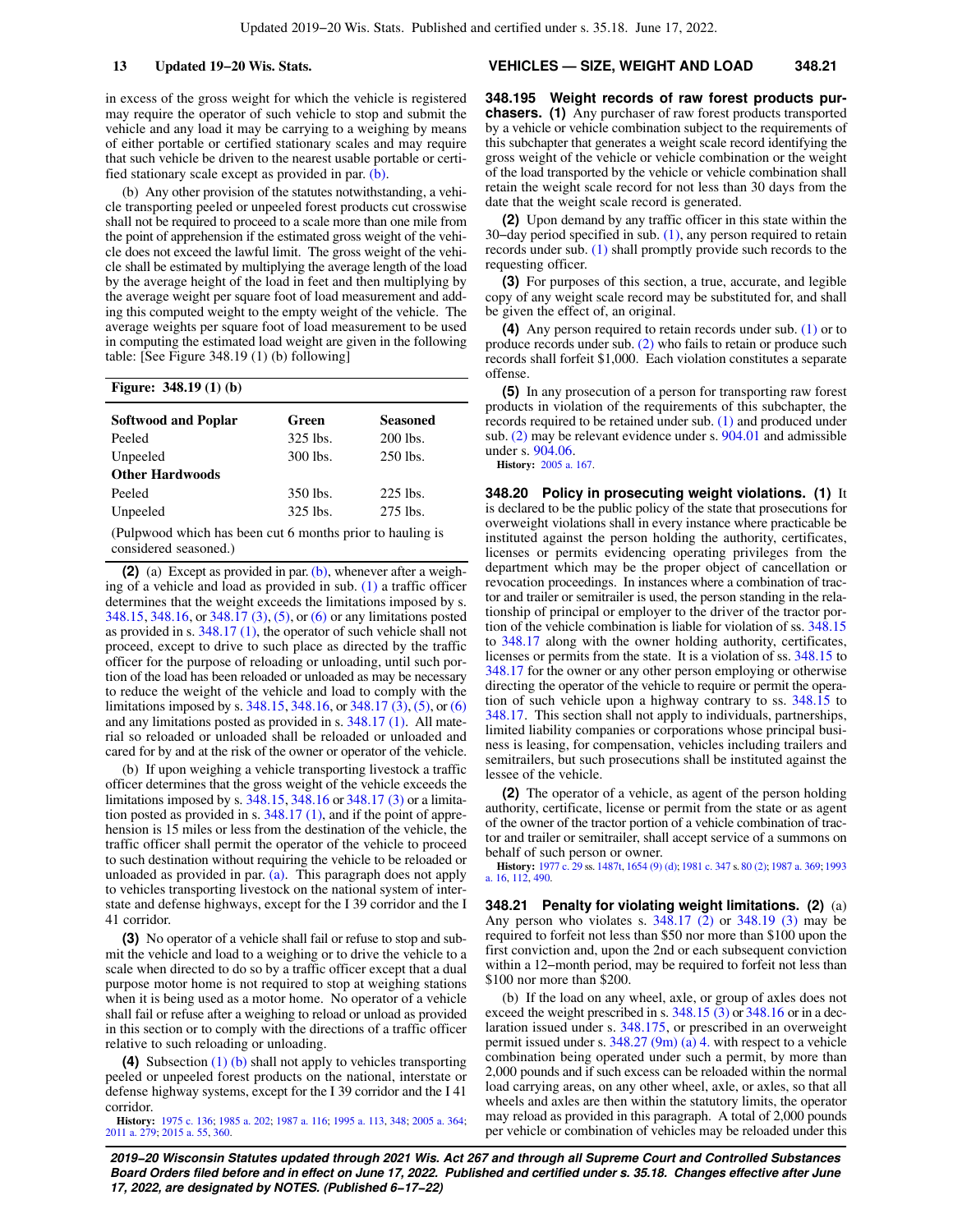in excess of the gross weight for which the vehicle is registered may require the operator of such vehicle to stop and submit the vehicle and any load it may be carrying to a weighing by means of either portable or certified stationary scales and may require that such vehicle be driven to the nearest usable portable or certified stationary scale except as provided in par. [\(b\).](https://docs.legis.wisconsin.gov/document/statutes/348.19(1)(b))

(b) Any other provision of the statutes notwithstanding, a vehicle transporting peeled or unpeeled forest products cut crosswise shall not be required to proceed to a scale more than one mile from the point of apprehension if the estimated gross weight of the vehicle does not exceed the lawful limit. The gross weight of the vehicle shall be estimated by multiplying the average length of the load by the average height of the load in feet and then multiplying by the average weight per square foot of load measurement and adding this computed weight to the empty weight of the vehicle. The average weights per square foot of load measurement to be used in computing the estimated load weight are given in the following table: [See Figure 348.19 (1) (b) following]

#### **Figure: 348.19 (1) (b)**

| <b>Softwood and Poplar</b>                                | Green      | <b>Seasoned</b> |  |  |  |  |
|-----------------------------------------------------------|------------|-----------------|--|--|--|--|
| Peeled                                                    | $325$ lbs. | 200 lbs.        |  |  |  |  |
| Unpeeled                                                  | 300 lbs.   | 250 lbs.        |  |  |  |  |
| <b>Other Hardwoods</b>                                    |            |                 |  |  |  |  |
| Peeled                                                    | 350 lbs.   | $225$ lbs.      |  |  |  |  |
| Unpeeled                                                  | 325 lbs.   | 275 lbs.        |  |  |  |  |
| (Pulpwood which has been cut 6 months prior to hauling is |            |                 |  |  |  |  |

considered seasoned.)

**(2)** (a) Except as provided in par. [\(b\),](https://docs.legis.wisconsin.gov/document/statutes/348.19(2)(b)) whenever after a weighing of a vehicle and load as provided in sub. [\(1\)](https://docs.legis.wisconsin.gov/document/statutes/348.19(1)) a traffic officer determines that the weight exceeds the limitations imposed by s. [348.15,](https://docs.legis.wisconsin.gov/document/statutes/348.15) [348.16,](https://docs.legis.wisconsin.gov/document/statutes/348.16) or [348.17 \(3\)](https://docs.legis.wisconsin.gov/document/statutes/348.17(3)), [\(5\),](https://docs.legis.wisconsin.gov/document/statutes/348.17(5)) or [\(6\)](https://docs.legis.wisconsin.gov/document/statutes/348.17(6)) or any limitations posted as provided in s. [348.17 \(1\),](https://docs.legis.wisconsin.gov/document/statutes/348.17(1)) the operator of such vehicle shall not proceed, except to drive to such place as directed by the traffic officer for the purpose of reloading or unloading, until such portion of the load has been reloaded or unloaded as may be necessary to reduce the weight of the vehicle and load to comply with the limitations imposed by s. [348.15](https://docs.legis.wisconsin.gov/document/statutes/348.15), [348.16,](https://docs.legis.wisconsin.gov/document/statutes/348.16) or [348.17 \(3\)](https://docs.legis.wisconsin.gov/document/statutes/348.17(3)), [\(5\)](https://docs.legis.wisconsin.gov/document/statutes/348.17(5)), or [\(6\)](https://docs.legis.wisconsin.gov/document/statutes/348.17(6)) and any limitations posted as provided in s. [348.17 \(1\)](https://docs.legis.wisconsin.gov/document/statutes/348.17(1)). All material so reloaded or unloaded shall be reloaded or unloaded and cared for by and at the risk of the owner or operator of the vehicle.

(b) If upon weighing a vehicle transporting livestock a traffic officer determines that the gross weight of the vehicle exceeds the limitations imposed by s. [348.15](https://docs.legis.wisconsin.gov/document/statutes/348.15), [348.16](https://docs.legis.wisconsin.gov/document/statutes/348.16) or [348.17 \(3\)](https://docs.legis.wisconsin.gov/document/statutes/348.17(3)) or a limitation posted as provided in s. [348.17 \(1\)](https://docs.legis.wisconsin.gov/document/statutes/348.17(1)), and if the point of apprehension is 15 miles or less from the destination of the vehicle, the traffic officer shall permit the operator of the vehicle to proceed to such destination without requiring the vehicle to be reloaded or unloaded as provided in par.  $(a)$ . This paragraph does not apply to vehicles transporting livestock on the national system of interstate and defense highways, except for the I 39 corridor and the I 41 corridor.

**(3)** No operator of a vehicle shall fail or refuse to stop and submit the vehicle and load to a weighing or to drive the vehicle to a scale when directed to do so by a traffic officer except that a dual purpose motor home is not required to stop at weighing stations when it is being used as a motor home. No operator of a vehicle shall fail or refuse after a weighing to reload or unload as provided in this section or to comply with the directions of a traffic officer relative to such reloading or unloading.

**(4)** Subsection [\(1\) \(b\)](https://docs.legis.wisconsin.gov/document/statutes/348.19(1)(b)) shall not apply to vehicles transporting peeled or unpeeled forest products on the national, interstate or defense highway systems, except for the I 39 corridor and the I 41 corridor.

**History:** [1975 c. 136;](https://docs.legis.wisconsin.gov/document/acts/1975/136) [1985 a. 202;](https://docs.legis.wisconsin.gov/document/acts/1985/202) [1987 a. 116](https://docs.legis.wisconsin.gov/document/acts/1987/116); [1995 a. 113](https://docs.legis.wisconsin.gov/document/acts/1995/113), [348](https://docs.legis.wisconsin.gov/document/acts/1995/348); [2005 a. 364](https://docs.legis.wisconsin.gov/document/acts/2005/364); [2011 a. 279](https://docs.legis.wisconsin.gov/document/acts/2011/279); [2015 a. 55,](https://docs.legis.wisconsin.gov/document/acts/2015/55) [360.](https://docs.legis.wisconsin.gov/document/acts/2015/360)

#### **13 Updated 19−20 Wis. Stats. VEHICLES — SIZE, WEIGHT AND LOAD 348.21**

**348.195 Weight records of raw forest products purchasers. (1)** Any purchaser of raw forest products transported by a vehicle or vehicle combination subject to the requirements of this subchapter that generates a weight scale record identifying the gross weight of the vehicle or vehicle combination or the weight of the load transported by the vehicle or vehicle combination shall retain the weight scale record for not less than 30 days from the date that the weight scale record is generated.

**(2)** Upon demand by any traffic officer in this state within the 30−day period specified in sub. [\(1\),](https://docs.legis.wisconsin.gov/document/statutes/348.195(1)) any person required to retain records under sub. [\(1\)](https://docs.legis.wisconsin.gov/document/statutes/348.195(1)) shall promptly provide such records to the requesting officer.

**(3)** For purposes of this section, a true, accurate, and legible copy of any weight scale record may be substituted for, and shall be given the effect of, an original.

**(4)** Any person required to retain records under sub. [\(1\)](https://docs.legis.wisconsin.gov/document/statutes/348.195(1)) or to produce records under sub. [\(2\)](https://docs.legis.wisconsin.gov/document/statutes/348.195(2)) who fails to retain or produce such records shall forfeit \$1,000. Each violation constitutes a separate offense.

**(5)** In any prosecution of a person for transporting raw forest products in violation of the requirements of this subchapter, the records required to be retained under sub. [\(1\)](https://docs.legis.wisconsin.gov/document/statutes/348.195(1)) and produced under sub. [\(2\)](https://docs.legis.wisconsin.gov/document/statutes/348.195(2)) may be relevant evidence under s. [904.01](https://docs.legis.wisconsin.gov/document/statutes/904.01) and admissible under s. [904.06.](https://docs.legis.wisconsin.gov/document/statutes/904.06)

**History:** [2005 a. 167.](https://docs.legis.wisconsin.gov/document/acts/2005/167)

**348.20 Policy in prosecuting weight violations. (1)** It is declared to be the public policy of the state that prosecutions for overweight violations shall in every instance where practicable be instituted against the person holding the authority, certificates, licenses or permits evidencing operating privileges from the department which may be the proper object of cancellation or revocation proceedings. In instances where a combination of tractor and trailer or semitrailer is used, the person standing in the relationship of principal or employer to the driver of the tractor portion of the vehicle combination is liable for violation of ss. [348.15](https://docs.legis.wisconsin.gov/document/statutes/348.15) to [348.17](https://docs.legis.wisconsin.gov/document/statutes/348.17) along with the owner holding authority, certificates, licenses or permits from the state. It is a violation of ss. [348.15](https://docs.legis.wisconsin.gov/document/statutes/348.15) to [348.17](https://docs.legis.wisconsin.gov/document/statutes/348.17) for the owner or any other person employing or otherwise directing the operator of the vehicle to require or permit the operation of such vehicle upon a highway contrary to ss. [348.15](https://docs.legis.wisconsin.gov/document/statutes/348.15) to [348.17.](https://docs.legis.wisconsin.gov/document/statutes/348.17) This section shall not apply to individuals, partnerships, limited liability companies or corporations whose principal business is leasing, for compensation, vehicles including trailers and semitrailers, but such prosecutions shall be instituted against the lessee of the vehicle.

**(2)** The operator of a vehicle, as agent of the person holding authority, certificate, license or permit from the state or as agent of the owner of the tractor portion of a vehicle combination of tractor and trailer or semitrailer, shall accept service of a summons on behalf of such person or owner.

**History:** [1977 c. 29](https://docs.legis.wisconsin.gov/document/acts/1977/29) ss. [1487t,](https://docs.legis.wisconsin.gov/document/acts/1977/29,%20s.%201487t) [1654 \(9\) \(d\)](https://docs.legis.wisconsin.gov/document/acts/1977/29,%20s.%201654); [1981 c. 347](https://docs.legis.wisconsin.gov/document/acts/1981/347) s. [80 \(2\);](https://docs.legis.wisconsin.gov/document/acts/1981/347,%20s.%2080) [1987 a. 369](https://docs.legis.wisconsin.gov/document/acts/1987/369); [1993](https://docs.legis.wisconsin.gov/document/acts/1993/16) [a. 16,](https://docs.legis.wisconsin.gov/document/acts/1993/16) [112](https://docs.legis.wisconsin.gov/document/acts/1993/112), [490](https://docs.legis.wisconsin.gov/document/acts/1993/490).

**348.21 Penalty for violating weight limitations. (2)** (a) Any person who violates s. [348.17 \(2\)](https://docs.legis.wisconsin.gov/document/statutes/348.17(2)) or [348.19 \(3\)](https://docs.legis.wisconsin.gov/document/statutes/348.19(3)) may be required to forfeit not less than \$50 nor more than \$100 upon the first conviction and, upon the 2nd or each subsequent conviction within a 12−month period, may be required to forfeit not less than \$100 nor more than \$200.

(b) If the load on any wheel, axle, or group of axles does not exceed the weight prescribed in s. [348.15 \(3\)](https://docs.legis.wisconsin.gov/document/statutes/348.15(3)) or [348.16](https://docs.legis.wisconsin.gov/document/statutes/348.16) or in a declaration issued under s. [348.175](https://docs.legis.wisconsin.gov/document/statutes/348.175), or prescribed in an overweight permit issued under s.  $348.27$  (9m) (a) 4. with respect to a vehicle combination being operated under such a permit, by more than 2,000 pounds and if such excess can be reloaded within the normal load carrying areas, on any other wheel, axle, or axles, so that all wheels and axles are then within the statutory limits, the operator may reload as provided in this paragraph. A total of 2,000 pounds per vehicle or combination of vehicles may be reloaded under this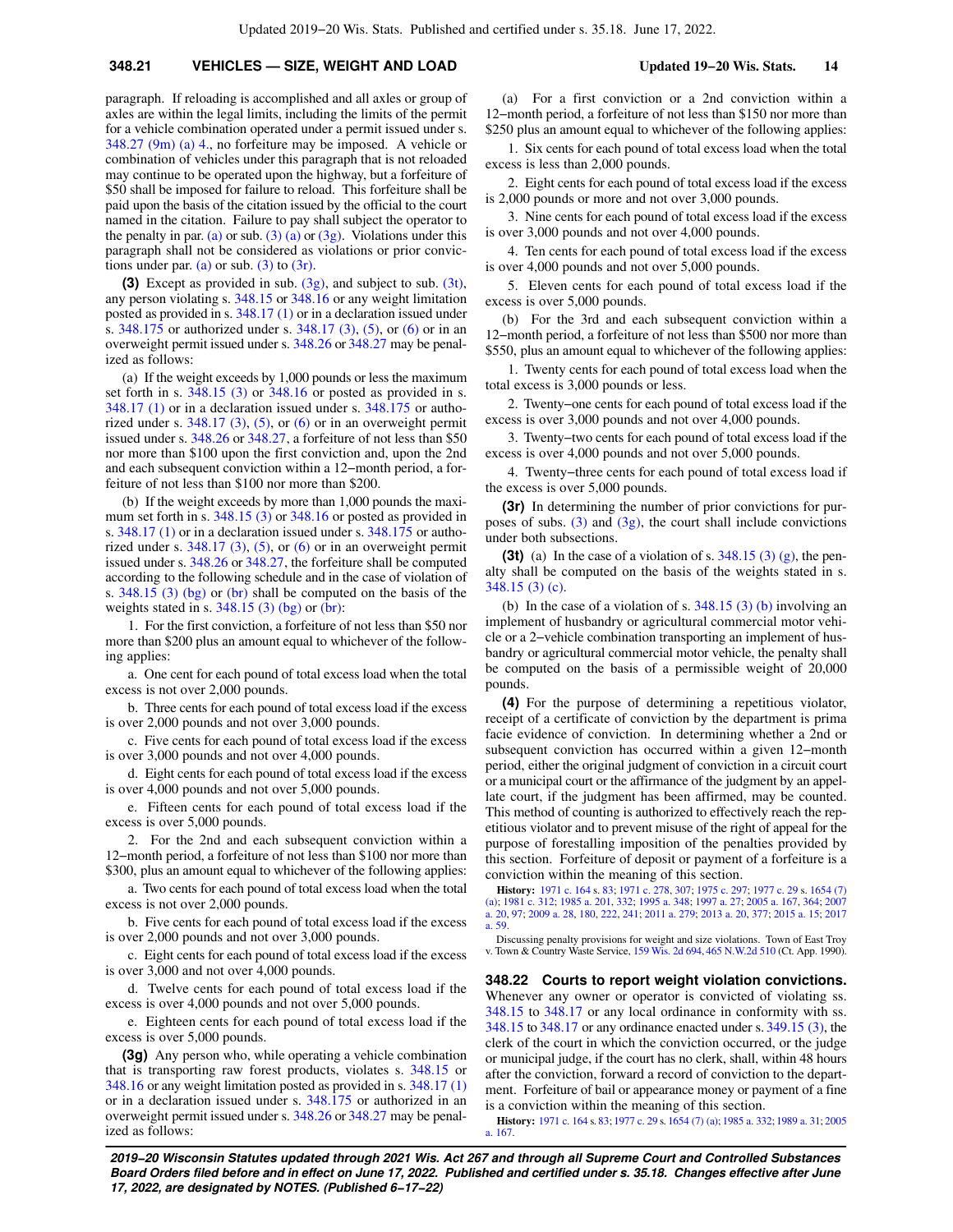### **348.21 VEHICLES — SIZE, WEIGHT AND LOAD Updated 19−20 Wis. Stats. 14**

paragraph. If reloading is accomplished and all axles or group of axles are within the legal limits, including the limits of the permit for a vehicle combination operated under a permit issued under s. [348.27 \(9m\) \(a\) 4.,](https://docs.legis.wisconsin.gov/document/statutes/348.27(9m)(a)4.) no forfeiture may be imposed. A vehicle or combination of vehicles under this paragraph that is not reloaded may continue to be operated upon the highway, but a forfeiture of \$50 shall be imposed for failure to reload. This forfeiture shall be paid upon the basis of the citation issued by the official to the court named in the citation. Failure to pay shall subject the operator to the penalty in par. [\(a\)](https://docs.legis.wisconsin.gov/document/statutes/348.21(2)(a)) or sub. [\(3\) \(a\)](https://docs.legis.wisconsin.gov/document/statutes/348.21(3)(a)) or [\(3g\).](https://docs.legis.wisconsin.gov/document/statutes/348.21(3g)) Violations under this paragraph shall not be considered as violations or prior convic-tions under par. [\(a\)](https://docs.legis.wisconsin.gov/document/statutes/348.21(2)(a)) or sub.  $(3)$  to  $(3r)$ .

**(3)** Except as provided in sub. [\(3g\),](https://docs.legis.wisconsin.gov/document/statutes/348.21(3g)) and subject to sub. [\(3t\),](https://docs.legis.wisconsin.gov/document/statutes/348.21(3t)) any person violating s. [348.15](https://docs.legis.wisconsin.gov/document/statutes/348.15) or [348.16](https://docs.legis.wisconsin.gov/document/statutes/348.16) or any weight limitation posted as provided in s. [348.17 \(1\)](https://docs.legis.wisconsin.gov/document/statutes/348.17(1)) or in a declaration issued under s. [348.175](https://docs.legis.wisconsin.gov/document/statutes/348.175) or authorized under s. [348.17 \(3\),](https://docs.legis.wisconsin.gov/document/statutes/348.17(3)) [\(5\),](https://docs.legis.wisconsin.gov/document/statutes/348.17(5)) or [\(6\)](https://docs.legis.wisconsin.gov/document/statutes/348.17(6)) or in an overweight permit issued under s. [348.26](https://docs.legis.wisconsin.gov/document/statutes/348.26) or [348.27](https://docs.legis.wisconsin.gov/document/statutes/348.27) may be penalized as follows:

(a) If the weight exceeds by 1,000 pounds or less the maximum set forth in s. [348.15 \(3\)](https://docs.legis.wisconsin.gov/document/statutes/348.15(3)) or [348.16](https://docs.legis.wisconsin.gov/document/statutes/348.16) or posted as provided in s. [348.17 \(1\)](https://docs.legis.wisconsin.gov/document/statutes/348.17(1)) or in a declaration issued under s. [348.175](https://docs.legis.wisconsin.gov/document/statutes/348.175) or authorized under s.  $348.17$  (3), [\(5\),](https://docs.legis.wisconsin.gov/document/statutes/348.17(5)) or [\(6\)](https://docs.legis.wisconsin.gov/document/statutes/348.17(6)) or in an overweight permit issued under s. [348.26](https://docs.legis.wisconsin.gov/document/statutes/348.26) or [348.27](https://docs.legis.wisconsin.gov/document/statutes/348.27), a forfeiture of not less than \$50 nor more than \$100 upon the first conviction and, upon the 2nd and each subsequent conviction within a 12−month period, a forfeiture of not less than \$100 nor more than \$200.

(b) If the weight exceeds by more than 1,000 pounds the maximum set forth in s.  $348.15(3)$  or  $348.16$  or posted as provided in s. [348.17 \(1\)](https://docs.legis.wisconsin.gov/document/statutes/348.17(1)) or in a declaration issued under s. [348.175](https://docs.legis.wisconsin.gov/document/statutes/348.175) or authorized under s.  $348.17$  (3), [\(5\),](https://docs.legis.wisconsin.gov/document/statutes/348.17(5)) or [\(6\)](https://docs.legis.wisconsin.gov/document/statutes/348.17(6)) or in an overweight permit issued under s. [348.26](https://docs.legis.wisconsin.gov/document/statutes/348.26) or [348.27,](https://docs.legis.wisconsin.gov/document/statutes/348.27) the forfeiture shall be computed according to the following schedule and in the case of violation of s. [348.15 \(3\) \(bg\)](https://docs.legis.wisconsin.gov/document/statutes/348.15(3)(bg)) or [\(br\)](https://docs.legis.wisconsin.gov/document/statutes/348.15(3)(br)) shall be computed on the basis of the weights stated in s.  $348.15$  (3) (bg) or [\(br\):](https://docs.legis.wisconsin.gov/document/statutes/348.15(3)(br))

1. For the first conviction, a forfeiture of not less than \$50 nor more than \$200 plus an amount equal to whichever of the following applies:

a. One cent for each pound of total excess load when the total excess is not over 2,000 pounds.

b. Three cents for each pound of total excess load if the excess is over 2,000 pounds and not over 3,000 pounds.

c. Five cents for each pound of total excess load if the excess is over 3,000 pounds and not over 4,000 pounds.

d. Eight cents for each pound of total excess load if the excess is over 4,000 pounds and not over 5,000 pounds.

e. Fifteen cents for each pound of total excess load if the excess is over 5,000 pounds.

2. For the 2nd and each subsequent conviction within a 12−month period, a forfeiture of not less than \$100 nor more than \$300, plus an amount equal to whichever of the following applies:

a. Two cents for each pound of total excess load when the total excess is not over 2,000 pounds.

b. Five cents for each pound of total excess load if the excess is over 2,000 pounds and not over 3,000 pounds.

c. Eight cents for each pound of total excess load if the excess is over 3,000 and not over 4,000 pounds.

d. Twelve cents for each pound of total excess load if the excess is over 4,000 pounds and not over 5,000 pounds.

e. Eighteen cents for each pound of total excess load if the excess is over 5,000 pounds.

**(3g)** Any person who, while operating a vehicle combination that is transporting raw forest products, violates s. [348.15](https://docs.legis.wisconsin.gov/document/statutes/348.15) or [348.16](https://docs.legis.wisconsin.gov/document/statutes/348.16) or any weight limitation posted as provided in s. [348.17 \(1\)](https://docs.legis.wisconsin.gov/document/statutes/348.17(1)) or in a declaration issued under s. [348.175](https://docs.legis.wisconsin.gov/document/statutes/348.175) or authorized in an overweight permit issued under s. [348.26](https://docs.legis.wisconsin.gov/document/statutes/348.26) or [348.27](https://docs.legis.wisconsin.gov/document/statutes/348.27) may be penalized as follows:

(a) For a first conviction or a 2nd conviction within a 12−month period, a forfeiture of not less than \$150 nor more than \$250 plus an amount equal to whichever of the following applies:

1. Six cents for each pound of total excess load when the total excess is less than 2,000 pounds.

2. Eight cents for each pound of total excess load if the excess is 2,000 pounds or more and not over 3,000 pounds.

3. Nine cents for each pound of total excess load if the excess is over 3,000 pounds and not over 4,000 pounds.

4. Ten cents for each pound of total excess load if the excess is over 4,000 pounds and not over 5,000 pounds.

5. Eleven cents for each pound of total excess load if the excess is over 5,000 pounds.

(b) For the 3rd and each subsequent conviction within a 12−month period, a forfeiture of not less than \$500 nor more than \$550, plus an amount equal to whichever of the following applies:

1. Twenty cents for each pound of total excess load when the total excess is 3,000 pounds or less.

2. Twenty−one cents for each pound of total excess load if the excess is over 3,000 pounds and not over 4,000 pounds.

3. Twenty−two cents for each pound of total excess load if the excess is over 4,000 pounds and not over 5,000 pounds.

4. Twenty−three cents for each pound of total excess load if the excess is over 5,000 pounds.

**(3r)** In determining the number of prior convictions for purposes of subs.  $(3)$  and  $(3g)$ , the court shall include convictions under both subsections.

**(3t)** (a) In the case of a violation of s. [348.15 \(3\) \(g\)](https://docs.legis.wisconsin.gov/document/statutes/348.15(3)(g)), the penalty shall be computed on the basis of the weights stated in s. [348.15 \(3\) \(c\)](https://docs.legis.wisconsin.gov/document/statutes/348.15(3)(c)).

(b) In the case of a violation of s. [348.15 \(3\) \(b\)](https://docs.legis.wisconsin.gov/document/statutes/348.15(3)(b)) involving an implement of husbandry or agricultural commercial motor vehicle or a 2−vehicle combination transporting an implement of husbandry or agricultural commercial motor vehicle, the penalty shall be computed on the basis of a permissible weight of 20,000 pounds.

**(4)** For the purpose of determining a repetitious violator, receipt of a certificate of conviction by the department is prima facie evidence of conviction. In determining whether a 2nd or subsequent conviction has occurred within a given 12−month period, either the original judgment of conviction in a circuit court or a municipal court or the affirmance of the judgment by an appellate court, if the judgment has been affirmed, may be counted. This method of counting is authorized to effectively reach the repetitious violator and to prevent misuse of the right of appeal for the purpose of forestalling imposition of the penalties provided by this section. Forfeiture of deposit or payment of a forfeiture is a conviction within the meaning of this section.

**History:** [1971 c. 164](https://docs.legis.wisconsin.gov/document/acts/1971/164) s. [83](https://docs.legis.wisconsin.gov/document/acts/1971/164,%20s.%2083); [1971 c. 278](https://docs.legis.wisconsin.gov/document/acts/1971/278), [307](https://docs.legis.wisconsin.gov/document/acts/1971/307); [1975 c. 297](https://docs.legis.wisconsin.gov/document/acts/1975/297); [1977 c. 29](https://docs.legis.wisconsin.gov/document/acts/1977/29) s. [1654 \(7\)](https://docs.legis.wisconsin.gov/document/acts/1977/29,%20s.%201654) [\(a\);](https://docs.legis.wisconsin.gov/document/acts/1977/29,%20s.%201654) [1981 c. 312](https://docs.legis.wisconsin.gov/document/acts/1981/312); [1985 a. 201,](https://docs.legis.wisconsin.gov/document/acts/1985/201) [332;](https://docs.legis.wisconsin.gov/document/acts/1985/332) [1995 a. 348](https://docs.legis.wisconsin.gov/document/acts/1995/348); [1997 a. 27](https://docs.legis.wisconsin.gov/document/acts/1997/27); [2005 a. 167,](https://docs.legis.wisconsin.gov/document/acts/2005/167) [364;](https://docs.legis.wisconsin.gov/document/acts/2005/364) [2007](https://docs.legis.wisconsin.gov/document/acts/2007/20) [a. 20,](https://docs.legis.wisconsin.gov/document/acts/2007/20) [97;](https://docs.legis.wisconsin.gov/document/acts/2007/97) [2009 a. 28,](https://docs.legis.wisconsin.gov/document/acts/2009/28) [180,](https://docs.legis.wisconsin.gov/document/acts/2009/180) [222,](https://docs.legis.wisconsin.gov/document/acts/2009/222) [241;](https://docs.legis.wisconsin.gov/document/acts/2009/241) [2011 a. 279;](https://docs.legis.wisconsin.gov/document/acts/2011/279) [2013 a. 20,](https://docs.legis.wisconsin.gov/document/acts/2013/20) [377;](https://docs.legis.wisconsin.gov/document/acts/2013/377) [2015 a. 15;](https://docs.legis.wisconsin.gov/document/acts/2015/15) [2017](https://docs.legis.wisconsin.gov/document/acts/2017/59) [a. 59.](https://docs.legis.wisconsin.gov/document/acts/2017/59)

Discussing penalty provisions for weight and size violations. Town of East Troy v. Town & Country Waste Service, [159 Wis. 2d 694,](https://docs.legis.wisconsin.gov/document/courts/159%20Wis.%202d%20694) [465 N.W.2d 510](https://docs.legis.wisconsin.gov/document/courts/465%20N.W.2d%20510) (Ct. App. 1990).

**348.22 Courts to report weight violation convictions.** Whenever any owner or operator is convicted of violating ss. [348.15](https://docs.legis.wisconsin.gov/document/statutes/348.15) to [348.17](https://docs.legis.wisconsin.gov/document/statutes/348.17) or any local ordinance in conformity with ss. [348.15](https://docs.legis.wisconsin.gov/document/statutes/348.15) to [348.17](https://docs.legis.wisconsin.gov/document/statutes/348.17) or any ordinance enacted under s. [349.15 \(3\),](https://docs.legis.wisconsin.gov/document/statutes/349.15(3)) the clerk of the court in which the conviction occurred, or the judge or municipal judge, if the court has no clerk, shall, within 48 hours after the conviction, forward a record of conviction to the department. Forfeiture of bail or appearance money or payment of a fine is a conviction within the meaning of this section.

**History:** [1971 c. 164](https://docs.legis.wisconsin.gov/document/acts/1971/164) s. [83;](https://docs.legis.wisconsin.gov/document/acts/1971/164,%20s.%2083) [1977 c. 29](https://docs.legis.wisconsin.gov/document/acts/1977/29) s. [1654 \(7\) \(a\)](https://docs.legis.wisconsin.gov/document/acts/1977/29,%20s.%201654); [1985 a. 332](https://docs.legis.wisconsin.gov/document/acts/1985/332); [1989 a. 31](https://docs.legis.wisconsin.gov/document/acts/1989/31); [2005](https://docs.legis.wisconsin.gov/document/acts/2005/167) [a. 167](https://docs.legis.wisconsin.gov/document/acts/2005/167).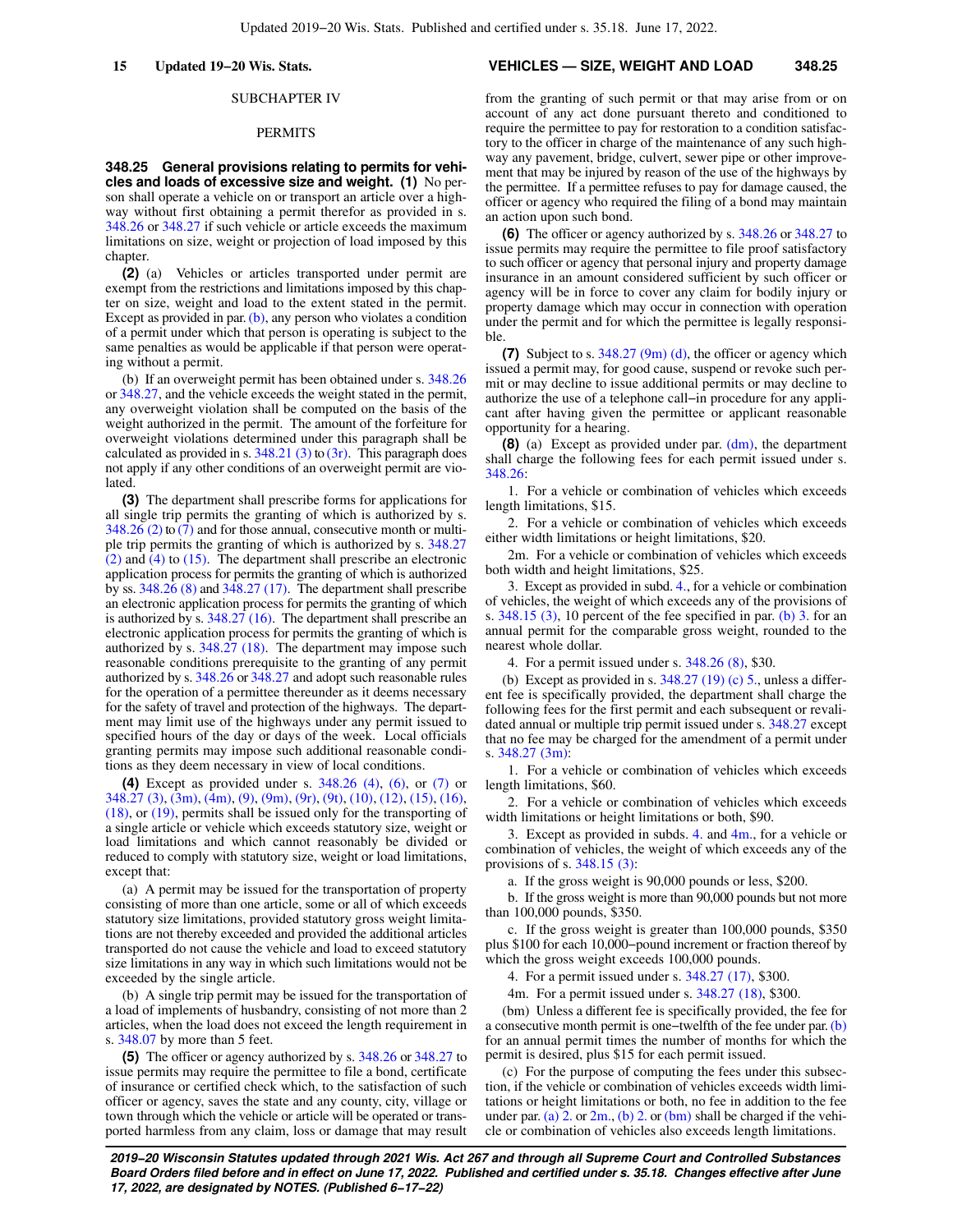### SUBCHAPTER IV

#### PERMITS

**348.25 General provisions relating to permits for vehicles and loads of excessive size and weight. (1)** No person shall operate a vehicle on or transport an article over a highway without first obtaining a permit therefor as provided in s. [348.26](https://docs.legis.wisconsin.gov/document/statutes/348.26) or [348.27](https://docs.legis.wisconsin.gov/document/statutes/348.27) if such vehicle or article exceeds the maximum limitations on size, weight or projection of load imposed by this chapter.

**(2)** (a) Vehicles or articles transported under permit are exempt from the restrictions and limitations imposed by this chapter on size, weight and load to the extent stated in the permit. Except as provided in par.  $(b)$ , any person who violates a condition of a permit under which that person is operating is subject to the same penalties as would be applicable if that person were operating without a permit.

(b) If an overweight permit has been obtained under s. [348.26](https://docs.legis.wisconsin.gov/document/statutes/348.26) or [348.27,](https://docs.legis.wisconsin.gov/document/statutes/348.27) and the vehicle exceeds the weight stated in the permit, any overweight violation shall be computed on the basis of the weight authorized in the permit. The amount of the forfeiture for overweight violations determined under this paragraph shall be calculated as provided in s.  $348.21$  (3) to [\(3r\).](https://docs.legis.wisconsin.gov/document/statutes/348.21(3r)) This paragraph does not apply if any other conditions of an overweight permit are violated

**(3)** The department shall prescribe forms for applications for all single trip permits the granting of which is authorized by s.  $348.26$  (2) to [\(7\)](https://docs.legis.wisconsin.gov/document/statutes/348.26(7)) and for those annual, consecutive month or multiple trip permits the granting of which is authorized by s. [348.27](https://docs.legis.wisconsin.gov/document/statutes/348.27(2))  $(2)$  and  $(4)$  to [\(15\).](https://docs.legis.wisconsin.gov/document/statutes/348.27(15)) The department shall prescribe an electronic application process for permits the granting of which is authorized by ss. [348.26 \(8\)](https://docs.legis.wisconsin.gov/document/statutes/348.26(8)) and [348.27 \(17\).](https://docs.legis.wisconsin.gov/document/statutes/348.27(17)) The department shall prescribe an electronic application process for permits the granting of which is authorized by s. [348.27 \(16\).](https://docs.legis.wisconsin.gov/document/statutes/348.27(16)) The department shall prescribe an electronic application process for permits the granting of which is authorized by s. [348.27 \(18\)](https://docs.legis.wisconsin.gov/document/statutes/348.27(18)). The department may impose such reasonable conditions prerequisite to the granting of any permit authorized by s. [348.26](https://docs.legis.wisconsin.gov/document/statutes/348.26) or [348.27](https://docs.legis.wisconsin.gov/document/statutes/348.27) and adopt such reasonable rules for the operation of a permittee thereunder as it deems necessary for the safety of travel and protection of the highways. The department may limit use of the highways under any permit issued to specified hours of the day or days of the week. Local officials granting permits may impose such additional reasonable conditions as they deem necessary in view of local conditions.

**(4)** Except as provided under s. [348.26 \(4\)](https://docs.legis.wisconsin.gov/document/statutes/348.26(4)), [\(6\),](https://docs.legis.wisconsin.gov/document/statutes/348.26(6)) or [\(7\)](https://docs.legis.wisconsin.gov/document/statutes/348.26(7)) or [348.27 \(3\)](https://docs.legis.wisconsin.gov/document/statutes/348.27(3)), [\(3m\)](https://docs.legis.wisconsin.gov/document/statutes/348.27(3m)), [\(4m\),](https://docs.legis.wisconsin.gov/document/statutes/348.27(4m)) [\(9\),](https://docs.legis.wisconsin.gov/document/statutes/348.27(9)) [\(9m\)](https://docs.legis.wisconsin.gov/document/statutes/348.27(9m)), [\(9r\)](https://docs.legis.wisconsin.gov/document/statutes/348.27(9r)), [\(9t\),](https://docs.legis.wisconsin.gov/document/statutes/348.27(9t)) [\(10\),](https://docs.legis.wisconsin.gov/document/statutes/348.27(10)) [\(12\)](https://docs.legis.wisconsin.gov/document/statutes/348.27(12)), [\(15\)](https://docs.legis.wisconsin.gov/document/statutes/348.27(15)), [\(16\),](https://docs.legis.wisconsin.gov/document/statutes/348.27(16)) [\(18\),](https://docs.legis.wisconsin.gov/document/statutes/348.27(18)) or [\(19\)](https://docs.legis.wisconsin.gov/document/statutes/348.27(19)), permits shall be issued only for the transporting of a single article or vehicle which exceeds statutory size, weight or load limitations and which cannot reasonably be divided or reduced to comply with statutory size, weight or load limitations, except that:

(a) A permit may be issued for the transportation of property consisting of more than one article, some or all of which exceeds statutory size limitations, provided statutory gross weight limitations are not thereby exceeded and provided the additional articles transported do not cause the vehicle and load to exceed statutory size limitations in any way in which such limitations would not be exceeded by the single article.

(b) A single trip permit may be issued for the transportation of a load of implements of husbandry, consisting of not more than 2 articles, when the load does not exceed the length requirement in s. [348.07](https://docs.legis.wisconsin.gov/document/statutes/348.07) by more than 5 feet.

**(5)** The officer or agency authorized by s. [348.26](https://docs.legis.wisconsin.gov/document/statutes/348.26) or [348.27](https://docs.legis.wisconsin.gov/document/statutes/348.27) to issue permits may require the permittee to file a bond, certificate of insurance or certified check which, to the satisfaction of such officer or agency, saves the state and any county, city, village or town through which the vehicle or article will be operated or transported harmless from any claim, loss or damage that may result

#### **15 Updated 19−20 Wis. Stats. VEHICLES — SIZE, WEIGHT AND LOAD 348.25**

from the granting of such permit or that may arise from or on account of any act done pursuant thereto and conditioned to require the permittee to pay for restoration to a condition satisfactory to the officer in charge of the maintenance of any such highway any pavement, bridge, culvert, sewer pipe or other improvement that may be injured by reason of the use of the highways by the permittee. If a permittee refuses to pay for damage caused, the officer or agency who required the filing of a bond may maintain an action upon such bond.

**(6)** The officer or agency authorized by s. [348.26](https://docs.legis.wisconsin.gov/document/statutes/348.26) or [348.27](https://docs.legis.wisconsin.gov/document/statutes/348.27) to issue permits may require the permittee to file proof satisfactory to such officer or agency that personal injury and property damage insurance in an amount considered sufficient by such officer or agency will be in force to cover any claim for bodily injury or property damage which may occur in connection with operation under the permit and for which the permittee is legally responsible.

**(7)** Subject to s. [348.27 \(9m\) \(d\),](https://docs.legis.wisconsin.gov/document/statutes/348.27(9m)(d)) the officer or agency which issued a permit may, for good cause, suspend or revoke such permit or may decline to issue additional permits or may decline to authorize the use of a telephone call−in procedure for any applicant after having given the permittee or applicant reasonable opportunity for a hearing.

**(8)** (a) Except as provided under par. [\(dm\),](https://docs.legis.wisconsin.gov/document/statutes/348.25(8)(dm)) the department shall charge the following fees for each permit issued under s. [348.26:](https://docs.legis.wisconsin.gov/document/statutes/348.26)

1. For a vehicle or combination of vehicles which exceeds length limitations, \$15.

2. For a vehicle or combination of vehicles which exceeds either width limitations or height limitations, \$20.

2m. For a vehicle or combination of vehicles which exceeds both width and height limitations, \$25.

3. Except as provided in subd. [4.](https://docs.legis.wisconsin.gov/document/statutes/348.25(8)(a)4.), for a vehicle or combination of vehicles, the weight of which exceeds any of the provisions of s. [348.15 \(3\)](https://docs.legis.wisconsin.gov/document/statutes/348.15(3)), 10 percent of the fee specified in par. [\(b\) 3.](https://docs.legis.wisconsin.gov/document/statutes/348.25(8)(b)3.) for an annual permit for the comparable gross weight, rounded to the nearest whole dollar.

4. For a permit issued under s. [348.26 \(8\)](https://docs.legis.wisconsin.gov/document/statutes/348.26(8)), \$30.

(b) Except as provided in s.  $348.27$  (19) (c) 5., unless a different fee is specifically provided, the department shall charge the following fees for the first permit and each subsequent or revalidated annual or multiple trip permit issued under s. [348.27](https://docs.legis.wisconsin.gov/document/statutes/348.27) except that no fee may be charged for the amendment of a permit under s. [348.27 \(3m\):](https://docs.legis.wisconsin.gov/document/statutes/348.27(3m))

1. For a vehicle or combination of vehicles which exceeds length limitations, \$60.

2. For a vehicle or combination of vehicles which exceeds width limitations or height limitations or both, \$90.

3. Except as provided in subds. [4.](https://docs.legis.wisconsin.gov/document/statutes/348.25(8)(b)4.) and [4m.,](https://docs.legis.wisconsin.gov/document/statutes/348.25(8)(b)4m.) for a vehicle or combination of vehicles, the weight of which exceeds any of the provisions of s. [348.15 \(3\):](https://docs.legis.wisconsin.gov/document/statutes/348.15(3))

a. If the gross weight is 90,000 pounds or less, \$200.

b. If the gross weight is more than 90,000 pounds but not more than 100,000 pounds, \$350.

c. If the gross weight is greater than 100,000 pounds, \$350 plus \$100 for each 10,000−pound increment or fraction thereof by which the gross weight exceeds 100,000 pounds.

4. For a permit issued under s. [348.27 \(17\),](https://docs.legis.wisconsin.gov/document/statutes/348.27(17)) \$300.

4m. For a permit issued under s. [348.27 \(18\),](https://docs.legis.wisconsin.gov/document/statutes/348.27(18)) \$300.

(bm) Unless a different fee is specifically provided, the fee for a consecutive month permit is one−twelfth of the fee under par. [\(b\)](https://docs.legis.wisconsin.gov/document/statutes/348.25(8)(b)) for an annual permit times the number of months for which the permit is desired, plus \$15 for each permit issued.

(c) For the purpose of computing the fees under this subsection, if the vehicle or combination of vehicles exceeds width limitations or height limitations or both, no fee in addition to the fee under par. [\(a\) 2.](https://docs.legis.wisconsin.gov/document/statutes/348.25(8)(a)2.) or  $2m$ , [\(b\) 2.](https://docs.legis.wisconsin.gov/document/statutes/348.25(8)(b)2.) or [\(bm\)](https://docs.legis.wisconsin.gov/document/statutes/348.25(8)(bm)) shall be charged if the vehicle or combination of vehicles also exceeds length limitations.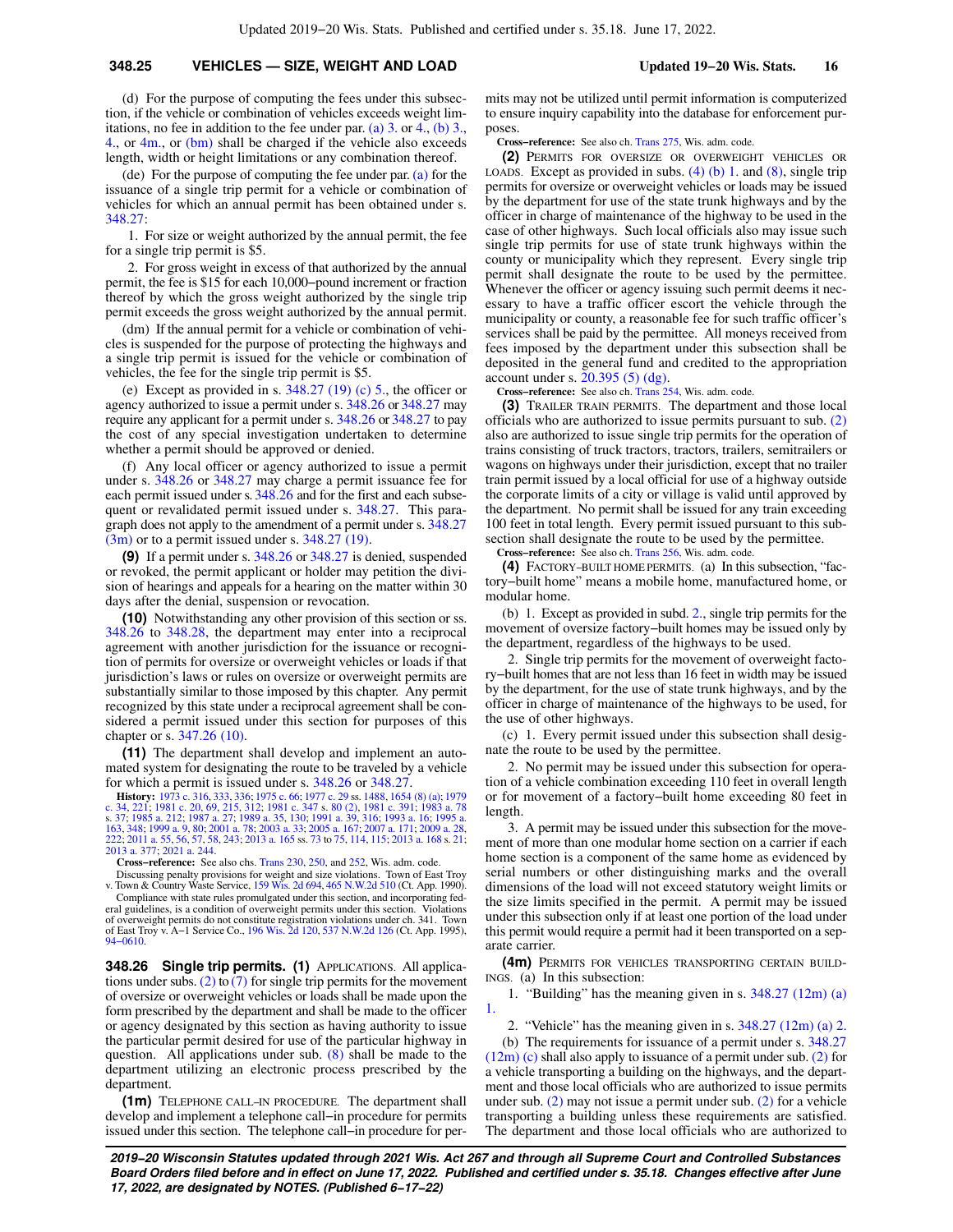### **348.25 VEHICLES — SIZE, WEIGHT AND LOAD Updated 19−20 Wis. Stats. 16**

(d) For the purpose of computing the fees under this subsection, if the vehicle or combination of vehicles exceeds weight lim-itations, no fee in addition to the fee under par. [\(a\) 3.](https://docs.legis.wisconsin.gov/document/statutes/348.25(8)(a)3.) or [4.](https://docs.legis.wisconsin.gov/document/statutes/348.25(8)(a)4.), (b)  $3.$ [4.,](https://docs.legis.wisconsin.gov/document/statutes/348.25(8)(b)4.) or  $4m$ , or  $(bm)$  shall be charged if the vehicle also exceeds length, width or height limitations or any combination thereof.

(de) For the purpose of computing the fee under par. [\(a\)](https://docs.legis.wisconsin.gov/document/statutes/348.25(8)(a)) for the issuance of a single trip permit for a vehicle or combination of vehicles for which an annual permit has been obtained under s. [348.27:](https://docs.legis.wisconsin.gov/document/statutes/348.27)

1. For size or weight authorized by the annual permit, the fee for a single trip permit is \$5.

2. For gross weight in excess of that authorized by the annual permit, the fee is \$15 for each 10,000−pound increment or fraction thereof by which the gross weight authorized by the single trip permit exceeds the gross weight authorized by the annual permit.

(dm) If the annual permit for a vehicle or combination of vehicles is suspended for the purpose of protecting the highways and a single trip permit is issued for the vehicle or combination of vehicles, the fee for the single trip permit is \$5.

(e) Except as provided in s.  $348.27$  (19) (c) 5., the officer or agency authorized to issue a permit under s. [348.26](https://docs.legis.wisconsin.gov/document/statutes/348.26) or [348.27](https://docs.legis.wisconsin.gov/document/statutes/348.27) may require any applicant for a permit under s. [348.26](https://docs.legis.wisconsin.gov/document/statutes/348.26) or [348.27](https://docs.legis.wisconsin.gov/document/statutes/348.27) to pay the cost of any special investigation undertaken to determine whether a permit should be approved or denied.

(f) Any local officer or agency authorized to issue a permit under s. [348.26](https://docs.legis.wisconsin.gov/document/statutes/348.26) or [348.27](https://docs.legis.wisconsin.gov/document/statutes/348.27) may charge a permit issuance fee for each permit issued under s. [348.26](https://docs.legis.wisconsin.gov/document/statutes/348.26) and for the first and each subsequent or revalidated permit issued under s. [348.27](https://docs.legis.wisconsin.gov/document/statutes/348.27). This paragraph does not apply to the amendment of a permit under s. [348.27](https://docs.legis.wisconsin.gov/document/statutes/348.27(3m))  $(3m)$  or to a permit issued under s. [348.27 \(19\).](https://docs.legis.wisconsin.gov/document/statutes/348.27(19))

**(9)** If a permit under s. [348.26](https://docs.legis.wisconsin.gov/document/statutes/348.26) or [348.27](https://docs.legis.wisconsin.gov/document/statutes/348.27) is denied, suspended or revoked, the permit applicant or holder may petition the division of hearings and appeals for a hearing on the matter within 30 days after the denial, suspension or revocation.

**(10)** Notwithstanding any other provision of this section or ss. [348.26](https://docs.legis.wisconsin.gov/document/statutes/348.26) to [348.28](https://docs.legis.wisconsin.gov/document/statutes/348.28), the department may enter into a reciprocal agreement with another jurisdiction for the issuance or recognition of permits for oversize or overweight vehicles or loads if that jurisdiction's laws or rules on oversize or overweight permits are substantially similar to those imposed by this chapter. Any permit recognized by this state under a reciprocal agreement shall be considered a permit issued under this section for purposes of this chapter or s. [347.26 \(10\).](https://docs.legis.wisconsin.gov/document/statutes/347.26(10))

**(11)** The department shall develop and implement an automated system for designating the route to be traveled by a vehicle for which a permit is issued under s. [348.26](https://docs.legis.wisconsin.gov/document/statutes/348.26) or [348.27](https://docs.legis.wisconsin.gov/document/statutes/348.27).

**History:** [1973 c. 316](https://docs.legis.wisconsin.gov/document/acts/1973/316), [333,](https://docs.legis.wisconsin.gov/document/acts/1973/333) [336](https://docs.legis.wisconsin.gov/document/acts/1973/336); [1975 c. 66;](https://docs.legis.wisconsin.gov/document/acts/1975/66) [1977 c. 29](https://docs.legis.wisconsin.gov/document/acts/1977/29) ss. [1488,](https://docs.legis.wisconsin.gov/document/acts/1977/29,%20s.%201488) [1654 \(8\) \(a\);](https://docs.legis.wisconsin.gov/document/acts/1977/29,%20s.%201654) [1979](https://docs.legis.wisconsin.gov/document/acts/1979/34) [c. 34](https://docs.legis.wisconsin.gov/document/acts/1979/34), [221;](https://docs.legis.wisconsin.gov/document/acts/1979/221) [1981 c. 20,](https://docs.legis.wisconsin.gov/document/acts/1981/20) [69,](https://docs.legis.wisconsin.gov/document/acts/1981/69) [215,](https://docs.legis.wisconsin.gov/document/acts/1981/215) [312;](https://docs.legis.wisconsin.gov/document/acts/1981/312) [1981 c. 347](https://docs.legis.wisconsin.gov/document/acts/1981/347) s. [80 \(2\),](https://docs.legis.wisconsin.gov/document/acts/1981/347,%20s.%2080) [1981 c. 391;](https://docs.legis.wisconsin.gov/document/acts/1981/391) [1983 a. 78](https://docs.legis.wisconsin.gov/document/acts/1983/78) s. [37;](https://docs.legis.wisconsin.gov/document/acts/1983/78,%20s.%2037) [1985 a. 212](https://docs.legis.wisconsin.gov/document/acts/1985/212); [1987 a. 27;](https://docs.legis.wisconsin.gov/document/acts/1987/27) [1989 a. 35,](https://docs.legis.wisconsin.gov/document/acts/1989/35) [130;](https://docs.legis.wisconsin.gov/document/acts/1989/130) [1991 a. 39](https://docs.legis.wisconsin.gov/document/acts/1991/39), [316](https://docs.legis.wisconsin.gov/document/acts/1991/316); [1993 a. 16;](https://docs.legis.wisconsin.gov/document/acts/1993/16) [1995 a.](https://docs.legis.wisconsin.gov/document/acts/1995/163) [163](https://docs.legis.wisconsin.gov/document/acts/1995/163), [348](https://docs.legis.wisconsin.gov/document/acts/1995/348); [1999 a. 9,](https://docs.legis.wisconsin.gov/document/acts/1999/9) [80;](https://docs.legis.wisconsin.gov/document/acts/1999/80) [2001 a. 78;](https://docs.legis.wisconsin.gov/document/acts/2001/78) [2003 a. 33](https://docs.legis.wisconsin.gov/document/acts/2003/33); [2005 a. 167;](https://docs.legis.wisconsin.gov/document/acts/2005/167) [2007 a. 171](https://docs.legis.wisconsin.gov/document/acts/2007/171); [2009 a. 28](https://docs.legis.wisconsin.gov/document/acts/2009/28), [222](https://docs.legis.wisconsin.gov/document/acts/2009/222); [2011 a. 55,](https://docs.legis.wisconsin.gov/document/acts/2011/55) [56](https://docs.legis.wisconsin.gov/document/acts/2011/56), [57](https://docs.legis.wisconsin.gov/document/acts/2011/57), [58](https://docs.legis.wisconsin.gov/document/acts/2011/58), [243](https://docs.legis.wisconsin.gov/document/acts/2011/243); [2013 a. 165](https://docs.legis.wisconsin.gov/document/acts/2013/165) ss. [73](https://docs.legis.wisconsin.gov/document/acts/2013/165,%20s.%2073) to [75,](https://docs.legis.wisconsin.gov/document/acts/2013/165,%20s.%2075) [114](https://docs.legis.wisconsin.gov/document/acts/2013/165,%20s.%20114), [115](https://docs.legis.wisconsin.gov/document/acts/2013/165,%20s.%20115); [2013 a. 168](https://docs.legis.wisconsin.gov/document/acts/2013/168) s. [21](https://docs.legis.wisconsin.gov/document/acts/2013/168,%20s.%2021); [2013 a. 377;](https://docs.legis.wisconsin.gov/document/acts/2013/377) [2021 a. 244](https://docs.legis.wisconsin.gov/document/acts/2021/244).

**Cross−reference:** See also chs. [Trans 230,](https://docs.legis.wisconsin.gov/document/administrativecode/ch.%20Trans%20230) [250,](https://docs.legis.wisconsin.gov/document/administrativecode/ch.%20Trans%20250) and [252,](https://docs.legis.wisconsin.gov/document/administrativecode/ch.%20Trans%20252) Wis. adm. code.

Discussing penalty provisions for weight and size violations. Town of East Troy v. Town & Country Waste Service, [159 Wis. 2d 694,](https://docs.legis.wisconsin.gov/document/courts/159%20Wis.%202d%20694) [465 N.W.2d 510](https://docs.legis.wisconsin.gov/document/courts/465%20N.W.2d%20510) (Ct. App. 1990). Compliance with state rules promulgated under this section, and incorporating fed-eral guidelines, is a condition of overweight permits under this section. Violations of overweight permits do not constitute registration violations under ch. 341. Town of East Troy v. A−1 Service Co., [196 Wis. 2d 120](https://docs.legis.wisconsin.gov/document/courts/196%20Wis.%202d%20120), [537 N.W.2d 126](https://docs.legis.wisconsin.gov/document/courts/537%20N.W.2d%20126) (Ct. App. 1995), [94−0610](https://docs.legis.wisconsin.gov/document/wicourtofappeals/94-0610).

**348.26 Single trip permits. (1)** APPLICATIONS. All applica-

tions under subs. [\(2\)](https://docs.legis.wisconsin.gov/document/statutes/348.26(2)) to [\(7\)](https://docs.legis.wisconsin.gov/document/statutes/348.26(7)) for single trip permits for the movement of oversize or overweight vehicles or loads shall be made upon the form prescribed by the department and shall be made to the officer or agency designated by this section as having authority to issue the particular permit desired for use of the particular highway in question. All applications under sub. [\(8\)](https://docs.legis.wisconsin.gov/document/statutes/348.26(8)) shall be made to the department utilizing an electronic process prescribed by the department.

**(1m)** TELEPHONE CALL−IN PROCEDURE. The department shall develop and implement a telephone call−in procedure for permits issued under this section. The telephone call−in procedure for permits may not be utilized until permit information is computerized to ensure inquiry capability into the database for enforcement purposes.

**Cross−reference:** See also ch. [Trans 275](https://docs.legis.wisconsin.gov/document/administrativecode/ch.%20Trans%20275), Wis. adm. code.

**(2)** PERMITS FOR OVERSIZE OR OVERWEIGHT VEHICLES OR LOADS. Except as provided in subs.  $(4)$  (b) 1. and  $(8)$ , single trip permits for oversize or overweight vehicles or loads may be issued by the department for use of the state trunk highways and by the officer in charge of maintenance of the highway to be used in the case of other highways. Such local officials also may issue such single trip permits for use of state trunk highways within the county or municipality which they represent. Every single trip permit shall designate the route to be used by the permittee. Whenever the officer or agency issuing such permit deems it necessary to have a traffic officer escort the vehicle through the municipality or county, a reasonable fee for such traffic officer's services shall be paid by the permittee. All moneys received from fees imposed by the department under this subsection shall be deposited in the general fund and credited to the appropriation account under s. [20.395 \(5\) \(dg\)](https://docs.legis.wisconsin.gov/document/statutes/20.395(5)(dg)).

**Cross−reference:** See also ch. [Trans 254](https://docs.legis.wisconsin.gov/document/administrativecode/ch.%20Trans%20254), Wis. adm. code.

**(3)** TRAILER TRAIN PERMITS. The department and those local officials who are authorized to issue permits pursuant to sub. [\(2\)](https://docs.legis.wisconsin.gov/document/statutes/348.26(2)) also are authorized to issue single trip permits for the operation of trains consisting of truck tractors, tractors, trailers, semitrailers or wagons on highways under their jurisdiction, except that no trailer train permit issued by a local official for use of a highway outside the corporate limits of a city or village is valid until approved by the department. No permit shall be issued for any train exceeding 100 feet in total length. Every permit issued pursuant to this subsection shall designate the route to be used by the permittee.

**Cross−reference:** See also ch. [Trans 256](https://docs.legis.wisconsin.gov/document/administrativecode/ch.%20Trans%20256), Wis. adm. code.

**(4)** FACTORY−BUILT HOME PERMITS. (a) In this subsection, "factory−built home" means a mobile home, manufactured home, or modular home.

(b) 1. Except as provided in subd. [2.,](https://docs.legis.wisconsin.gov/document/statutes/348.26(4)(b)2.) single trip permits for the movement of oversize factory−built homes may be issued only by the department, regardless of the highways to be used.

2. Single trip permits for the movement of overweight factory−built homes that are not less than 16 feet in width may be issued by the department, for the use of state trunk highways, and by the officer in charge of maintenance of the highways to be used, for the use of other highways.

(c) 1. Every permit issued under this subsection shall designate the route to be used by the permittee.

2. No permit may be issued under this subsection for operation of a vehicle combination exceeding 110 feet in overall length or for movement of a factory−built home exceeding 80 feet in length.

3. A permit may be issued under this subsection for the movement of more than one modular home section on a carrier if each home section is a component of the same home as evidenced by serial numbers or other distinguishing marks and the overall dimensions of the load will not exceed statutory weight limits or the size limits specified in the permit. A permit may be issued under this subsection only if at least one portion of the load under this permit would require a permit had it been transported on a separate carrier.

**(4m)** PERMITS FOR VEHICLES TRANSPORTING CERTAIN BUILD-INGS. (a) In this subsection:

1. "Building" has the meaning given in s. [348.27 \(12m\) \(a\)](https://docs.legis.wisconsin.gov/document/statutes/348.27(12m)(a)1.) [1.](https://docs.legis.wisconsin.gov/document/statutes/348.27(12m)(a)1.)

2. "Vehicle" has the meaning given in s. [348.27 \(12m\) \(a\) 2.](https://docs.legis.wisconsin.gov/document/statutes/348.27(12m)(a)2.)

(b) The requirements for issuance of a permit under s. [348.27](https://docs.legis.wisconsin.gov/document/statutes/348.27(12m)(c)) [\(12m\) \(c\)](https://docs.legis.wisconsin.gov/document/statutes/348.27(12m)(c)) shall also apply to issuance of a permit under sub. [\(2\)](https://docs.legis.wisconsin.gov/document/statutes/348.26(2)) for a vehicle transporting a building on the highways, and the department and those local officials who are authorized to issue permits under sub. [\(2\)](https://docs.legis.wisconsin.gov/document/statutes/348.26(2)) may not issue a permit under sub. [\(2\)](https://docs.legis.wisconsin.gov/document/statutes/348.26(2)) for a vehicle transporting a building unless these requirements are satisfied. The department and those local officials who are authorized to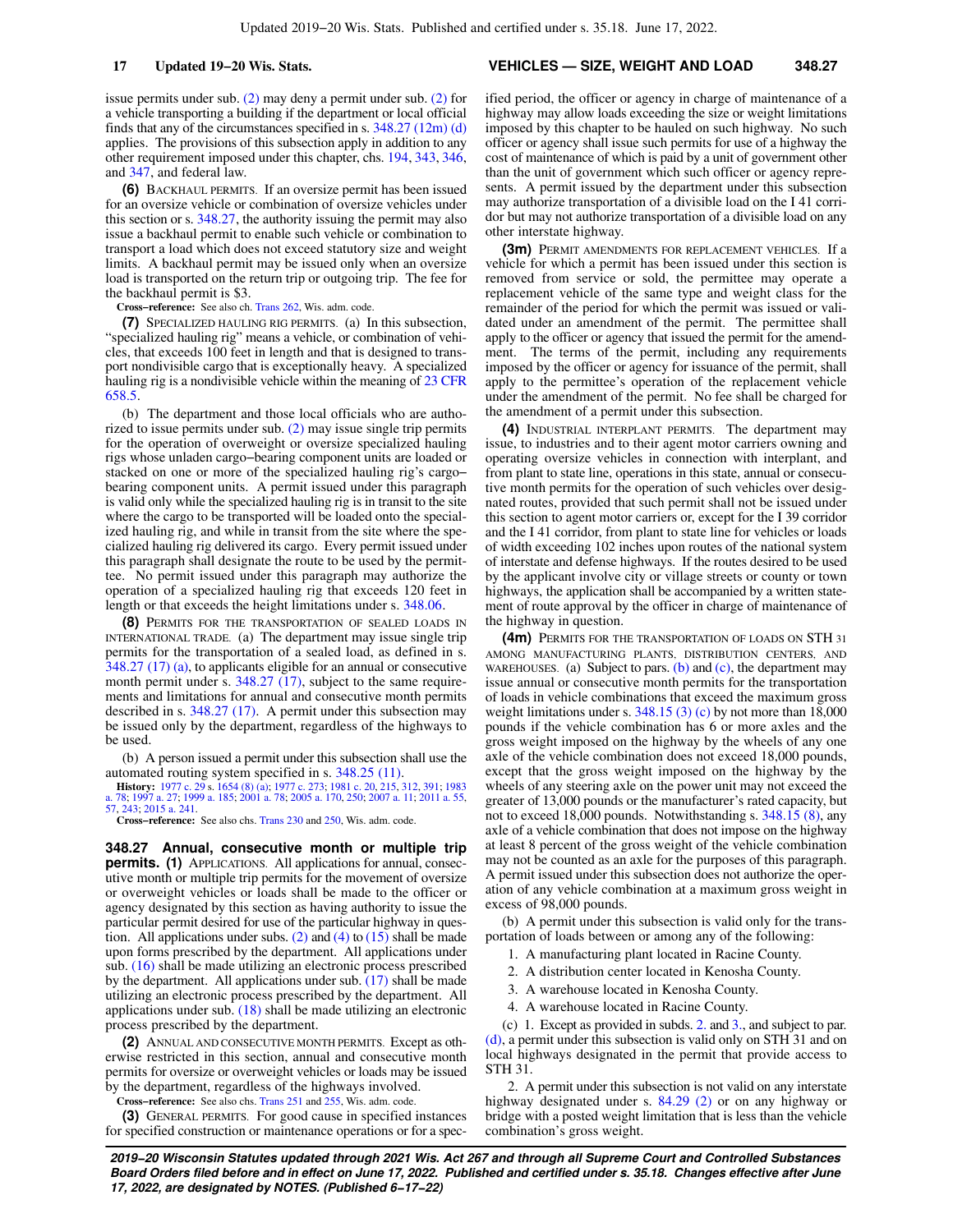issue permits under sub. [\(2\)](https://docs.legis.wisconsin.gov/document/statutes/348.26(2)) may deny a permit under sub. [\(2\)](https://docs.legis.wisconsin.gov/document/statutes/348.26(2)) for a vehicle transporting a building if the department or local official finds that any of the circumstances specified in s. [348.27 \(12m\) \(d\)](https://docs.legis.wisconsin.gov/document/statutes/348.27(12m)(d)) applies. The provisions of this subsection apply in addition to any other requirement imposed under this chapter, chs. [194,](https://docs.legis.wisconsin.gov/document/statutes/ch.%20194) [343](https://docs.legis.wisconsin.gov/document/statutes/ch.%20343), [346,](https://docs.legis.wisconsin.gov/document/statutes/ch.%20346) and [347,](https://docs.legis.wisconsin.gov/document/statutes/ch.%20347) and federal law.

**(6)** BACKHAUL PERMITS. If an oversize permit has been issued for an oversize vehicle or combination of oversize vehicles under this section or s. [348.27,](https://docs.legis.wisconsin.gov/document/statutes/348.27) the authority issuing the permit may also issue a backhaul permit to enable such vehicle or combination to transport a load which does not exceed statutory size and weight limits. A backhaul permit may be issued only when an oversize load is transported on the return trip or outgoing trip. The fee for the backhaul permit is \$3.

### **Cross−reference:** See also ch. [Trans 262](https://docs.legis.wisconsin.gov/document/administrativecode/ch.%20Trans%20262), Wis. adm. code.

**(7)** SPECIALIZED HAULING RIG PERMITS. (a) In this subsection, "specialized hauling rig" means a vehicle, or combination of vehicles, that exceeds 100 feet in length and that is designed to transport nondivisible cargo that is exceptionally heavy. A specialized hauling rig is a nondivisible vehicle within the meaning of [23 CFR](https://docs.legis.wisconsin.gov/document/cfr/23%20CFR%20658.5) [658.5](https://docs.legis.wisconsin.gov/document/cfr/23%20CFR%20658.5).

(b) The department and those local officials who are authorized to issue permits under sub. [\(2\)](https://docs.legis.wisconsin.gov/document/statutes/348.26(2)) may issue single trip permits for the operation of overweight or oversize specialized hauling rigs whose unladen cargo−bearing component units are loaded or stacked on one or more of the specialized hauling rig's cargo− bearing component units. A permit issued under this paragraph is valid only while the specialized hauling rig is in transit to the site where the cargo to be transported will be loaded onto the specialized hauling rig, and while in transit from the site where the specialized hauling rig delivered its cargo. Every permit issued under this paragraph shall designate the route to be used by the permittee. No permit issued under this paragraph may authorize the operation of a specialized hauling rig that exceeds 120 feet in length or that exceeds the height limitations under s. [348.06](https://docs.legis.wisconsin.gov/document/statutes/348.06).

**(8)** PERMITS FOR THE TRANSPORTATION OF SEALED LOADS IN INTERNATIONAL TRADE. (a) The department may issue single trip permits for the transportation of a sealed load, as defined in s. [348.27 \(17\) \(a\),](https://docs.legis.wisconsin.gov/document/statutes/348.27(17)(a)) to applicants eligible for an annual or consecutive month permit under s. [348.27 \(17\),](https://docs.legis.wisconsin.gov/document/statutes/348.27(17)) subject to the same requirements and limitations for annual and consecutive month permits described in s. [348.27 \(17\)](https://docs.legis.wisconsin.gov/document/statutes/348.27(17)). A permit under this subsection may be issued only by the department, regardless of the highways to be used.

(b) A person issued a permit under this subsection shall use the automated routing system specified in s. [348.25 \(11\).](https://docs.legis.wisconsin.gov/document/statutes/348.25(11))

**History:** [1977 c. 29](https://docs.legis.wisconsin.gov/document/acts/1977/29) s. [1654 \(8\) \(a\);](https://docs.legis.wisconsin.gov/document/acts/1977/29,%20s.%201654) [1977 c. 273;](https://docs.legis.wisconsin.gov/document/acts/1977/273) [1981 c. 20](https://docs.legis.wisconsin.gov/document/acts/1981/20), [215,](https://docs.legis.wisconsin.gov/document/acts/1981/215) [312,](https://docs.legis.wisconsin.gov/document/acts/1981/312) [391;](https://docs.legis.wisconsin.gov/document/acts/1981/391) [1983](https://docs.legis.wisconsin.gov/document/acts/1983/78) [a. 78](https://docs.legis.wisconsin.gov/document/acts/1983/78); [1997 a. 27](https://docs.legis.wisconsin.gov/document/acts/1997/27); [1999 a. 185](https://docs.legis.wisconsin.gov/document/acts/1999/185); [2001 a. 78](https://docs.legis.wisconsin.gov/document/acts/2001/78); [2005 a. 170](https://docs.legis.wisconsin.gov/document/acts/2005/170), [250](https://docs.legis.wisconsin.gov/document/acts/2005/250); [2007 a. 11;](https://docs.legis.wisconsin.gov/document/acts/2007/11) [2011 a. 55](https://docs.legis.wisconsin.gov/document/acts/2011/55), [57,](https://docs.legis.wisconsin.gov/document/acts/2011/57) [243;](https://docs.legis.wisconsin.gov/document/acts/2011/243) [2015 a. 241.](https://docs.legis.wisconsin.gov/document/acts/2015/241)

**Cross−reference:** See also chs. [Trans 230](https://docs.legis.wisconsin.gov/document/administrativecode/ch.%20Trans%20230) and [250](https://docs.legis.wisconsin.gov/document/administrativecode/ch.%20Trans%20250), Wis. adm. code.

**348.27 Annual, consecutive month or multiple trip permits. (1)** APPLICATIONS. All applications for annual, consecutive month or multiple trip permits for the movement of oversize or overweight vehicles or loads shall be made to the officer or agency designated by this section as having authority to issue the particular permit desired for use of the particular highway in question. All applications under subs.  $(2)$  and  $(4)$  to  $(15)$  shall be made upon forms prescribed by the department. All applications under sub. [\(16\)](https://docs.legis.wisconsin.gov/document/statutes/348.27(16)) shall be made utilizing an electronic process prescribed by the department. All applications under sub. [\(17\)](https://docs.legis.wisconsin.gov/document/statutes/348.27(17)) shall be made utilizing an electronic process prescribed by the department. All applications under sub. [\(18\)](https://docs.legis.wisconsin.gov/document/statutes/348.27(18)) shall be made utilizing an electronic process prescribed by the department.

**(2)** ANNUAL AND CONSECUTIVE MONTH PERMITS. Except as otherwise restricted in this section, annual and consecutive month permits for oversize or overweight vehicles or loads may be issued by the department, regardless of the highways involved.

**Cross−reference:** See also chs. [Trans 251](https://docs.legis.wisconsin.gov/document/administrativecode/ch.%20Trans%20251) and [255](https://docs.legis.wisconsin.gov/document/administrativecode/ch.%20Trans%20255), Wis. adm. code.

**(3)** GENERAL PERMITS. For good cause in specified instances for specified construction or maintenance operations or for a spec-

#### ified period, the officer or agency in charge of maintenance of a highway may allow loads exceeding the size or weight limitations imposed by this chapter to be hauled on such highway. No such officer or agency shall issue such permits for use of a highway the cost of maintenance of which is paid by a unit of government other than the unit of government which such officer or agency represents. A permit issued by the department under this subsection may authorize transportation of a divisible load on the I 41 corridor but may not authorize transportation of a divisible load on any other interstate highway.

**(3m)** PERMIT AMENDMENTS FOR REPLACEMENT VEHICLES. If a vehicle for which a permit has been issued under this section is removed from service or sold, the permittee may operate a replacement vehicle of the same type and weight class for the remainder of the period for which the permit was issued or validated under an amendment of the permit. The permittee shall apply to the officer or agency that issued the permit for the amendment. The terms of the permit, including any requirements imposed by the officer or agency for issuance of the permit, shall apply to the permittee's operation of the replacement vehicle under the amendment of the permit. No fee shall be charged for the amendment of a permit under this subsection.

**(4)** INDUSTRIAL INTERPLANT PERMITS. The department may issue, to industries and to their agent motor carriers owning and operating oversize vehicles in connection with interplant, and from plant to state line, operations in this state, annual or consecutive month permits for the operation of such vehicles over designated routes, provided that such permit shall not be issued under this section to agent motor carriers or, except for the I 39 corridor and the I 41 corridor, from plant to state line for vehicles or loads of width exceeding 102 inches upon routes of the national system of interstate and defense highways. If the routes desired to be used by the applicant involve city or village streets or county or town highways, the application shall be accompanied by a written statement of route approval by the officer in charge of maintenance of the highway in question.

**(4m)** PERMITS FOR THE TRANSPORTATION OF LOADS ON STH 31 AMONG MANUFACTURING PLANTS, DISTRIBUTION CENTERS, AND WAREHOUSES. (a) Subject to pars. [\(b\)](https://docs.legis.wisconsin.gov/document/statutes/348.27(4m)(b)) and  $(c)$ , the department may issue annual or consecutive month permits for the transportation of loads in vehicle combinations that exceed the maximum gross weight limitations under s. [348.15 \(3\) \(c\)](https://docs.legis.wisconsin.gov/document/statutes/348.15(3)(c)) by not more than 18,000 pounds if the vehicle combination has 6 or more axles and the gross weight imposed on the highway by the wheels of any one axle of the vehicle combination does not exceed 18,000 pounds, except that the gross weight imposed on the highway by the wheels of any steering axle on the power unit may not exceed the greater of 13,000 pounds or the manufacturer's rated capacity, but not to exceed 18,000 pounds. Notwithstanding s. [348.15 \(8\)](https://docs.legis.wisconsin.gov/document/statutes/348.15(8)), any axle of a vehicle combination that does not impose on the highway at least 8 percent of the gross weight of the vehicle combination may not be counted as an axle for the purposes of this paragraph. A permit issued under this subsection does not authorize the operation of any vehicle combination at a maximum gross weight in excess of 98,000 pounds.

(b) A permit under this subsection is valid only for the transportation of loads between or among any of the following:

- 1. A manufacturing plant located in Racine County.
- 2. A distribution center located in Kenosha County.
- 3. A warehouse located in Kenosha County.
- 4. A warehouse located in Racine County.
- (c) 1. Except as provided in subds. [2.](https://docs.legis.wisconsin.gov/document/statutes/348.27(4m)(c)2.) and [3.](https://docs.legis.wisconsin.gov/document/statutes/348.27(4m)(c)3.), and subject to par. [\(d\),](https://docs.legis.wisconsin.gov/document/statutes/348.27(4m)(d)) a permit under this subsection is valid only on STH 31 and on local highways designated in the permit that provide access to STH 31.

2. A permit under this subsection is not valid on any interstate highway designated under s. [84.29 \(2\)](https://docs.legis.wisconsin.gov/document/statutes/84.29(2)) or on any highway or bridge with a posted weight limitation that is less than the vehicle combination's gross weight.

**2019−20 Wisconsin Statutes updated through 2021 Wis. Act 267 and through all Supreme Court and Controlled Substances Board Orders filed before and in effect on June 17, 2022. Published and certified under s. 35.18. Changes effective after June 17, 2022, are designated by NOTES. (Published 6−17−22)**

### **17 Updated 19−20 Wis. Stats. VEHICLES — SIZE, WEIGHT AND LOAD 348.27**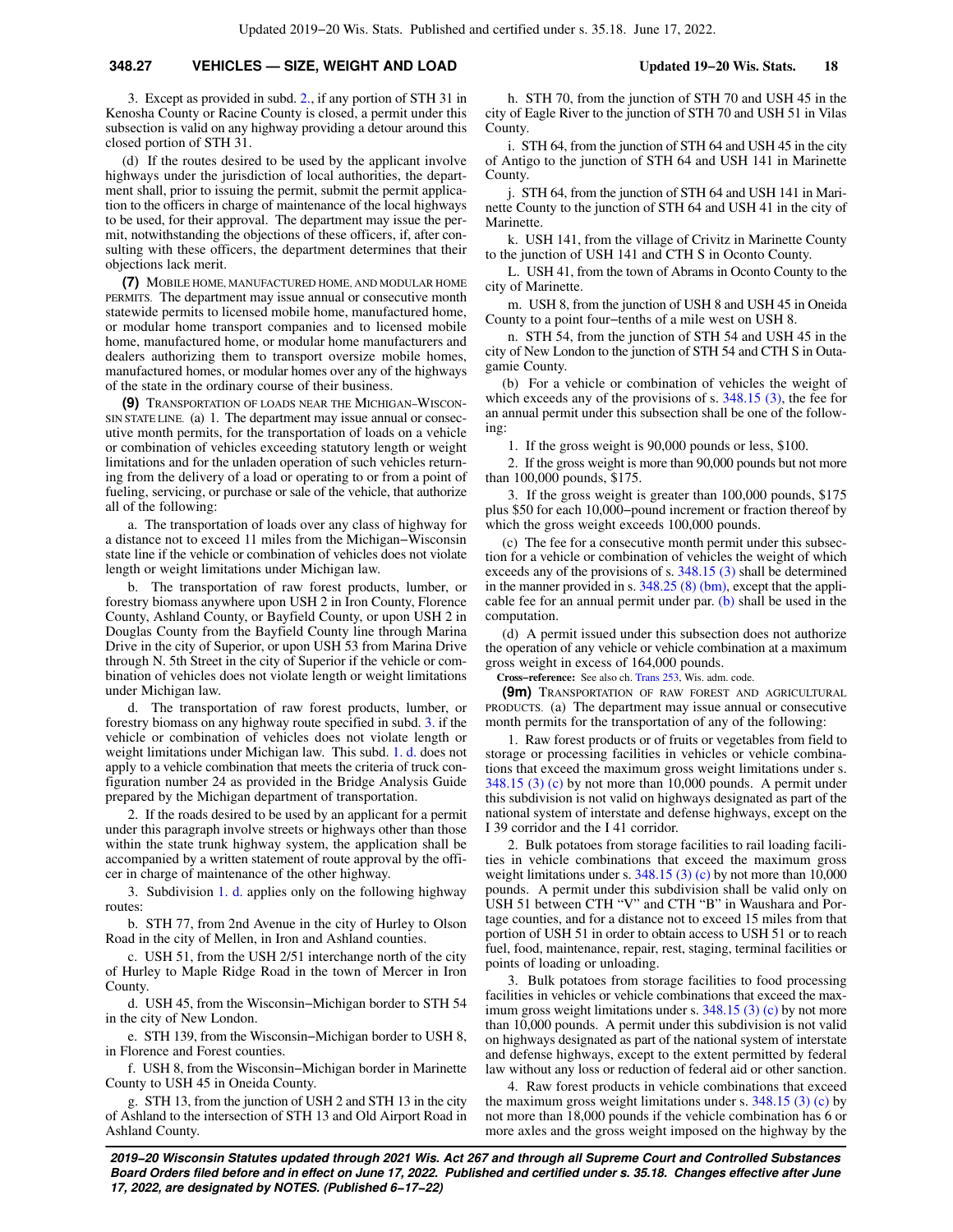### **348.27 VEHICLES — SIZE, WEIGHT AND LOAD Updated 19−20 Wis. Stats. 18**

3. Except as provided in subd. [2.,](https://docs.legis.wisconsin.gov/document/statutes/348.27(4m)(c)2.) if any portion of STH 31 in Kenosha County or Racine County is closed, a permit under this subsection is valid on any highway providing a detour around this closed portion of STH 31.

(d) If the routes desired to be used by the applicant involve highways under the jurisdiction of local authorities, the department shall, prior to issuing the permit, submit the permit application to the officers in charge of maintenance of the local highways to be used, for their approval. The department may issue the permit, notwithstanding the objections of these officers, if, after consulting with these officers, the department determines that their objections lack merit.

**(7)** MOBILE HOME, MANUFACTURED HOME, AND MODULAR HOME PERMITS. The department may issue annual or consecutive month statewide permits to licensed mobile home, manufactured home, or modular home transport companies and to licensed mobile home, manufactured home, or modular home manufacturers and dealers authorizing them to transport oversize mobile homes, manufactured homes, or modular homes over any of the highways of the state in the ordinary course of their business.

**(9)** TRANSPORTATION OF LOADS NEAR THE MICHIGAN−WISCON-SIN STATE LINE. (a) 1. The department may issue annual or consecutive month permits, for the transportation of loads on a vehicle or combination of vehicles exceeding statutory length or weight limitations and for the unladen operation of such vehicles returning from the delivery of a load or operating to or from a point of fueling, servicing, or purchase or sale of the vehicle, that authorize all of the following:

a. The transportation of loads over any class of highway for a distance not to exceed 11 miles from the Michigan−Wisconsin state line if the vehicle or combination of vehicles does not violate length or weight limitations under Michigan law.

b. The transportation of raw forest products, lumber, or forestry biomass anywhere upon USH 2 in Iron County, Florence County, Ashland County, or Bayfield County, or upon USH 2 in Douglas County from the Bayfield County line through Marina Drive in the city of Superior, or upon USH 53 from Marina Drive through N. 5th Street in the city of Superior if the vehicle or combination of vehicles does not violate length or weight limitations under Michigan law.

d. The transportation of raw forest products, lumber, or forestry biomass on any highway route specified in subd. [3.](https://docs.legis.wisconsin.gov/document/statutes/348.27(9)(a)3.) if the vehicle or combination of vehicles does not violate length or weight limitations under Michigan law. This subd. [1. d.](https://docs.legis.wisconsin.gov/document/statutes/348.27(9)(a)1.d.) does not apply to a vehicle combination that meets the criteria of truck configuration number 24 as provided in the Bridge Analysis Guide prepared by the Michigan department of transportation.

2. If the roads desired to be used by an applicant for a permit under this paragraph involve streets or highways other than those within the state trunk highway system, the application shall be accompanied by a written statement of route approval by the officer in charge of maintenance of the other highway.

3. Subdivision [1. d.](https://docs.legis.wisconsin.gov/document/statutes/348.27(9)(a)1.d.) applies only on the following highway routes:

b. STH 77, from 2nd Avenue in the city of Hurley to Olson Road in the city of Mellen, in Iron and Ashland counties.

c. USH 51, from the USH 2/51 interchange north of the city of Hurley to Maple Ridge Road in the town of Mercer in Iron County.

d. USH 45, from the Wisconsin−Michigan border to STH 54 in the city of New London.

e. STH 139, from the Wisconsin−Michigan border to USH 8, in Florence and Forest counties.

f. USH 8, from the Wisconsin−Michigan border in Marinette County to USH 45 in Oneida County.

g. STH 13, from the junction of USH 2 and STH 13 in the city of Ashland to the intersection of STH 13 and Old Airport Road in Ashland County.

h. STH 70, from the junction of STH 70 and USH 45 in the city of Eagle River to the junction of STH 70 and USH 51 in Vilas County.

i. STH 64, from the junction of STH 64 and USH 45 in the city of Antigo to the junction of STH 64 and USH 141 in Marinette County.

j. STH 64, from the junction of STH 64 and USH 141 in Marinette County to the junction of STH 64 and USH 41 in the city of Marinette.

k. USH 141, from the village of Crivitz in Marinette County to the junction of USH 141 and CTH S in Oconto County.

L. USH 41, from the town of Abrams in Oconto County to the city of Marinette.

m. USH 8, from the junction of USH 8 and USH 45 in Oneida County to a point four−tenths of a mile west on USH 8.

n. STH 54, from the junction of STH 54 and USH 45 in the city of New London to the junction of STH 54 and CTH S in Outagamie County.

(b) For a vehicle or combination of vehicles the weight of which exceeds any of the provisions of s. [348.15 \(3\)](https://docs.legis.wisconsin.gov/document/statutes/348.15(3)), the fee for an annual permit under this subsection shall be one of the following:

1. If the gross weight is 90,000 pounds or less, \$100.

2. If the gross weight is more than 90,000 pounds but not more than 100,000 pounds, \$175.

3. If the gross weight is greater than 100,000 pounds, \$175 plus \$50 for each 10,000−pound increment or fraction thereof by which the gross weight exceeds 100,000 pounds.

(c) The fee for a consecutive month permit under this subsection for a vehicle or combination of vehicles the weight of which exceeds any of the provisions of s. [348.15 \(3\)](https://docs.legis.wisconsin.gov/document/statutes/348.15(3)) shall be determined in the manner provided in s. [348.25 \(8\) \(bm\),](https://docs.legis.wisconsin.gov/document/statutes/348.25(8)(bm)) except that the applicable fee for an annual permit under par.  $(b)$  shall be used in the computation.

(d) A permit issued under this subsection does not authorize the operation of any vehicle or vehicle combination at a maximum gross weight in excess of 164,000 pounds.

**Cross−reference:** See also ch. [Trans 253](https://docs.legis.wisconsin.gov/document/administrativecode/ch.%20Trans%20253), Wis. adm. code.

**(9m)** TRANSPORTATION OF RAW FOREST AND AGRICULTURAL PRODUCTS. (a) The department may issue annual or consecutive month permits for the transportation of any of the following:

1. Raw forest products or of fruits or vegetables from field to storage or processing facilities in vehicles or vehicle combinations that exceed the maximum gross weight limitations under s. [348.15 \(3\) \(c\)](https://docs.legis.wisconsin.gov/document/statutes/348.15(3)(c)) by not more than 10,000 pounds. A permit under this subdivision is not valid on highways designated as part of the national system of interstate and defense highways, except on the I 39 corridor and the I 41 corridor.

2. Bulk potatoes from storage facilities to rail loading facilities in vehicle combinations that exceed the maximum gross weight limitations under s. [348.15 \(3\) \(c\)](https://docs.legis.wisconsin.gov/document/statutes/348.15(3)(c)) by not more than 10,000 pounds. A permit under this subdivision shall be valid only on USH 51 between CTH "V" and CTH "B" in Waushara and Portage counties, and for a distance not to exceed 15 miles from that portion of USH 51 in order to obtain access to USH 51 or to reach fuel, food, maintenance, repair, rest, staging, terminal facilities or points of loading or unloading.

3. Bulk potatoes from storage facilities to food processing facilities in vehicles or vehicle combinations that exceed the maximum gross weight limitations under s. [348.15 \(3\) \(c\)](https://docs.legis.wisconsin.gov/document/statutes/348.15(3)(c)) by not more than 10,000 pounds. A permit under this subdivision is not valid on highways designated as part of the national system of interstate and defense highways, except to the extent permitted by federal law without any loss or reduction of federal aid or other sanction.

4. Raw forest products in vehicle combinations that exceed the maximum gross weight limitations under s. [348.15 \(3\) \(c\)](https://docs.legis.wisconsin.gov/document/statutes/348.15(3)(c)) by not more than 18,000 pounds if the vehicle combination has 6 or more axles and the gross weight imposed on the highway by the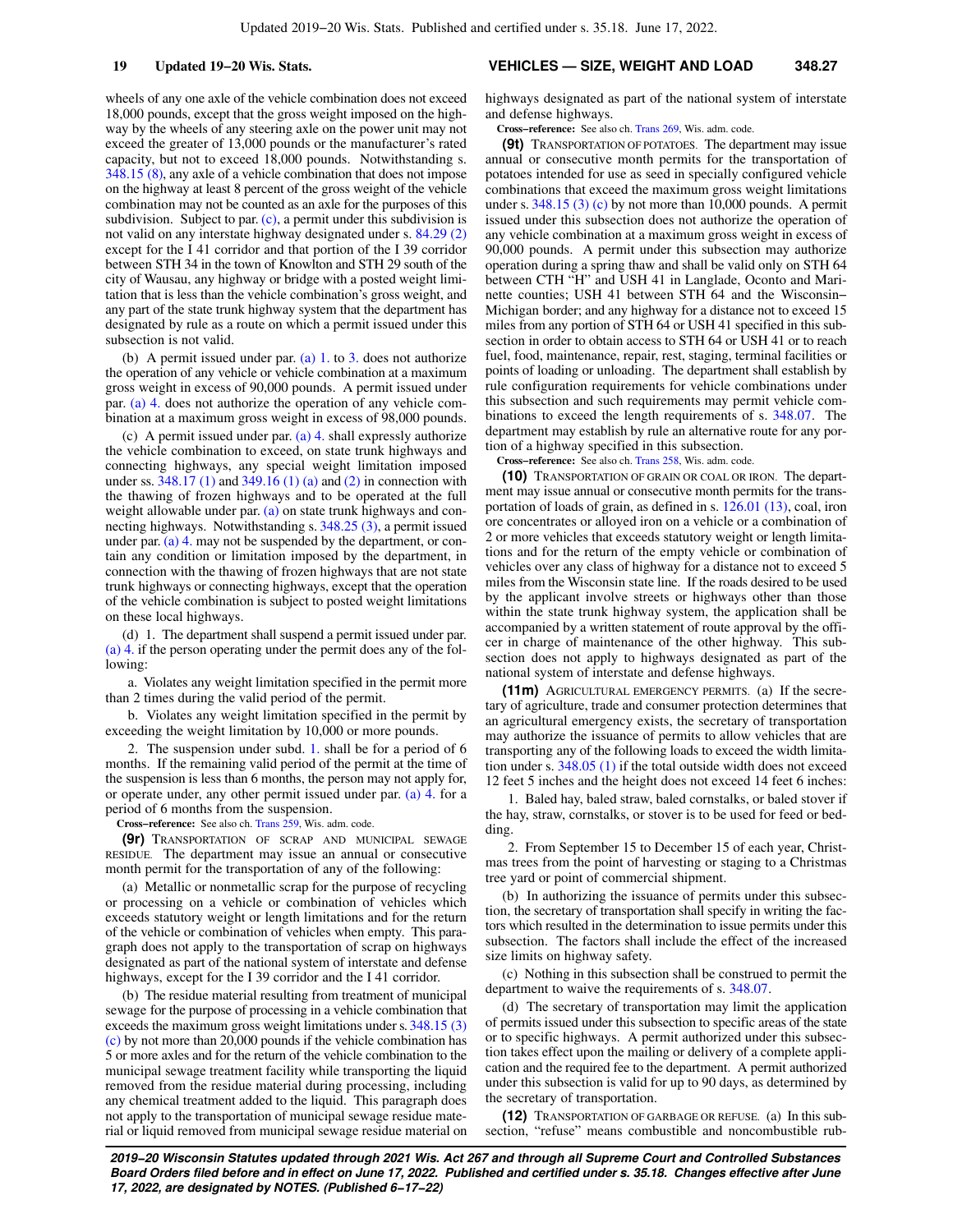wheels of any one axle of the vehicle combination does not exceed 18,000 pounds, except that the gross weight imposed on the highway by the wheels of any steering axle on the power unit may not exceed the greater of 13,000 pounds or the manufacturer's rated capacity, but not to exceed 18,000 pounds. Notwithstanding s. [348.15 \(8\),](https://docs.legis.wisconsin.gov/document/statutes/348.15(8)) any axle of a vehicle combination that does not impose on the highway at least 8 percent of the gross weight of the vehicle combination may not be counted as an axle for the purposes of this subdivision. Subject to par.  $(c)$ , a permit under this subdivision is not valid on any interstate highway designated under s. [84.29 \(2\)](https://docs.legis.wisconsin.gov/document/statutes/84.29(2)) except for the I 41 corridor and that portion of the I 39 corridor between STH 34 in the town of Knowlton and STH 29 south of the city of Wausau, any highway or bridge with a posted weight limitation that is less than the vehicle combination's gross weight, and any part of the state trunk highway system that the department has designated by rule as a route on which a permit issued under this subsection is not valid.

(b) A permit issued under par. [\(a\) 1.](https://docs.legis.wisconsin.gov/document/statutes/348.27(9m)(a)1.) to [3.](https://docs.legis.wisconsin.gov/document/statutes/348.27(9m)(a)3.) does not authorize the operation of any vehicle or vehicle combination at a maximum gross weight in excess of 90,000 pounds. A permit issued under par. [\(a\) 4.](https://docs.legis.wisconsin.gov/document/statutes/348.27(9m)(a)4.) does not authorize the operation of any vehicle combination at a maximum gross weight in excess of 98,000 pounds.

(c) A permit issued under par. [\(a\) 4.](https://docs.legis.wisconsin.gov/document/statutes/348.27(9m)(a)4.) shall expressly authorize the vehicle combination to exceed, on state trunk highways and connecting highways, any special weight limitation imposed under ss. [348.17 \(1\)](https://docs.legis.wisconsin.gov/document/statutes/348.17(1)) and [349.16 \(1\) \(a\)](https://docs.legis.wisconsin.gov/document/statutes/349.16(1)(a)) and [\(2\)](https://docs.legis.wisconsin.gov/document/statutes/349.16(2)) in connection with the thawing of frozen highways and to be operated at the full weight allowable under par.  $(a)$  on state trunk highways and connecting highways. Notwithstanding s. [348.25 \(3\),](https://docs.legis.wisconsin.gov/document/statutes/348.25(3)) a permit issued under par. [\(a\) 4.](https://docs.legis.wisconsin.gov/document/statutes/348.27(9m)(a)4.) may not be suspended by the department, or contain any condition or limitation imposed by the department, in connection with the thawing of frozen highways that are not state trunk highways or connecting highways, except that the operation of the vehicle combination is subject to posted weight limitations on these local highways.

(d) 1. The department shall suspend a permit issued under par. [\(a\) 4.](https://docs.legis.wisconsin.gov/document/statutes/348.27(9m)(a)4.) if the person operating under the permit does any of the following:

a. Violates any weight limitation specified in the permit more than 2 times during the valid period of the permit.

b. Violates any weight limitation specified in the permit by exceeding the weight limitation by 10,000 or more pounds.

2. The suspension under subd. [1.](https://docs.legis.wisconsin.gov/document/statutes/348.27(9m)(d)1.) shall be for a period of 6 months. If the remaining valid period of the permit at the time of the suspension is less than 6 months, the person may not apply for, or operate under, any other permit issued under par. [\(a\) 4.](https://docs.legis.wisconsin.gov/document/statutes/348.27(9m)(a)4.) for a period of 6 months from the suspension.

**Cross−reference:** See also ch. [Trans 259](https://docs.legis.wisconsin.gov/document/administrativecode/ch.%20Trans%20259), Wis. adm. code.

**(9r)** TRANSPORTATION OF SCRAP AND MUNICIPAL SEWAGE RESIDUE. The department may issue an annual or consecutive month permit for the transportation of any of the following:

(a) Metallic or nonmetallic scrap for the purpose of recycling or processing on a vehicle or combination of vehicles which exceeds statutory weight or length limitations and for the return of the vehicle or combination of vehicles when empty. This paragraph does not apply to the transportation of scrap on highways designated as part of the national system of interstate and defense highways, except for the I 39 corridor and the I 41 corridor.

(b) The residue material resulting from treatment of municipal sewage for the purpose of processing in a vehicle combination that exceeds the maximum gross weight limitations under s. [348.15 \(3\)](https://docs.legis.wisconsin.gov/document/statutes/348.15(3)(c)) [\(c\)](https://docs.legis.wisconsin.gov/document/statutes/348.15(3)(c)) by not more than 20,000 pounds if the vehicle combination has 5 or more axles and for the return of the vehicle combination to the municipal sewage treatment facility while transporting the liquid removed from the residue material during processing, including any chemical treatment added to the liquid. This paragraph does not apply to the transportation of municipal sewage residue material or liquid removed from municipal sewage residue material on

#### **19 Updated 19−20 Wis. Stats. VEHICLES — SIZE, WEIGHT AND LOAD 348.27**

highways designated as part of the national system of interstate and defense highways.

**Cross−reference:** See also ch. [Trans 269](https://docs.legis.wisconsin.gov/document/administrativecode/ch.%20Trans%20269), Wis. adm. code.

**(9t)** TRANSPORTATION OF POTATOES. The department may issue annual or consecutive month permits for the transportation of potatoes intended for use as seed in specially configured vehicle combinations that exceed the maximum gross weight limitations under s.  $348.15$  (3) (c) by not more than 10,000 pounds. A permit issued under this subsection does not authorize the operation of any vehicle combination at a maximum gross weight in excess of 90,000 pounds. A permit under this subsection may authorize operation during a spring thaw and shall be valid only on STH 64 between CTH "H" and USH 41 in Langlade, Oconto and Marinette counties; USH 41 between STH 64 and the Wisconsin− Michigan border; and any highway for a distance not to exceed 15 miles from any portion of STH 64 or USH 41 specified in this subsection in order to obtain access to STH 64 or USH 41 or to reach fuel, food, maintenance, repair, rest, staging, terminal facilities or points of loading or unloading. The department shall establish by rule configuration requirements for vehicle combinations under this subsection and such requirements may permit vehicle combinations to exceed the length requirements of s. [348.07.](https://docs.legis.wisconsin.gov/document/statutes/348.07) The department may establish by rule an alternative route for any portion of a highway specified in this subsection.

**Cross−reference:** See also ch. [Trans 258](https://docs.legis.wisconsin.gov/document/administrativecode/ch.%20Trans%20258), Wis. adm. code.

**(10)** TRANSPORTATION OF GRAIN OR COAL OR IRON. The department may issue annual or consecutive month permits for the transportation of loads of grain, as defined in s. [126.01 \(13\)](https://docs.legis.wisconsin.gov/document/statutes/126.01(13)), coal, iron ore concentrates or alloyed iron on a vehicle or a combination of 2 or more vehicles that exceeds statutory weight or length limitations and for the return of the empty vehicle or combination of vehicles over any class of highway for a distance not to exceed 5 miles from the Wisconsin state line. If the roads desired to be used by the applicant involve streets or highways other than those within the state trunk highway system, the application shall be accompanied by a written statement of route approval by the officer in charge of maintenance of the other highway. This subsection does not apply to highways designated as part of the national system of interstate and defense highways.

**(11m)** AGRICULTURAL EMERGENCY PERMITS. (a) If the secretary of agriculture, trade and consumer protection determines that an agricultural emergency exists, the secretary of transportation may authorize the issuance of permits to allow vehicles that are transporting any of the following loads to exceed the width limitation under s. [348.05 \(1\)](https://docs.legis.wisconsin.gov/document/statutes/348.05(1)) if the total outside width does not exceed 12 feet 5 inches and the height does not exceed 14 feet 6 inches:

1. Baled hay, baled straw, baled cornstalks, or baled stover if the hay, straw, cornstalks, or stover is to be used for feed or bedding.

2. From September 15 to December 15 of each year, Christmas trees from the point of harvesting or staging to a Christmas tree yard or point of commercial shipment.

(b) In authorizing the issuance of permits under this subsection, the secretary of transportation shall specify in writing the factors which resulted in the determination to issue permits under this subsection. The factors shall include the effect of the increased size limits on highway safety.

(c) Nothing in this subsection shall be construed to permit the department to waive the requirements of s. [348.07.](https://docs.legis.wisconsin.gov/document/statutes/348.07)

(d) The secretary of transportation may limit the application of permits issued under this subsection to specific areas of the state or to specific highways. A permit authorized under this subsection takes effect upon the mailing or delivery of a complete application and the required fee to the department. A permit authorized under this subsection is valid for up to 90 days, as determined by the secretary of transportation.

**(12)** TRANSPORTATION OF GARBAGE OR REFUSE. (a) In this subsection, "refuse" means combustible and noncombustible rub-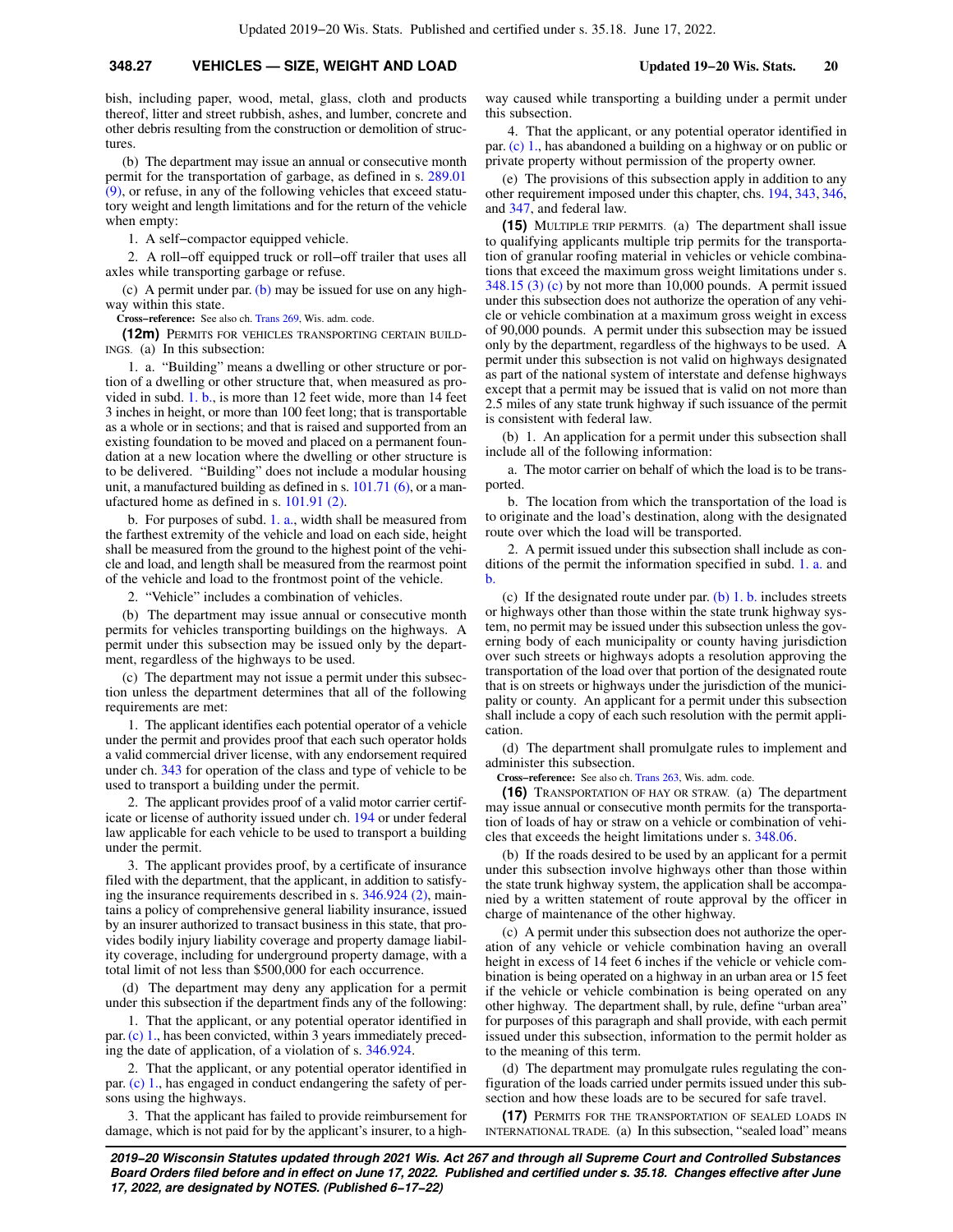bish, including paper, wood, metal, glass, cloth and products thereof, litter and street rubbish, ashes, and lumber, concrete and other debris resulting from the construction or demolition of structures

(b) The department may issue an annual or consecutive month permit for the transportation of garbage, as defined in s. [289.01](https://docs.legis.wisconsin.gov/document/statutes/289.01(9)) [\(9\)](https://docs.legis.wisconsin.gov/document/statutes/289.01(9)), or refuse, in any of the following vehicles that exceed statutory weight and length limitations and for the return of the vehicle when empty:

1. A self−compactor equipped vehicle.

2. A roll−off equipped truck or roll−off trailer that uses all axles while transporting garbage or refuse.

(c) A permit under par. [\(b\)](https://docs.legis.wisconsin.gov/document/statutes/348.27(12)(b)) may be issued for use on any highway within this state.

**Cross−reference:** See also ch. [Trans 269](https://docs.legis.wisconsin.gov/document/administrativecode/ch.%20Trans%20269), Wis. adm. code.

**(12m)** PERMITS FOR VEHICLES TRANSPORTING CERTAIN BUILD-INGS. (a) In this subsection:

1. a. "Building" means a dwelling or other structure or portion of a dwelling or other structure that, when measured as provided in subd. [1. b.,](https://docs.legis.wisconsin.gov/document/statutes/348.27(12m)(a)1.b.) is more than 12 feet wide, more than 14 feet 3 inches in height, or more than 100 feet long; that is transportable as a whole or in sections; and that is raised and supported from an existing foundation to be moved and placed on a permanent foundation at a new location where the dwelling or other structure is to be delivered. "Building" does not include a modular housing unit, a manufactured building as defined in s. [101.71 \(6\)](https://docs.legis.wisconsin.gov/document/statutes/101.71(6)), or a manufactured home as defined in s. [101.91 \(2\).](https://docs.legis.wisconsin.gov/document/statutes/101.91(2))

b. For purposes of subd. [1. a.,](https://docs.legis.wisconsin.gov/document/statutes/348.27(12m)(a)1.a.) width shall be measured from the farthest extremity of the vehicle and load on each side, height shall be measured from the ground to the highest point of the vehicle and load, and length shall be measured from the rearmost point of the vehicle and load to the frontmost point of the vehicle.

2. "Vehicle" includes a combination of vehicles.

(b) The department may issue annual or consecutive month permits for vehicles transporting buildings on the highways. A permit under this subsection may be issued only by the department, regardless of the highways to be used.

(c) The department may not issue a permit under this subsection unless the department determines that all of the following requirements are met:

1. The applicant identifies each potential operator of a vehicle under the permit and provides proof that each such operator holds a valid commercial driver license, with any endorsement required under ch. [343](https://docs.legis.wisconsin.gov/document/statutes/ch.%20343) for operation of the class and type of vehicle to be used to transport a building under the permit.

2. The applicant provides proof of a valid motor carrier certificate or license of authority issued under ch. [194](https://docs.legis.wisconsin.gov/document/statutes/ch.%20194) or under federal law applicable for each vehicle to be used to transport a building under the permit.

3. The applicant provides proof, by a certificate of insurance filed with the department, that the applicant, in addition to satisfying the insurance requirements described in s. [346.924 \(2\),](https://docs.legis.wisconsin.gov/document/statutes/346.924(2)) maintains a policy of comprehensive general liability insurance, issued by an insurer authorized to transact business in this state, that provides bodily injury liability coverage and property damage liability coverage, including for underground property damage, with a total limit of not less than \$500,000 for each occurrence.

(d) The department may deny any application for a permit under this subsection if the department finds any of the following:

1. That the applicant, or any potential operator identified in par.[\(c\) 1.,](https://docs.legis.wisconsin.gov/document/statutes/348.27(12m)(c)1.) has been convicted, within 3 years immediately preceding the date of application, of a violation of s. [346.924.](https://docs.legis.wisconsin.gov/document/statutes/346.924)

2. That the applicant, or any potential operator identified in par. [\(c\) 1.,](https://docs.legis.wisconsin.gov/document/statutes/348.27(12m)(c)1.) has engaged in conduct endangering the safety of persons using the highways.

3. That the applicant has failed to provide reimbursement for damage, which is not paid for by the applicant's insurer, to a highway caused while transporting a building under a permit under this subsection.

4. That the applicant, or any potential operator identified in par. [\(c\) 1.,](https://docs.legis.wisconsin.gov/document/statutes/348.27(12m)(c)1.) has abandoned a building on a highway or on public or private property without permission of the property owner.

(e) The provisions of this subsection apply in addition to any other requirement imposed under this chapter, chs. [194,](https://docs.legis.wisconsin.gov/document/statutes/ch.%20194) [343](https://docs.legis.wisconsin.gov/document/statutes/ch.%20343), [346,](https://docs.legis.wisconsin.gov/document/statutes/ch.%20346) and [347,](https://docs.legis.wisconsin.gov/document/statutes/ch.%20347) and federal law.

**(15)** MULTIPLE TRIP PERMITS. (a) The department shall issue to qualifying applicants multiple trip permits for the transportation of granular roofing material in vehicles or vehicle combinations that exceed the maximum gross weight limitations under s.  $348.15$  (3) (c) by not more than 10,000 pounds. A permit issued under this subsection does not authorize the operation of any vehicle or vehicle combination at a maximum gross weight in excess of 90,000 pounds. A permit under this subsection may be issued only by the department, regardless of the highways to be used. A permit under this subsection is not valid on highways designated as part of the national system of interstate and defense highways except that a permit may be issued that is valid on not more than 2.5 miles of any state trunk highway if such issuance of the permit is consistent with federal law.

(b) 1. An application for a permit under this subsection shall include all of the following information:

a. The motor carrier on behalf of which the load is to be transported.

b. The location from which the transportation of the load is to originate and the load's destination, along with the designated route over which the load will be transported.

2. A permit issued under this subsection shall include as conditions of the permit the information specified in subd. [1. a.](https://docs.legis.wisconsin.gov/document/statutes/348.27(15)(b)1.a.) and [b.](https://docs.legis.wisconsin.gov/document/statutes/348.27(15)(b)1.b.)

(c) If the designated route under par. [\(b\) 1. b.](https://docs.legis.wisconsin.gov/document/statutes/348.27(15)(b)1.b.) includes streets or highways other than those within the state trunk highway system, no permit may be issued under this subsection unless the governing body of each municipality or county having jurisdiction over such streets or highways adopts a resolution approving the transportation of the load over that portion of the designated route that is on streets or highways under the jurisdiction of the municipality or county. An applicant for a permit under this subsection shall include a copy of each such resolution with the permit application.

(d) The department shall promulgate rules to implement and administer this subsection.

**Cross−reference:** See also ch. [Trans 263](https://docs.legis.wisconsin.gov/document/administrativecode/ch.%20Trans%20263), Wis. adm. code.

**(16)** TRANSPORTATION OF HAY OR STRAW. (a) The department may issue annual or consecutive month permits for the transportation of loads of hay or straw on a vehicle or combination of vehicles that exceeds the height limitations under s. [348.06](https://docs.legis.wisconsin.gov/document/statutes/348.06).

(b) If the roads desired to be used by an applicant for a permit under this subsection involve highways other than those within the state trunk highway system, the application shall be accompanied by a written statement of route approval by the officer in charge of maintenance of the other highway.

(c) A permit under this subsection does not authorize the operation of any vehicle or vehicle combination having an overall height in excess of 14 feet 6 inches if the vehicle or vehicle combination is being operated on a highway in an urban area or 15 feet if the vehicle or vehicle combination is being operated on any other highway. The department shall, by rule, define "urban area" for purposes of this paragraph and shall provide, with each permit issued under this subsection, information to the permit holder as to the meaning of this term.

(d) The department may promulgate rules regulating the configuration of the loads carried under permits issued under this subsection and how these loads are to be secured for safe travel.

**(17)** PERMITS FOR THE TRANSPORTATION OF SEALED LOADS IN INTERNATIONAL TRADE. (a) In this subsection, "sealed load" means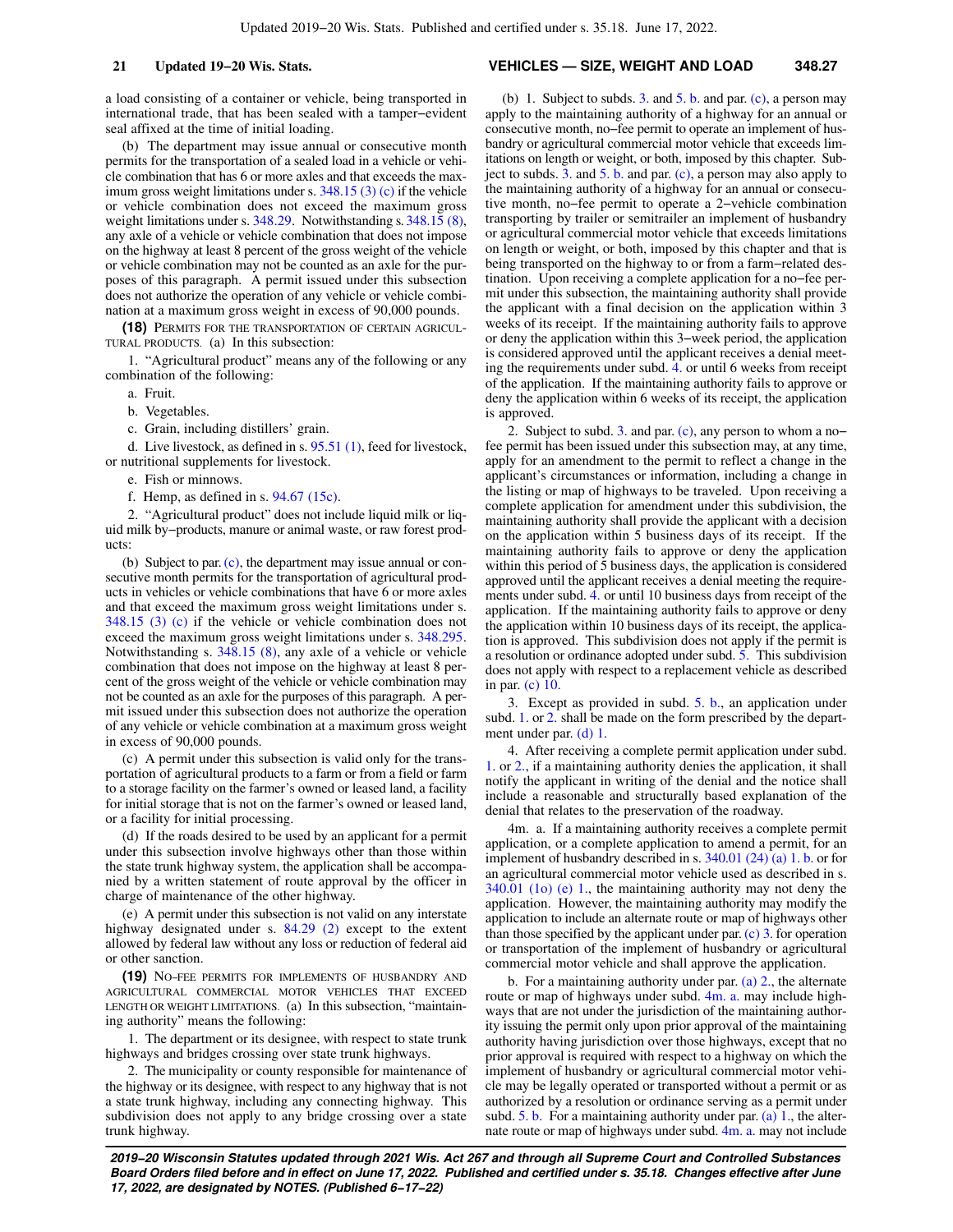a load consisting of a container or vehicle, being transported in international trade, that has been sealed with a tamper−evident seal affixed at the time of initial loading.

(b) The department may issue annual or consecutive month permits for the transportation of a sealed load in a vehicle or vehicle combination that has 6 or more axles and that exceeds the maximum gross weight limitations under s. [348.15 \(3\) \(c\)](https://docs.legis.wisconsin.gov/document/statutes/348.15(3)(c)) if the vehicle or vehicle combination does not exceed the maximum gross weight limitations under s. [348.29.](https://docs.legis.wisconsin.gov/document/statutes/348.29) Notwithstanding s. [348.15 \(8\),](https://docs.legis.wisconsin.gov/document/statutes/348.15(8)) any axle of a vehicle or vehicle combination that does not impose on the highway at least 8 percent of the gross weight of the vehicle or vehicle combination may not be counted as an axle for the purposes of this paragraph. A permit issued under this subsection does not authorize the operation of any vehicle or vehicle combination at a maximum gross weight in excess of 90,000 pounds.

**(18)** PERMITS FOR THE TRANSPORTATION OF CERTAIN AGRICUL-TURAL PRODUCTS. (a) In this subsection:

1. "Agricultural product" means any of the following or any combination of the following:

- a. Fruit.
- b. Vegetables.
- c. Grain, including distillers' grain.

d. Live livestock, as defined in s. [95.51 \(1\)](https://docs.legis.wisconsin.gov/document/statutes/95.51(1)), feed for livestock, or nutritional supplements for livestock.

- e. Fish or minnows.
- f. Hemp, as defined in s. [94.67 \(15c\).](https://docs.legis.wisconsin.gov/document/statutes/94.67(15c))

2. "Agricultural product" does not include liquid milk or liquid milk by−products, manure or animal waste, or raw forest products:

(b) Subject to par. [\(c\)](https://docs.legis.wisconsin.gov/document/statutes/348.27(18)(c)), the department may issue annual or consecutive month permits for the transportation of agricultural products in vehicles or vehicle combinations that have 6 or more axles and that exceed the maximum gross weight limitations under s. [348.15 \(3\) \(c\)](https://docs.legis.wisconsin.gov/document/statutes/348.15(3)(c)) if the vehicle or vehicle combination does not exceed the maximum gross weight limitations under s. [348.295.](https://docs.legis.wisconsin.gov/document/statutes/348.295) Notwithstanding s. [348.15 \(8\),](https://docs.legis.wisconsin.gov/document/statutes/348.15(8)) any axle of a vehicle or vehicle combination that does not impose on the highway at least 8 percent of the gross weight of the vehicle or vehicle combination may not be counted as an axle for the purposes of this paragraph. A permit issued under this subsection does not authorize the operation of any vehicle or vehicle combination at a maximum gross weight in excess of 90,000 pounds.

(c) A permit under this subsection is valid only for the transportation of agricultural products to a farm or from a field or farm to a storage facility on the farmer's owned or leased land, a facility for initial storage that is not on the farmer's owned or leased land, or a facility for initial processing.

(d) If the roads desired to be used by an applicant for a permit under this subsection involve highways other than those within the state trunk highway system, the application shall be accompanied by a written statement of route approval by the officer in charge of maintenance of the other highway.

(e) A permit under this subsection is not valid on any interstate highway designated under s. [84.29 \(2\)](https://docs.legis.wisconsin.gov/document/statutes/84.29(2)) except to the extent allowed by federal law without any loss or reduction of federal aid or other sanction.

**(19)** NO−FEE PERMITS FOR IMPLEMENTS OF HUSBANDRY AND AGRICULTURAL COMMERCIAL MOTOR VEHICLES THAT EXCEED LENGTH OR WEIGHT LIMITATIONS. (a) In this subsection, "maintaining authority" means the following:

1. The department or its designee, with respect to state trunk highways and bridges crossing over state trunk highways.

2. The municipality or county responsible for maintenance of the highway or its designee, with respect to any highway that is not a state trunk highway, including any connecting highway. This subdivision does not apply to any bridge crossing over a state trunk highway.

#### **21 Updated 19−20 Wis. Stats. VEHICLES — SIZE, WEIGHT AND LOAD 348.27**

(b) 1. Subject to subds. [3.](https://docs.legis.wisconsin.gov/document/statutes/348.27(19)(b)3.) and  $5. b$  and par. [\(c\)](https://docs.legis.wisconsin.gov/document/statutes/348.27(19)(c)), a person may apply to the maintaining authority of a highway for an annual or consecutive month, no−fee permit to operate an implement of husbandry or agricultural commercial motor vehicle that exceeds limitations on length or weight, or both, imposed by this chapter. Subject to subds.  $3.$  and  $5.$  b. and par. [\(c\),](https://docs.legis.wisconsin.gov/document/statutes/348.27(19)(c)) a person may also apply to the maintaining authority of a highway for an annual or consecutive month, no−fee permit to operate a 2−vehicle combination transporting by trailer or semitrailer an implement of husbandry or agricultural commercial motor vehicle that exceeds limitations on length or weight, or both, imposed by this chapter and that is being transported on the highway to or from a farm−related destination. Upon receiving a complete application for a no−fee permit under this subsection, the maintaining authority shall provide the applicant with a final decision on the application within 3 weeks of its receipt. If the maintaining authority fails to approve or deny the application within this 3−week period, the application is considered approved until the applicant receives a denial meeting the requirements under subd. [4.](https://docs.legis.wisconsin.gov/document/statutes/348.27(19)(b)4.) or until 6 weeks from receipt of the application. If the maintaining authority fails to approve or deny the application within 6 weeks of its receipt, the application is approved.

2. Subject to subd. [3.](https://docs.legis.wisconsin.gov/document/statutes/348.27(19)(b)3.) and par. [\(c\),](https://docs.legis.wisconsin.gov/document/statutes/348.27(19)(c)) any person to whom a no− fee permit has been issued under this subsection may, at any time, apply for an amendment to the permit to reflect a change in the applicant's circumstances or information, including a change in the listing or map of highways to be traveled. Upon receiving a complete application for amendment under this subdivision, the maintaining authority shall provide the applicant with a decision on the application within 5 business days of its receipt. If the maintaining authority fails to approve or deny the application within this period of 5 business days, the application is considered approved until the applicant receives a denial meeting the requirements under subd. [4.](https://docs.legis.wisconsin.gov/document/statutes/348.27(19)(b)4.) or until 10 business days from receipt of the application. If the maintaining authority fails to approve or deny the application within 10 business days of its receipt, the application is approved. This subdivision does not apply if the permit is a resolution or ordinance adopted under subd. [5.](https://docs.legis.wisconsin.gov/document/statutes/348.27(19)(b)5.) This subdivision does not apply with respect to a replacement vehicle as described in par. [\(c\) 10.](https://docs.legis.wisconsin.gov/document/statutes/348.27(19)(c)10.)

3. Except as provided in subd. [5. b.](https://docs.legis.wisconsin.gov/document/statutes/348.27(19)(b)5.b.), an application under subd. [1.](https://docs.legis.wisconsin.gov/document/statutes/348.27(19)(b)1.) or [2.](https://docs.legis.wisconsin.gov/document/statutes/348.27(19)(b)2.) shall be made on the form prescribed by the department under par. [\(d\) 1.](https://docs.legis.wisconsin.gov/document/statutes/348.27(19)(d)1.)

4. After receiving a complete permit application under subd. [1.](https://docs.legis.wisconsin.gov/document/statutes/348.27(19)(b)1.) or [2.,](https://docs.legis.wisconsin.gov/document/statutes/348.27(19)(b)2.) if a maintaining authority denies the application, it shall notify the applicant in writing of the denial and the notice shall include a reasonable and structurally based explanation of the denial that relates to the preservation of the roadway.

4m. a. If a maintaining authority receives a complete permit application, or a complete application to amend a permit, for an implement of husbandry described in s. [340.01 \(24\) \(a\) 1. b.](https://docs.legis.wisconsin.gov/document/statutes/340.01(24)(a)1.b.) or for an agricultural commercial motor vehicle used as described in s. [340.01 \(1o\) \(e\) 1.](https://docs.legis.wisconsin.gov/document/statutes/340.01(1o)(e)1.), the maintaining authority may not deny the application. However, the maintaining authority may modify the application to include an alternate route or map of highways other than those specified by the applicant under par.  $(c)$  3. for operation or transportation of the implement of husbandry or agricultural commercial motor vehicle and shall approve the application.

b. For a maintaining authority under par. [\(a\) 2.,](https://docs.legis.wisconsin.gov/document/statutes/348.27(19)(a)2.) the alternate route or map of highways under subd. [4m. a.](https://docs.legis.wisconsin.gov/document/statutes/348.27(19)(b)4m.a.) may include highways that are not under the jurisdiction of the maintaining authority issuing the permit only upon prior approval of the maintaining authority having jurisdiction over those highways, except that no prior approval is required with respect to a highway on which the implement of husbandry or agricultural commercial motor vehicle may be legally operated or transported without a permit or as authorized by a resolution or ordinance serving as a permit under subd.  $5. b.$  For a maintaining authority under par. [\(a\) 1.](https://docs.legis.wisconsin.gov/document/statutes/348.27(19)(a)1.), the alter-nate route or map of highways under subd. [4m. a.](https://docs.legis.wisconsin.gov/document/statutes/348.27(19)(b)4m.a.) may not include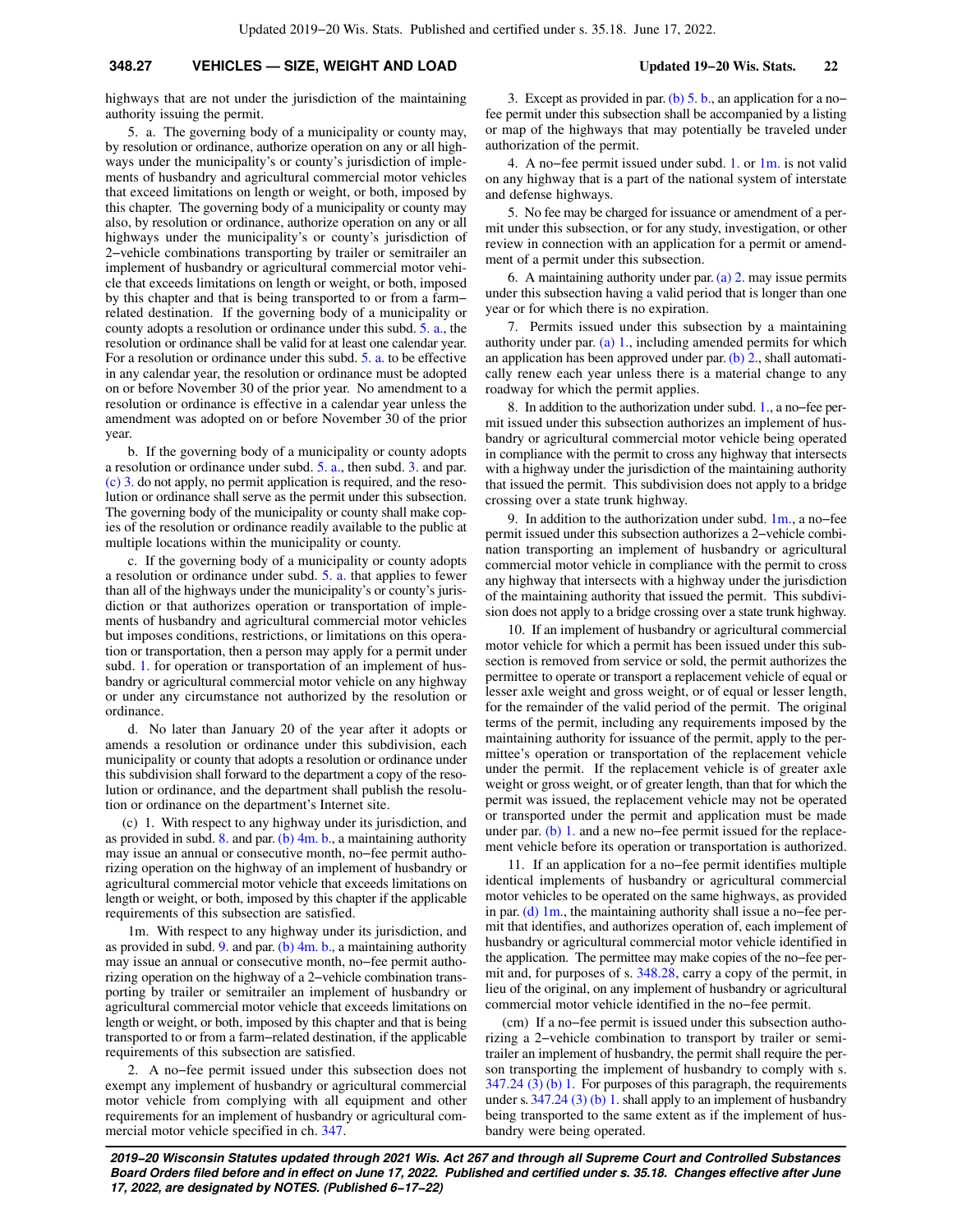highways that are not under the jurisdiction of the maintaining authority issuing the permit.

5. a. The governing body of a municipality or county may, by resolution or ordinance, authorize operation on any or all highways under the municipality's or county's jurisdiction of implements of husbandry and agricultural commercial motor vehicles that exceed limitations on length or weight, or both, imposed by this chapter. The governing body of a municipality or county may also, by resolution or ordinance, authorize operation on any or all highways under the municipality's or county's jurisdiction of 2−vehicle combinations transporting by trailer or semitrailer an implement of husbandry or agricultural commercial motor vehicle that exceeds limitations on length or weight, or both, imposed by this chapter and that is being transported to or from a farm− related destination. If the governing body of a municipality or county adopts a resolution or ordinance under this subd. [5. a.,](https://docs.legis.wisconsin.gov/document/statutes/348.27(19)(b)5.a.) the resolution or ordinance shall be valid for at least one calendar year. For a resolution or ordinance under this subd. [5. a.](https://docs.legis.wisconsin.gov/document/statutes/348.27(19)(b)5.a.) to be effective in any calendar year, the resolution or ordinance must be adopted on or before November 30 of the prior year. No amendment to a resolution or ordinance is effective in a calendar year unless the amendment was adopted on or before November 30 of the prior year.

b. If the governing body of a municipality or county adopts a resolution or ordinance under subd. [5. a.](https://docs.legis.wisconsin.gov/document/statutes/348.27(19)(b)5.a.), then subd. [3.](https://docs.legis.wisconsin.gov/document/statutes/348.27(19)(b)3.) and par. [\(c\) 3.](https://docs.legis.wisconsin.gov/document/statutes/348.27(19)(c)3.) do not apply, no permit application is required, and the resolution or ordinance shall serve as the permit under this subsection. The governing body of the municipality or county shall make copies of the resolution or ordinance readily available to the public at multiple locations within the municipality or county.

c. If the governing body of a municipality or county adopts a resolution or ordinance under subd. [5. a.](https://docs.legis.wisconsin.gov/document/statutes/348.27(19)(b)5.a.) that applies to fewer than all of the highways under the municipality's or county's jurisdiction or that authorizes operation or transportation of implements of husbandry and agricultural commercial motor vehicles but imposes conditions, restrictions, or limitations on this operation or transportation, then a person may apply for a permit under subd. [1.](https://docs.legis.wisconsin.gov/document/statutes/348.27(19)(b)1.) for operation or transportation of an implement of husbandry or agricultural commercial motor vehicle on any highway or under any circumstance not authorized by the resolution or ordinance.

d. No later than January 20 of the year after it adopts or amends a resolution or ordinance under this subdivision, each municipality or county that adopts a resolution or ordinance under this subdivision shall forward to the department a copy of the resolution or ordinance, and the department shall publish the resolution or ordinance on the department's Internet site.

(c) 1. With respect to any highway under its jurisdiction, and as provided in subd. [8.](https://docs.legis.wisconsin.gov/document/statutes/348.27(19)(c)8.) and par.  $(b)$  4m. b., a maintaining authority may issue an annual or consecutive month, no−fee permit authorizing operation on the highway of an implement of husbandry or agricultural commercial motor vehicle that exceeds limitations on length or weight, or both, imposed by this chapter if the applicable requirements of this subsection are satisfied.

1m. With respect to any highway under its jurisdiction, and as provided in subd. [9.](https://docs.legis.wisconsin.gov/document/statutes/348.27(19)(c)9.) and par.  $(b)$  4m. b., a maintaining authority may issue an annual or consecutive month, no−fee permit authorizing operation on the highway of a 2−vehicle combination transporting by trailer or semitrailer an implement of husbandry or agricultural commercial motor vehicle that exceeds limitations on length or weight, or both, imposed by this chapter and that is being transported to or from a farm−related destination, if the applicable requirements of this subsection are satisfied.

2. A no−fee permit issued under this subsection does not exempt any implement of husbandry or agricultural commercial motor vehicle from complying with all equipment and other requirements for an implement of husbandry or agricultural commercial motor vehicle specified in ch. [347](https://docs.legis.wisconsin.gov/document/statutes/ch.%20347).

3. Except as provided in par. [\(b\) 5. b.](https://docs.legis.wisconsin.gov/document/statutes/348.27(19)(b)5.b.), an application for a no− fee permit under this subsection shall be accompanied by a listing or map of the highways that may potentially be traveled under authorization of the permit.

4. A no−fee permit issued under subd. [1.](https://docs.legis.wisconsin.gov/document/statutes/348.27(19)(c)1.) or [1m.](https://docs.legis.wisconsin.gov/document/statutes/348.27(19)(c)1m.) is not valid on any highway that is a part of the national system of interstate and defense highways.

5. No fee may be charged for issuance or amendment of a permit under this subsection, or for any study, investigation, or other review in connection with an application for a permit or amendment of a permit under this subsection.

6. A maintaining authority under par.  $(a)$  2. may issue permits under this subsection having a valid period that is longer than one year or for which there is no expiration.

7. Permits issued under this subsection by a maintaining authority under par.  $(a)$  1., including amended permits for which an application has been approved under par. [\(b\) 2.](https://docs.legis.wisconsin.gov/document/statutes/348.27(19)(b)2.), shall automatically renew each year unless there is a material change to any roadway for which the permit applies.

8. In addition to the authorization under subd. [1.,](https://docs.legis.wisconsin.gov/document/statutes/348.27(19)(c)1.) a no−fee permit issued under this subsection authorizes an implement of husbandry or agricultural commercial motor vehicle being operated in compliance with the permit to cross any highway that intersects with a highway under the jurisdiction of the maintaining authority that issued the permit. This subdivision does not apply to a bridge crossing over a state trunk highway.

9. In addition to the authorization under subd. [1m.](https://docs.legis.wisconsin.gov/document/statutes/348.27(19)(c)1m.), a no−fee permit issued under this subsection authorizes a 2−vehicle combination transporting an implement of husbandry or agricultural commercial motor vehicle in compliance with the permit to cross any highway that intersects with a highway under the jurisdiction of the maintaining authority that issued the permit. This subdivision does not apply to a bridge crossing over a state trunk highway.

10. If an implement of husbandry or agricultural commercial motor vehicle for which a permit has been issued under this subsection is removed from service or sold, the permit authorizes the permittee to operate or transport a replacement vehicle of equal or lesser axle weight and gross weight, or of equal or lesser length, for the remainder of the valid period of the permit. The original terms of the permit, including any requirements imposed by the maintaining authority for issuance of the permit, apply to the permittee's operation or transportation of the replacement vehicle under the permit. If the replacement vehicle is of greater axle weight or gross weight, or of greater length, than that for which the permit was issued, the replacement vehicle may not be operated or transported under the permit and application must be made under par. [\(b\) 1.](https://docs.legis.wisconsin.gov/document/statutes/348.27(19)(b)1.) and a new no−fee permit issued for the replacement vehicle before its operation or transportation is authorized.

11. If an application for a no−fee permit identifies multiple identical implements of husbandry or agricultural commercial motor vehicles to be operated on the same highways, as provided in par. [\(d\) 1m.](https://docs.legis.wisconsin.gov/document/statutes/348.27(19)(d)1m.), the maintaining authority shall issue a no−fee permit that identifies, and authorizes operation of, each implement of husbandry or agricultural commercial motor vehicle identified in the application. The permittee may make copies of the no−fee permit and, for purposes of s. [348.28](https://docs.legis.wisconsin.gov/document/statutes/348.28), carry a copy of the permit, in lieu of the original, on any implement of husbandry or agricultural commercial motor vehicle identified in the no−fee permit.

(cm) If a no−fee permit is issued under this subsection authorizing a 2−vehicle combination to transport by trailer or semitrailer an implement of husbandry, the permit shall require the person transporting the implement of husbandry to comply with s. [347.24 \(3\) \(b\) 1.](https://docs.legis.wisconsin.gov/document/statutes/347.24(3)(b)1.) For purposes of this paragraph, the requirements under s. [347.24 \(3\) \(b\) 1.](https://docs.legis.wisconsin.gov/document/statutes/347.24(3)(b)1.) shall apply to an implement of husbandry being transported to the same extent as if the implement of husbandry were being operated.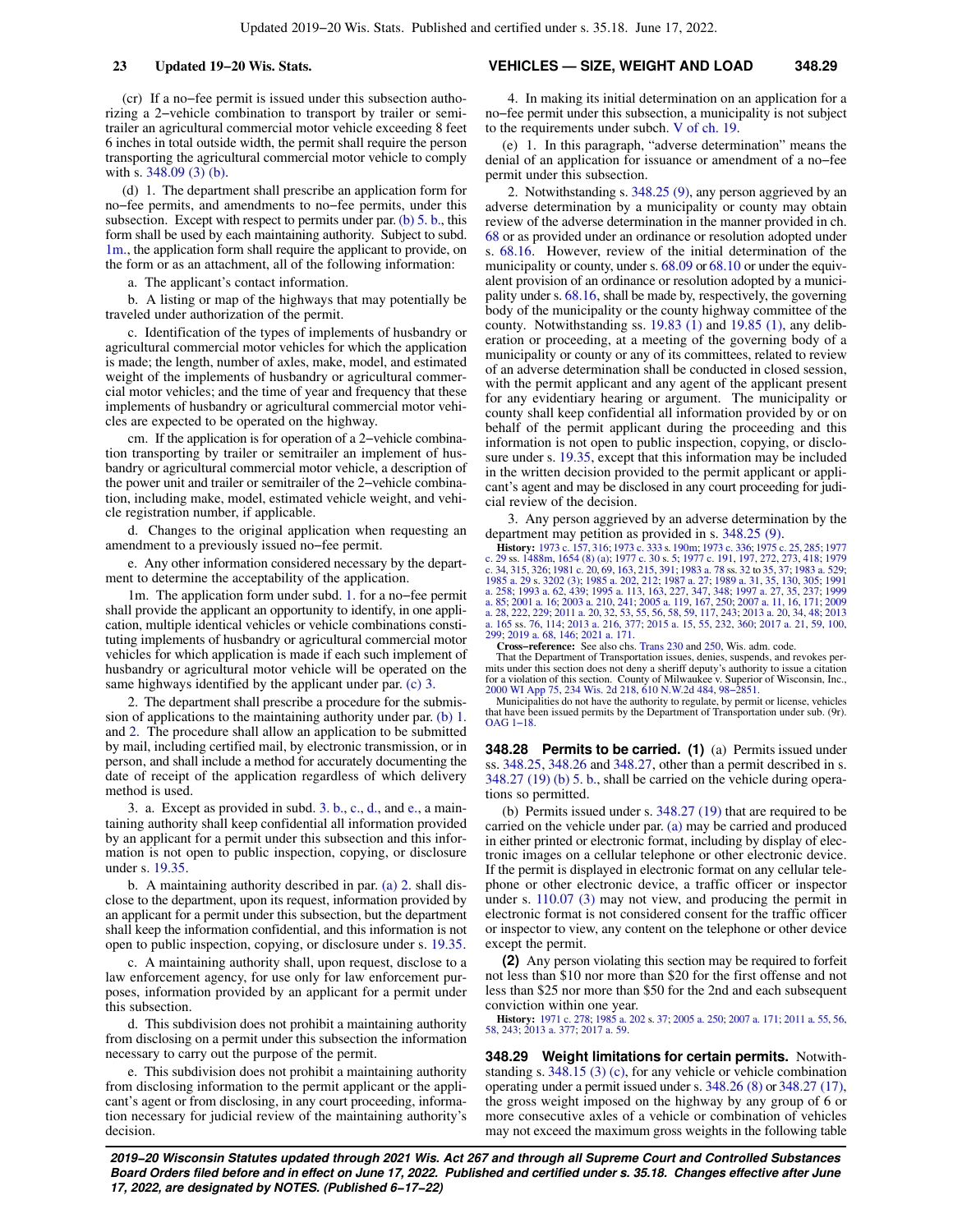(cr) If a no−fee permit is issued under this subsection authorizing a 2−vehicle combination to transport by trailer or semitrailer an agricultural commercial motor vehicle exceeding 8 feet 6 inches in total outside width, the permit shall require the person transporting the agricultural commercial motor vehicle to comply with s. [348.09 \(3\) \(b\).](https://docs.legis.wisconsin.gov/document/statutes/348.09(3)(b))

(d) 1. The department shall prescribe an application form for no−fee permits, and amendments to no−fee permits, under this subsection. Except with respect to permits under par. [\(b\) 5. b.](https://docs.legis.wisconsin.gov/document/statutes/348.27(19)(b)5.b.), this form shall be used by each maintaining authority. Subject to subd. [1m.,](https://docs.legis.wisconsin.gov/document/statutes/348.27(19)(d)1m.) the application form shall require the applicant to provide, on the form or as an attachment, all of the following information:

a. The applicant's contact information.

b. A listing or map of the highways that may potentially be traveled under authorization of the permit.

c. Identification of the types of implements of husbandry or agricultural commercial motor vehicles for which the application is made; the length, number of axles, make, model, and estimated weight of the implements of husbandry or agricultural commercial motor vehicles; and the time of year and frequency that these implements of husbandry or agricultural commercial motor vehicles are expected to be operated on the highway.

cm. If the application is for operation of a 2−vehicle combination transporting by trailer or semitrailer an implement of husbandry or agricultural commercial motor vehicle, a description of the power unit and trailer or semitrailer of the 2−vehicle combination, including make, model, estimated vehicle weight, and vehicle registration number, if applicable.

d. Changes to the original application when requesting an amendment to a previously issued no−fee permit.

e. Any other information considered necessary by the department to determine the acceptability of the application.

1m. The application form under subd. [1.](https://docs.legis.wisconsin.gov/document/statutes/348.27(19)(d)1.) for a no−fee permit shall provide the applicant an opportunity to identify, in one application, multiple identical vehicles or vehicle combinations constituting implements of husbandry or agricultural commercial motor vehicles for which application is made if each such implement of husbandry or agricultural motor vehicle will be operated on the same highways identified by the applicant under par. [\(c\) 3.](https://docs.legis.wisconsin.gov/document/statutes/348.27(19)(c)3.)

2. The department shall prescribe a procedure for the submission of applications to the maintaining authority under par. [\(b\) 1.](https://docs.legis.wisconsin.gov/document/statutes/348.27(19)(b)1.) and [2.](https://docs.legis.wisconsin.gov/document/statutes/348.27(19)(b)2.) The procedure shall allow an application to be submitted by mail, including certified mail, by electronic transmission, or in person, and shall include a method for accurately documenting the date of receipt of the application regardless of which delivery method is used.

3. a. Except as provided in subd. [3. b.,](https://docs.legis.wisconsin.gov/document/statutes/348.27(19)(d)3.b.) [c.,](https://docs.legis.wisconsin.gov/document/statutes/348.27(19)(d)3.c.) [d.,](https://docs.legis.wisconsin.gov/document/statutes/348.27(19)(d)3.d.) and [e.](https://docs.legis.wisconsin.gov/document/statutes/348.27(19)(d)3.e.), a maintaining authority shall keep confidential all information provided by an applicant for a permit under this subsection and this information is not open to public inspection, copying, or disclosure under s. [19.35](https://docs.legis.wisconsin.gov/document/statutes/19.35).

b. A maintaining authority described in par. [\(a\) 2.](https://docs.legis.wisconsin.gov/document/statutes/348.27(19)(a)2.) shall disclose to the department, upon its request, information provided by an applicant for a permit under this subsection, but the department shall keep the information confidential, and this information is not open to public inspection, copying, or disclosure under s. [19.35](https://docs.legis.wisconsin.gov/document/statutes/19.35).

c. A maintaining authority shall, upon request, disclose to a law enforcement agency, for use only for law enforcement purposes, information provided by an applicant for a permit under this subsection.

d. This subdivision does not prohibit a maintaining authority from disclosing on a permit under this subsection the information necessary to carry out the purpose of the permit.

e. This subdivision does not prohibit a maintaining authority from disclosing information to the permit applicant or the applicant's agent or from disclosing, in any court proceeding, information necessary for judicial review of the maintaining authority's decision.

#### **23 Updated 19−20 Wis. Stats. VEHICLES — SIZE, WEIGHT AND LOAD 348.29**

4. In making its initial determination on an application for a no−fee permit under this subsection, a municipality is not subject to the requirements under subch. [V of ch. 19](https://docs.legis.wisconsin.gov/document/statutes/subch.%20V%20of%20ch.%2019).

(e) 1. In this paragraph, "adverse determination" means the denial of an application for issuance or amendment of a no−fee permit under this subsection.

2. Notwithstanding s. [348.25 \(9\)](https://docs.legis.wisconsin.gov/document/statutes/348.25(9)), any person aggrieved by an adverse determination by a municipality or county may obtain review of the adverse determination in the manner provided in ch. [68](https://docs.legis.wisconsin.gov/document/statutes/ch.%2068) or as provided under an ordinance or resolution adopted under s. [68.16.](https://docs.legis.wisconsin.gov/document/statutes/68.16) However, review of the initial determination of the municipality or county, under s. [68.09](https://docs.legis.wisconsin.gov/document/statutes/68.09) or [68.10](https://docs.legis.wisconsin.gov/document/statutes/68.10) or under the equivalent provision of an ordinance or resolution adopted by a municipality under s. [68.16](https://docs.legis.wisconsin.gov/document/statutes/68.16), shall be made by, respectively, the governing body of the municipality or the county highway committee of the county. Notwithstanding ss.  $19.83$  (1) and  $19.85$  (1), any deliberation or proceeding, at a meeting of the governing body of a municipality or county or any of its committees, related to review of an adverse determination shall be conducted in closed session, with the permit applicant and any agent of the applicant present for any evidentiary hearing or argument. The municipality or county shall keep confidential all information provided by or on behalf of the permit applicant during the proceeding and this information is not open to public inspection, copying, or disclosure under s. [19.35,](https://docs.legis.wisconsin.gov/document/statutes/19.35) except that this information may be included in the written decision provided to the permit applicant or applicant's agent and may be disclosed in any court proceeding for judicial review of the decision.

3. Any person aggrieved by an adverse determination by the department may petition as provided in s. [348.25 \(9\)](https://docs.legis.wisconsin.gov/document/statutes/348.25(9)).

**Elistory:** [1973 c. 157,](https://docs.legis.wisconsin.gov/document/acts/1973/157) [316](https://docs.legis.wisconsin.gov/document/acts/1973/316); [1973 c. 333](https://docs.legis.wisconsin.gov/document/acts/1973/333) s. [190m](https://docs.legis.wisconsin.gov/document/acts/1973/333,%20s.%20190m); [1973 c. 336;](https://docs.legis.wisconsin.gov/document/acts/1973/336) [1975 c. 25,](https://docs.legis.wisconsin.gov/document/acts/1975/25) [285](https://docs.legis.wisconsin.gov/document/acts/1975/285); [1977](https://docs.legis.wisconsin.gov/document/acts/1977/29)<br>
c. 34, 31[5](https://docs.legis.wisconsin.gov/document/acts/1977/30,%20s.%205), 326; 1981 c. 20, 69, 163, 215, 391; 1983 a. 78 s. 32 to 35, 37; 148; [197](https://docs.legis.wisconsin.gov/document/acts/1977/197)9<br> [c. 34](https://docs.legis.wisconsin.gov/document/acts/1979/34), [315,](https://docs.legis.wisconsin.gov/document/acts/1979/315) [326](https://docs.legis.wisconsin.gov/document/acts/1979/326); [1981 c. 20,](https://docs.legis.wisconsin.gov/document/acts/1981/20) [69,](https://docs.legis.wisconsin.gov/document/acts/1981/69) [163](https://docs.legis.wisconsin.gov/document/acts/1981/163), [215,](https://docs.legis.wisconsin.gov/document/acts/1981/215) [391](https://docs.legis.wisconsin.gov/document/acts/1981/391);

**Cross−reference:** See also chs. [Trans 230](https://docs.legis.wisconsin.gov/document/administrativecode/ch.%20Trans%20230) and [250](https://docs.legis.wisconsin.gov/document/administrativecode/ch.%20Trans%20250), Wis. adm. code.

That the Department of Transportation issues, denies, suspends, and revokes permits under this section does not deny a sheriff deputy's authority to issue a citation for a violation of this section. County of Milwaukee v. Superior of Wisconsin, Inc., [2000 WI App 75](https://docs.legis.wisconsin.gov/document/courts/2000%20WI%20App%2075), [234 Wis. 2d 218,](https://docs.legis.wisconsin.gov/document/courts/234%20Wis.%202d%20218) [610 N.W.2d 484,](https://docs.legis.wisconsin.gov/document/courts/610%20N.W.2d%20484) [98−2851.](https://docs.legis.wisconsin.gov/document/wicourtofappeals/98-2851)

Municipalities do not have the authority to regulate, by permit or license, vehicles that have been issued permits by the Department of Transportation under sub. (9r). [OAG 1−18.](https://docs.legis.wisconsin.gov/document/oag/oag1-18)

**348.28 Permits to be carried. (1)** (a) Permits issued under ss. [348.25](https://docs.legis.wisconsin.gov/document/statutes/348.25), [348.26](https://docs.legis.wisconsin.gov/document/statutes/348.26) and [348.27](https://docs.legis.wisconsin.gov/document/statutes/348.27), other than a permit described in s. [348.27 \(19\) \(b\) 5. b.](https://docs.legis.wisconsin.gov/document/statutes/348.27(19)(b)5.b.), shall be carried on the vehicle during operations so permitted.

(b) Permits issued under s.  $348.27(19)$  that are required to be carried on the vehicle under par. [\(a\)](https://docs.legis.wisconsin.gov/document/statutes/348.28(1)(a)) may be carried and produced in either printed or electronic format, including by display of electronic images on a cellular telephone or other electronic device. If the permit is displayed in electronic format on any cellular telephone or other electronic device, a traffic officer or inspector under s. [110.07 \(3\)](https://docs.legis.wisconsin.gov/document/statutes/110.07(3)) may not view, and producing the permit in electronic format is not considered consent for the traffic officer or inspector to view, any content on the telephone or other device except the permit.

**(2)** Any person violating this section may be required to forfeit not less than \$10 nor more than \$20 for the first offense and not less than \$25 nor more than \$50 for the 2nd and each subsequent conviction within one year.

**History:** [1971 c. 278](https://docs.legis.wisconsin.gov/document/acts/1971/278); [1985 a. 202](https://docs.legis.wisconsin.gov/document/acts/1985/202) s. [37](https://docs.legis.wisconsin.gov/document/acts/1985/202,%20s.%2037); [2005 a. 250;](https://docs.legis.wisconsin.gov/document/acts/2005/250) [2007 a. 171;](https://docs.legis.wisconsin.gov/document/acts/2007/171) [2011 a. 55](https://docs.legis.wisconsin.gov/document/acts/2011/55), [56](https://docs.legis.wisconsin.gov/document/acts/2011/56), [58](https://docs.legis.wisconsin.gov/document/acts/2011/58), [243](https://docs.legis.wisconsin.gov/document/acts/2011/243); [2013 a. 377;](https://docs.legis.wisconsin.gov/document/acts/2013/377) [2017 a. 59.](https://docs.legis.wisconsin.gov/document/acts/2017/59)

**348.29 Weight limitations for certain permits.** Notwithstanding s. [348.15 \(3\) \(c\),](https://docs.legis.wisconsin.gov/document/statutes/348.15(3)(c)) for any vehicle or vehicle combination operating under a permit issued under s. [348.26 \(8\)](https://docs.legis.wisconsin.gov/document/statutes/348.26(8)) or [348.27 \(17\),](https://docs.legis.wisconsin.gov/document/statutes/348.27(17)) the gross weight imposed on the highway by any group of 6 or more consecutive axles of a vehicle or combination of vehicles may not exceed the maximum gross weights in the following table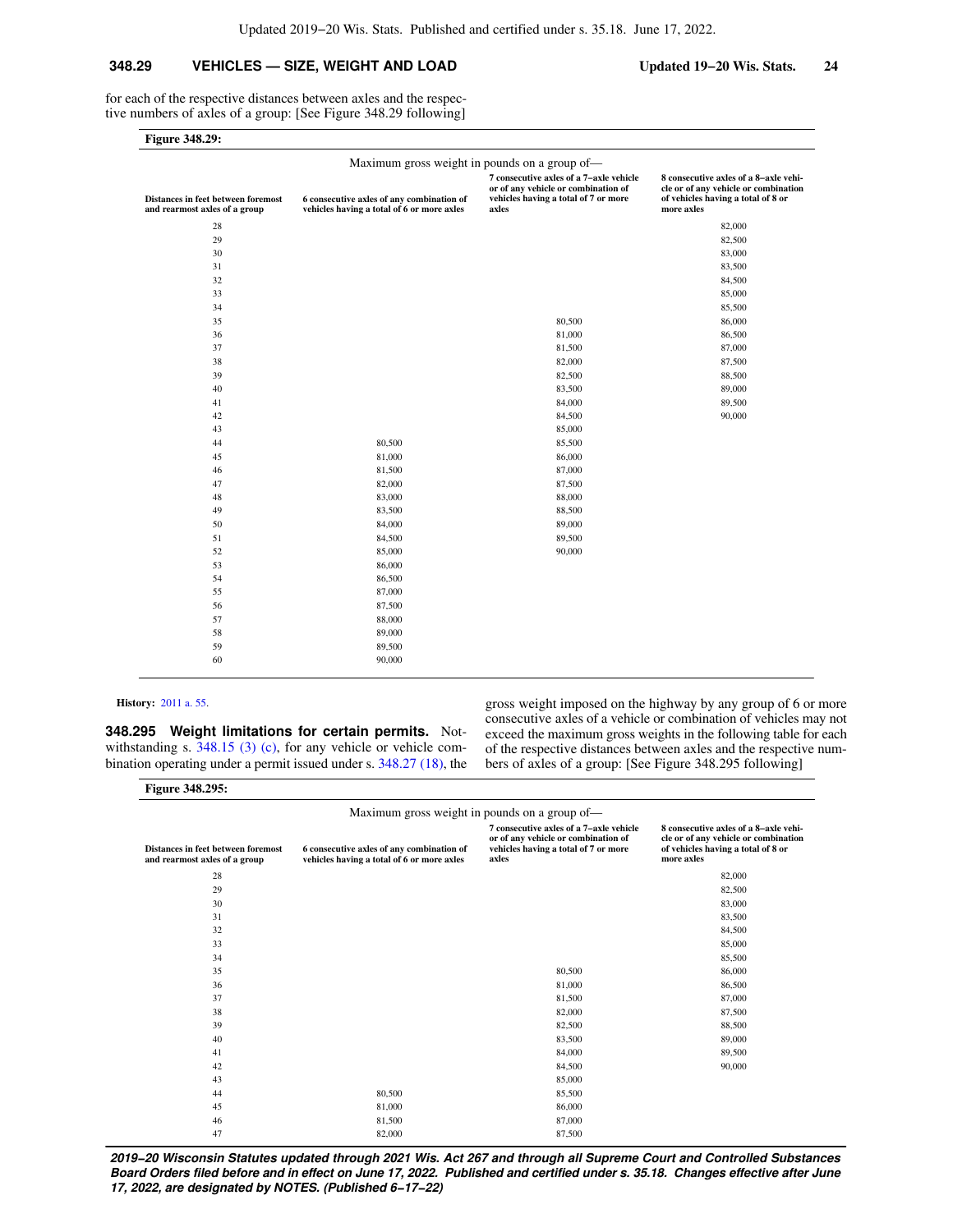### **348.29 VEHICLES — SIZE, WEIGHT AND LOAD Updated 19−20 Wis. Stats. 24**

for each of the respective distances between axles and the respective numbers of axles of a group: [See Figure 348.29 following]

| <b>Figure 348.29:</b> |  |
|-----------------------|--|
|-----------------------|--|

| Maximum gross weight in pounds on a group of-                       |                                                                                         |                                                                                                                                 |                                                                                                                                   |  |  |  |  |
|---------------------------------------------------------------------|-----------------------------------------------------------------------------------------|---------------------------------------------------------------------------------------------------------------------------------|-----------------------------------------------------------------------------------------------------------------------------------|--|--|--|--|
| Distances in feet between foremost<br>and rearmost axles of a group | 6 consecutive axles of any combination of<br>vehicles having a total of 6 or more axles | 7 consecutive axles of a 7-axle vehicle<br>or of any vehicle or combination of<br>vehicles having a total of 7 or more<br>axles | 8 consecutive axles of a 8-axle vehi-<br>cle or of any vehicle or combination<br>of vehicles having a total of 8 or<br>more axles |  |  |  |  |
| 28                                                                  |                                                                                         |                                                                                                                                 | 82,000                                                                                                                            |  |  |  |  |
| 29                                                                  |                                                                                         |                                                                                                                                 | 82,500                                                                                                                            |  |  |  |  |
| 30                                                                  |                                                                                         |                                                                                                                                 | 83,000                                                                                                                            |  |  |  |  |
| 31                                                                  |                                                                                         |                                                                                                                                 | 83,500                                                                                                                            |  |  |  |  |
| 32                                                                  |                                                                                         |                                                                                                                                 | 84,500                                                                                                                            |  |  |  |  |
| 33                                                                  |                                                                                         |                                                                                                                                 | 85,000                                                                                                                            |  |  |  |  |
| 34                                                                  |                                                                                         |                                                                                                                                 | 85,500                                                                                                                            |  |  |  |  |
| 35                                                                  |                                                                                         | 80,500                                                                                                                          | 86,000                                                                                                                            |  |  |  |  |
| 36                                                                  |                                                                                         | 81,000                                                                                                                          | 86,500                                                                                                                            |  |  |  |  |
| 37                                                                  |                                                                                         | 81,500                                                                                                                          | 87,000                                                                                                                            |  |  |  |  |
| 38                                                                  |                                                                                         | 82,000                                                                                                                          | 87,500                                                                                                                            |  |  |  |  |
| 39                                                                  |                                                                                         | 82,500                                                                                                                          | 88,500                                                                                                                            |  |  |  |  |
| 40                                                                  |                                                                                         | 83,500                                                                                                                          | 89,000                                                                                                                            |  |  |  |  |
| 41                                                                  |                                                                                         | 84,000                                                                                                                          | 89,500                                                                                                                            |  |  |  |  |
| 42                                                                  |                                                                                         | 84,500                                                                                                                          | 90,000                                                                                                                            |  |  |  |  |
| 43                                                                  |                                                                                         | 85,000                                                                                                                          |                                                                                                                                   |  |  |  |  |
| 44                                                                  | 80,500                                                                                  | 85,500                                                                                                                          |                                                                                                                                   |  |  |  |  |
| 45                                                                  | 81,000                                                                                  | 86,000                                                                                                                          |                                                                                                                                   |  |  |  |  |
| 46                                                                  | 81,500                                                                                  | 87,000                                                                                                                          |                                                                                                                                   |  |  |  |  |
| 47                                                                  | 82,000                                                                                  | 87,500                                                                                                                          |                                                                                                                                   |  |  |  |  |
| 48                                                                  | 83,000                                                                                  | 88,000                                                                                                                          |                                                                                                                                   |  |  |  |  |
| 49                                                                  | 83,500                                                                                  | 88,500                                                                                                                          |                                                                                                                                   |  |  |  |  |
| 50                                                                  | 84,000                                                                                  | 89,000                                                                                                                          |                                                                                                                                   |  |  |  |  |
| 51                                                                  | 84,500                                                                                  | 89,500                                                                                                                          |                                                                                                                                   |  |  |  |  |
| 52                                                                  | 85,000                                                                                  | 90,000                                                                                                                          |                                                                                                                                   |  |  |  |  |
| 53                                                                  | 86,000                                                                                  |                                                                                                                                 |                                                                                                                                   |  |  |  |  |
| 54                                                                  | 86,500                                                                                  |                                                                                                                                 |                                                                                                                                   |  |  |  |  |
| 55                                                                  | 87,000                                                                                  |                                                                                                                                 |                                                                                                                                   |  |  |  |  |
| 56                                                                  | 87,500                                                                                  |                                                                                                                                 |                                                                                                                                   |  |  |  |  |
| 57                                                                  | 88,000                                                                                  |                                                                                                                                 |                                                                                                                                   |  |  |  |  |
| 58                                                                  | 89,000                                                                                  |                                                                                                                                 |                                                                                                                                   |  |  |  |  |
| 59                                                                  | 89,500                                                                                  |                                                                                                                                 |                                                                                                                                   |  |  |  |  |
| 60                                                                  | 90,000                                                                                  |                                                                                                                                 |                                                                                                                                   |  |  |  |  |
|                                                                     |                                                                                         |                                                                                                                                 |                                                                                                                                   |  |  |  |  |

#### **History:** [2011 a. 55.](https://docs.legis.wisconsin.gov/document/acts/2011/55)

**Figure 348.295:**

**348.295 Weight limitations for certain permits.** Notwithstanding s.  $348.15$  (3) (c), for any vehicle or vehicle combination operating under a permit issued under s. [348.27 \(18\),](https://docs.legis.wisconsin.gov/document/statutes/348.27(18)) the gross weight imposed on the highway by any group of 6 or more consecutive axles of a vehicle or combination of vehicles may not exceed the maximum gross weights in the following table for each of the respective distances between axles and the respective numbers of axles of a group: [See Figure 348.295 following]

| Maximum gross weight in pounds on a group of—                       |                                                                                         |                                                                                                                                 |                                                                                                                                   |  |  |
|---------------------------------------------------------------------|-----------------------------------------------------------------------------------------|---------------------------------------------------------------------------------------------------------------------------------|-----------------------------------------------------------------------------------------------------------------------------------|--|--|
| Distances in feet between foremost<br>and rearmost axles of a group | 6 consecutive axles of any combination of<br>vehicles having a total of 6 or more axles | 7 consecutive axles of a 7-axle vehicle<br>or of any vehicle or combination of<br>vehicles having a total of 7 or more<br>axles | 8 consecutive axles of a 8-axle vehi-<br>cle or of any vehicle or combination<br>of vehicles having a total of 8 or<br>more axles |  |  |
| 28                                                                  |                                                                                         |                                                                                                                                 | 82,000                                                                                                                            |  |  |
| 29                                                                  |                                                                                         |                                                                                                                                 | 82,500                                                                                                                            |  |  |
| 30                                                                  |                                                                                         |                                                                                                                                 | 83,000                                                                                                                            |  |  |
| 31                                                                  |                                                                                         |                                                                                                                                 | 83,500                                                                                                                            |  |  |
| 32                                                                  |                                                                                         |                                                                                                                                 | 84,500                                                                                                                            |  |  |
| 33                                                                  |                                                                                         |                                                                                                                                 | 85,000                                                                                                                            |  |  |
| 34                                                                  |                                                                                         |                                                                                                                                 | 85,500                                                                                                                            |  |  |
| 35                                                                  |                                                                                         | 80,500                                                                                                                          | 86,000                                                                                                                            |  |  |
| 36                                                                  |                                                                                         | 81,000                                                                                                                          | 86,500                                                                                                                            |  |  |
| 37                                                                  |                                                                                         | 81,500                                                                                                                          | 87,000                                                                                                                            |  |  |
| 38                                                                  |                                                                                         | 82,000                                                                                                                          | 87,500                                                                                                                            |  |  |
| 39                                                                  |                                                                                         | 82,500                                                                                                                          | 88,500                                                                                                                            |  |  |
| 40                                                                  |                                                                                         | 83,500                                                                                                                          | 89,000                                                                                                                            |  |  |
| 41                                                                  |                                                                                         | 84,000                                                                                                                          | 89,500                                                                                                                            |  |  |
| 42                                                                  |                                                                                         | 84,500                                                                                                                          | 90,000                                                                                                                            |  |  |
| 43                                                                  |                                                                                         | 85,000                                                                                                                          |                                                                                                                                   |  |  |
| 44                                                                  | 80,500                                                                                  | 85,500                                                                                                                          |                                                                                                                                   |  |  |
| 45                                                                  | 81,000                                                                                  | 86,000                                                                                                                          |                                                                                                                                   |  |  |
| 46                                                                  | 81,500                                                                                  | 87,000                                                                                                                          |                                                                                                                                   |  |  |
| 47                                                                  | 82,000                                                                                  | 87,500                                                                                                                          |                                                                                                                                   |  |  |